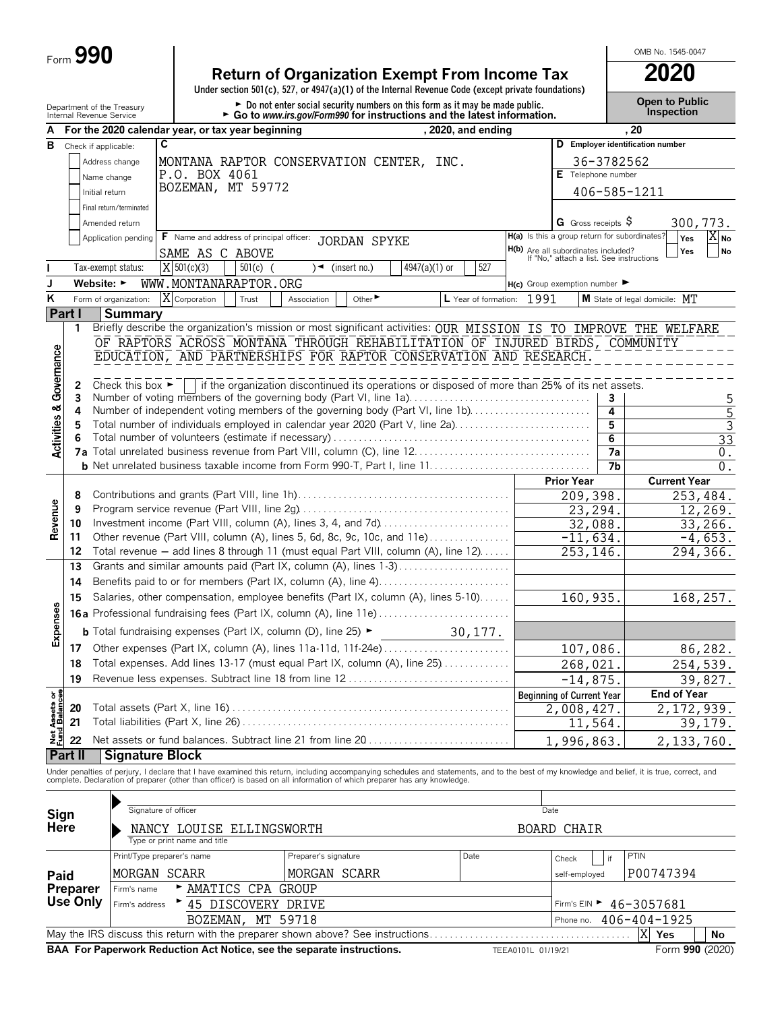# **Return of Organization Exempt From Income Tax 2020**

**Under section 501(c), 527, or 4947(a)(1) of the Internal Revenue Code (except private foundations)**

Department of the Treasury **Depen to Public**<br>Internal Revenue Service **Configuration Configuration Configuration Configuration Configuration.** Configuration<br>Internal Revenue Service **Configuration Configuration Configurat** 

OMB No. 1545-0047

|                                        | יייפו יום וויכיפו וטכ טכו עוג  |                                      | For the 2020 calendar year, or tax year beginning                        | $\sim$ Go to <i>www.irs.gov/rominyl</i> ong instructions and the latest implifiation.                                                                                                                                             |                           |                                                                                 |                |                                             |
|----------------------------------------|--------------------------------|--------------------------------------|--------------------------------------------------------------------------|-----------------------------------------------------------------------------------------------------------------------------------------------------------------------------------------------------------------------------------|---------------------------|---------------------------------------------------------------------------------|----------------|---------------------------------------------|
| А                                      |                                |                                      | $\overline{\mathbf{c}}$                                                  |                                                                                                                                                                                                                                   | , 2020, and ending        |                                                                                 | . 20           | D Employer identification number            |
| В                                      | Check if applicable:           |                                      |                                                                          |                                                                                                                                                                                                                                   |                           |                                                                                 |                |                                             |
|                                        |                                | Address change                       | P.O. BOX 4061                                                            | MONTANA RAPTOR CONSERVATION CENTER, INC.                                                                                                                                                                                          |                           |                                                                                 | 36-3782562     |                                             |
|                                        |                                | Name change                          | BOZEMAN, MT 59772                                                        |                                                                                                                                                                                                                                   |                           | E Telephone number                                                              |                |                                             |
|                                        | Initial return                 |                                      |                                                                          |                                                                                                                                                                                                                                   |                           |                                                                                 | 406-585-1211   |                                             |
|                                        |                                | Final return/terminated              |                                                                          |                                                                                                                                                                                                                                   |                           |                                                                                 |                |                                             |
|                                        |                                | Amended return                       |                                                                          |                                                                                                                                                                                                                                   |                           | G Gross receipts $\varsigma$                                                    |                | 300,773.                                    |
|                                        |                                | Application pending                  | F Name and address of principal officer:                                 | JORDAN SPYKE                                                                                                                                                                                                                      |                           | H(a) Is this a group return for subordinates?                                   |                | $X_{\text{No}}$<br>Yes                      |
|                                        |                                |                                      | SAME AS C ABOVE                                                          |                                                                                                                                                                                                                                   |                           | H(b) Are all subordinates included?<br>If "No," attach a list. See instructions |                | Yes<br><b>No</b>                            |
|                                        |                                | Tax-exempt status:                   | $X$ 501(c)(3)<br>$501(c)$ (                                              | $\rightarrow$ (insert no.)<br>$4947(a)(1)$ or                                                                                                                                                                                     | 527                       |                                                                                 |                |                                             |
| J                                      | Website: $\blacktriangleright$ |                                      | WWW.MONTANARAPTOR.ORG                                                    |                                                                                                                                                                                                                                   |                           | $H(c)$ Group exemption number                                                   |                |                                             |
| Κ                                      |                                | Form of organization:                | X Corporation<br>Trust                                                   | Other <sup>&gt;</sup><br>Association                                                                                                                                                                                              | L Year of formation: 1991 |                                                                                 |                | M State of legal domicile: MT               |
|                                        | Part I                         | <b>Summary</b>                       |                                                                          |                                                                                                                                                                                                                                   |                           |                                                                                 |                |                                             |
|                                        | 1                              |                                      |                                                                          | Briefly describe the organization's mission or most significant activities: OUR MISSION IS TO IMPROVE THE WELFARE                                                                                                                 |                           |                                                                                 |                |                                             |
|                                        |                                |                                      |                                                                          | OF RAPTORS ACROSS MONTANA THROUGH REHABILITATION OF INJURED BIRDS, COMMUNITY                                                                                                                                                      |                           |                                                                                 |                |                                             |
| Governance                             |                                |                                      |                                                                          | EDUCATION, AND PARTNERSHIPS FOR RAPTOR CONSERVATION AND RESEARCH.                                                                                                                                                                 |                           |                                                                                 |                |                                             |
|                                        |                                |                                      |                                                                          |                                                                                                                                                                                                                                   |                           |                                                                                 |                |                                             |
|                                        | 2<br>3                         | Check this box $\blacktriangleright$ |                                                                          | if the organization discontinued its operations or disposed of more than 25% of its net assets.<br>Number of voting members of the governing body (Part VI, line 1a)                                                              |                           |                                                                                 | 3              |                                             |
|                                        | 4                              |                                      |                                                                          | Number of independent voting members of the governing body (Part VI, line 1b)                                                                                                                                                     |                           |                                                                                 | 4              | 5<br>5                                      |
| <b>Activities &amp;</b>                | 5                              |                                      |                                                                          | Total number of individuals employed in calendar year 2020 (Part V, line 2a)                                                                                                                                                      |                           |                                                                                 | 5              | 3                                           |
|                                        | 6                              |                                      |                                                                          |                                                                                                                                                                                                                                   |                           |                                                                                 | $\overline{6}$ | 33                                          |
|                                        |                                |                                      |                                                                          |                                                                                                                                                                                                                                   |                           |                                                                                 | 7а             | 0.                                          |
|                                        |                                |                                      |                                                                          |                                                                                                                                                                                                                                   |                           |                                                                                 | 7b             | $0$ .                                       |
|                                        |                                |                                      |                                                                          |                                                                                                                                                                                                                                   |                           | <b>Prior Year</b>                                                               |                | <b>Current Year</b>                         |
|                                        | 8                              |                                      |                                                                          |                                                                                                                                                                                                                                   |                           | 209,398.                                                                        |                | 253,484.                                    |
| Revenue                                | 9                              |                                      |                                                                          |                                                                                                                                                                                                                                   |                           | 23,294.                                                                         |                | 12,269.                                     |
|                                        | 10                             |                                      |                                                                          | Investment income (Part VIII, column (A), lines 3, 4, and 7d)                                                                                                                                                                     |                           | 32,088.                                                                         |                | 33,266.                                     |
|                                        | 11                             |                                      |                                                                          | Other revenue (Part VIII, column (A), lines 5, 6d, 8c, 9c, 10c, and 11e)                                                                                                                                                          |                           | $-11,634.$                                                                      |                | $-4,653.$                                   |
|                                        | 12                             |                                      |                                                                          | Total revenue - add lines 8 through 11 (must equal Part VIII, column (A), line 12)                                                                                                                                                |                           | 253,146.                                                                        |                | 294,366.                                    |
|                                        | 13                             |                                      |                                                                          | Grants and similar amounts paid (Part IX, column (A), lines 1-3)                                                                                                                                                                  |                           |                                                                                 |                |                                             |
|                                        | 14                             |                                      |                                                                          | Benefits paid to or for members (Part IX, column (A), line 4)                                                                                                                                                                     |                           |                                                                                 |                |                                             |
|                                        | 15                             |                                      |                                                                          | Salaries, other compensation, employee benefits (Part IX, column (A), lines 5-10)                                                                                                                                                 |                           | 160,935.                                                                        |                | 168,257.                                    |
| Expenses                               |                                |                                      | <b>16a</b> Professional fundraising fees (Part IX, column (A), line 11e) |                                                                                                                                                                                                                                   |                           |                                                                                 |                |                                             |
|                                        |                                |                                      | <b>b</b> Total fundraising expenses (Part IX, column (D), line 25) ►     |                                                                                                                                                                                                                                   | 30, 177.                  |                                                                                 |                |                                             |
|                                        | 17                             |                                      |                                                                          | Other expenses (Part IX, column (A), lines 11a-11d, 11f-24e)                                                                                                                                                                      |                           | 107,086.                                                                        |                | 86,282.                                     |
|                                        | 18                             |                                      |                                                                          | Total expenses. Add lines 13-17 (must equal Part IX, column (A), line 25)                                                                                                                                                         |                           | 268,021.                                                                        |                | 254,539.                                    |
|                                        | 19                             |                                      |                                                                          | Revenue less expenses. Subtract line 18 from line 12                                                                                                                                                                              |                           | $-14,875.$                                                                      |                | 39,827.                                     |
|                                        |                                |                                      |                                                                          |                                                                                                                                                                                                                                   |                           | <b>Beginning of Current Year</b>                                                |                | <b>End of Year</b>                          |
|                                        | 20                             |                                      |                                                                          |                                                                                                                                                                                                                                   |                           | 2,008,427.                                                                      |                | 2,172,939.                                  |
|                                        | 21                             |                                      |                                                                          |                                                                                                                                                                                                                                   |                           | 11,564.                                                                         |                | 39, 179.                                    |
| <b>Net Assets or<br/>Fund Balances</b> | 22                             |                                      |                                                                          | Net assets or fund balances. Subtract line 21 from line 20                                                                                                                                                                        |                           | 1,996,863.                                                                      |                | 2,133,760.                                  |
|                                        | <b>Part II</b>                 | <b>Signature Block</b>               |                                                                          |                                                                                                                                                                                                                                   |                           |                                                                                 |                |                                             |
|                                        |                                |                                      |                                                                          |                                                                                                                                                                                                                                   |                           |                                                                                 |                |                                             |
|                                        |                                |                                      |                                                                          | Under penalties of perjury, I declare that I have examined this return, including accompanying schedules and statements, and to the best of my knowledge and belief, it is true, correct, and<br>complete. Declaration of prepare |                           |                                                                                 |                |                                             |
|                                        |                                |                                      |                                                                          |                                                                                                                                                                                                                                   |                           |                                                                                 |                |                                             |
| Sign                                   |                                |                                      | Signature of officer                                                     |                                                                                                                                                                                                                                   |                           | Date                                                                            |                |                                             |
| <b>Here</b>                            |                                |                                      | NANCY LOUISE ELLINGSWORTH                                                |                                                                                                                                                                                                                                   |                           | BOARD CHAIR                                                                     |                |                                             |
|                                        |                                |                                      | Type or print name and title                                             |                                                                                                                                                                                                                                   |                           |                                                                                 |                |                                             |
|                                        |                                |                                      | Print/Type preparer's name                                               | Preparer's signature                                                                                                                                                                                                              | Date                      | Check                                                                           | if             | PTIN                                        |
| Paid                                   |                                |                                      | MORGAN SCARR                                                             | MORGAN SCARR                                                                                                                                                                                                                      |                           | self-employed                                                                   |                | P00747394                                   |
|                                        | Preparer                       | Firm's name                          | AMATICS CPA GROUP                                                        |                                                                                                                                                                                                                                   |                           |                                                                                 |                |                                             |
|                                        | <b>Use Only</b>                | Firm's address                       | * 45 DISCOVERY DRIVE                                                     |                                                                                                                                                                                                                                   |                           |                                                                                 |                | Firm's EIN $\blacktriangleright$ 46-3057681 |
|                                        |                                |                                      | BOZEMAN,                                                                 | MT 59718                                                                                                                                                                                                                          |                           | Phone no.                                                                       |                | 406-404-1925                                |
|                                        |                                |                                      |                                                                          | May the IRS discuss this return with the preparer shown above? See instructions                                                                                                                                                   |                           |                                                                                 |                | X<br>Yes<br>No                              |
|                                        |                                |                                      |                                                                          | BAA For Paperwork Reduction Act Notice, see the separate instructions.                                                                                                                                                            |                           | TEEA0101L 01/19/21                                                              |                | Form 990 (2020)                             |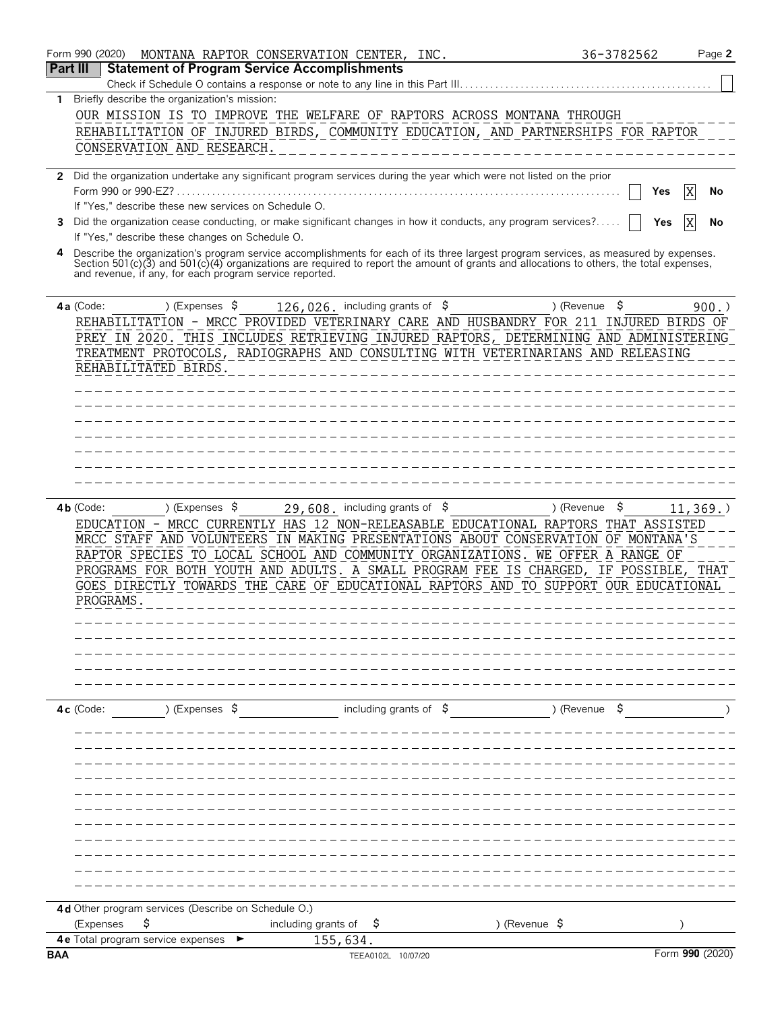|            | Form 990 (2020)<br>MONTANA RAPTOR CONSERVATION CENTER, INC.                                                                                                                                         |                                             | 36-3782562               | Page 2          |
|------------|-----------------------------------------------------------------------------------------------------------------------------------------------------------------------------------------------------|---------------------------------------------|--------------------------|-----------------|
| Part III   | <b>Statement of Program Service Accomplishments</b>                                                                                                                                                 |                                             |                          |                 |
|            | Check if Schedule O contains a response or note to any line in this Part III.                                                                                                                       |                                             |                          |                 |
| 1          | Briefly describe the organization's mission:<br>OUR MISSION IS TO IMPROVE THE WELFARE OF RAPTORS ACROSS MONTANA THROUGH                                                                             |                                             |                          |                 |
|            | REHABILITATION OF INJURED BIRDS, COMMUNITY EDUCATION, AND PARTNERSHIPS FOR RAPTOR                                                                                                                   |                                             |                          |                 |
|            | CONSERVATION AND RESEARCH.                                                                                                                                                                          |                                             |                          |                 |
|            |                                                                                                                                                                                                     |                                             |                          |                 |
|            | 2 Did the organization undertake any significant program services during the year which were not listed on the prior                                                                                |                                             |                          |                 |
|            | Form 990 or 990-EZ?<br>If "Yes," describe these new services on Schedule O.                                                                                                                         |                                             |                          | Yes<br>No       |
| 3          | Did the organization cease conducting, or make significant changes in how it conducts, any program services?                                                                                        |                                             |                          | Yes<br>No       |
|            | If "Yes," describe these changes on Schedule O.                                                                                                                                                     |                                             |                          |                 |
|            | Describe the organization's program service accomplishments for each of its three largest program services, as measured by expenses.                                                                |                                             |                          |                 |
|            | Section 501(c)(3) and 501(c)(4) organizations are required to report the amount of grants and allocations to others, the total expenses,<br>and revenue, if any, for each program service reported. |                                             |                          |                 |
|            |                                                                                                                                                                                                     |                                             |                          |                 |
|            | 4a (Code:<br>) (Expenses \$                                                                                                                                                                         | 126, 026. including grants of $\frac{1}{5}$ | \$<br>) (Revenue         | 900.            |
|            | REHABILITATION - MRCC PROVIDED VETERINARY CARE AND HUSBANDRY FOR 211 INJURED BIRDS OF                                                                                                               |                                             |                          |                 |
|            | PREY IN 2020. THIS INCLUDES RETRIEVING INJURED RAPTORS, DETERMINING AND ADMINISTERING                                                                                                               |                                             |                          |                 |
|            | TREATMENT PROTOCOLS, RADIOGRAPHS AND CONSULTING WITH VETERINARIANS AND RELEASING<br>REHABILITATED BIRDS.                                                                                            |                                             |                          |                 |
|            |                                                                                                                                                                                                     |                                             |                          |                 |
|            |                                                                                                                                                                                                     |                                             |                          |                 |
|            |                                                                                                                                                                                                     |                                             |                          |                 |
|            |                                                                                                                                                                                                     |                                             |                          |                 |
|            |                                                                                                                                                                                                     |                                             |                          |                 |
|            |                                                                                                                                                                                                     |                                             |                          |                 |
|            |                                                                                                                                                                                                     |                                             |                          |                 |
|            | ) (Expenses $\sqrt{5}$<br>$4b$ (Code:                                                                                                                                                               | 29,608. including grants of $$$             | \$<br>) (Revenue         | 11,369.         |
|            | EDUCATION - MRCC CURRENTLY HAS 12 NON-RELEASABLE EDUCATIONAL RAPTORS THAT ASSISTED                                                                                                                  |                                             |                          |                 |
|            | MRCC STAFF AND VOLUNTEERS IN MAKING PRESENTATIONS ABOUT CONSERVATION OF MONTANA'S                                                                                                                   |                                             |                          |                 |
|            | RAPTOR SPECIES TO LOCAL SCHOOL AND COMMUNITY ORGANIZATIONS. WE OFFER A RANGE OF                                                                                                                     |                                             |                          |                 |
|            | PROGRAMS FOR BOTH YOUTH AND ADULTS. A SMALL PROGRAM FEE IS CHARGED, IF POSSIBLE, THAT                                                                                                               |                                             |                          |                 |
|            | GOES DIRECTLY TOWARDS THE CARE OF EDUCATIONAL RAPTORS AND TO SUPPORT OUR EDUCATIONAL<br>PROGRAMS                                                                                                    |                                             |                          |                 |
|            |                                                                                                                                                                                                     |                                             |                          |                 |
|            |                                                                                                                                                                                                     |                                             |                          |                 |
|            |                                                                                                                                                                                                     |                                             |                          |                 |
|            |                                                                                                                                                                                                     |                                             |                          |                 |
|            |                                                                                                                                                                                                     |                                             |                          |                 |
|            | ) (Expenses \$<br>$4c$ (Code:                                                                                                                                                                       | including grants of \$                      | ) (Revenue \$            |                 |
|            |                                                                                                                                                                                                     |                                             |                          |                 |
|            |                                                                                                                                                                                                     |                                             |                          |                 |
|            |                                                                                                                                                                                                     |                                             |                          |                 |
|            |                                                                                                                                                                                                     |                                             |                          |                 |
|            |                                                                                                                                                                                                     |                                             |                          |                 |
|            |                                                                                                                                                                                                     |                                             |                          |                 |
|            |                                                                                                                                                                                                     |                                             |                          |                 |
|            |                                                                                                                                                                                                     |                                             |                          |                 |
|            |                                                                                                                                                                                                     |                                             |                          |                 |
|            |                                                                                                                                                                                                     |                                             |                          |                 |
|            |                                                                                                                                                                                                     |                                             |                          |                 |
|            | 4d Other program services (Describe on Schedule O.)<br>\$<br>(Expenses                                                                                                                              | including grants of<br>Ş                    | ) (Revenue $\frac{1}{2}$ |                 |
|            | 4e Total program service expenses                                                                                                                                                                   | 155,634.                                    |                          |                 |
| <b>BAA</b> |                                                                                                                                                                                                     | TEEA0102L 10/07/20                          |                          | Form 990 (2020) |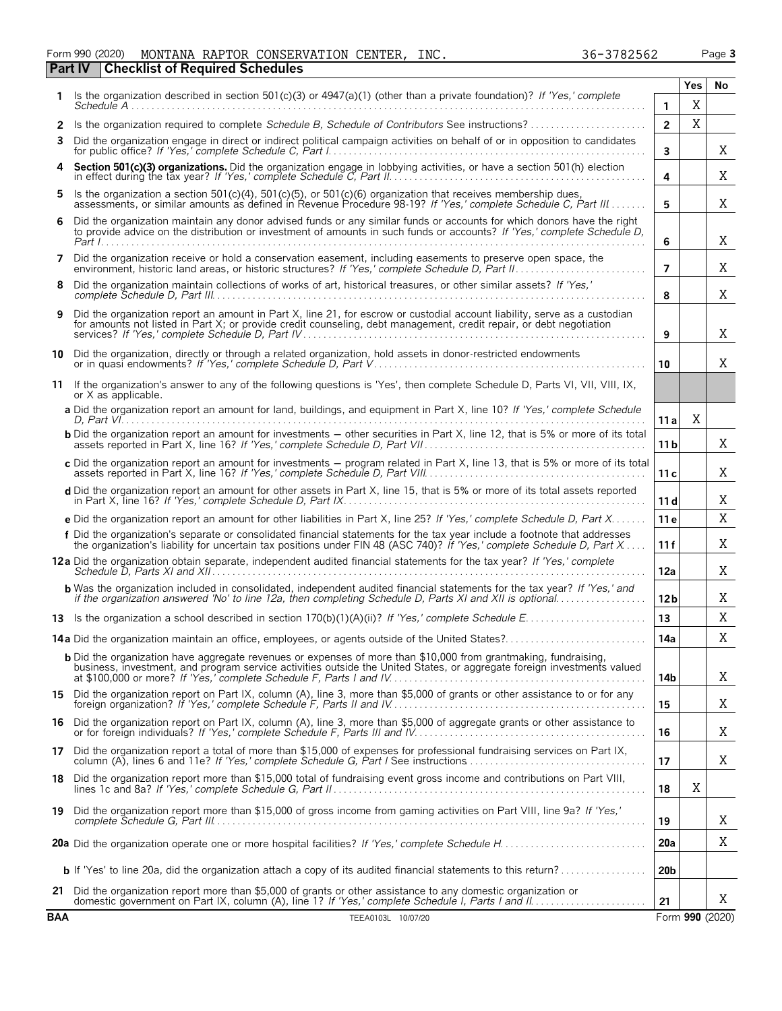| Form 990 (2020) |                                                | MONTANA RAPTOR CONSERVATION CENTER, | INC. | 36-3782562 | Page 3 |
|-----------------|------------------------------------------------|-------------------------------------|------|------------|--------|
|                 | <b>Part IV Checklist of Required Schedules</b> |                                     |      |            |        |

|            | Is the organization described in section 501(c)(3) or 4947(a)(1) (other than a private foundation)? If 'Yes,' complete                                                                                                                              |                 | Yes | No              |
|------------|-----------------------------------------------------------------------------------------------------------------------------------------------------------------------------------------------------------------------------------------------------|-----------------|-----|-----------------|
|            | Schedule A                                                                                                                                                                                                                                          | 1.              | X   |                 |
| 2          | Is the organization required to complete Schedule B, Schedule of Contributors See instructions?                                                                                                                                                     | $\overline{2}$  | X   |                 |
| 3          | Did the organization engage in direct or indirect political campaign activities on behalf of or in opposition to candidates                                                                                                                         | $\mathbf{3}$    |     | X               |
|            | Section 501(c)(3) organizations. Did the organization engage in lobbying activities, or have a section 501(h) election in effect during the tax year? If 'Yes,' complete Schedule C, Part II.                                                       | 4               |     | Χ               |
| 5          | Is the organization a section $501(c)(4)$ , $501(c)(5)$ , or $501(c)(6)$ organization that receives membership dues,<br>assessments, or similar amounts as defined in Revenue Procedure 98-19? If 'Yes,' complete Schedule C, Part III              | 5               |     | X               |
| 6          | Did the organization maintain any donor advised funds or any similar funds or accounts for which donors have the right<br>to provide advice on the distribution or investment of amounts in such funds or accounts? If 'Yes,' complete Schedule D,  | 6               |     | Χ               |
| 7          | Did the organization receive or hold a conservation easement, including easements to preserve open space, the environment, historic land areas, or historic structures? If 'Yes,' complete Schedule D, Part II.                                     | $\overline{7}$  |     | Χ               |
| 8          | Did the organization maintain collections of works of art, historical treasures, or other similar assets? If 'Yes,'                                                                                                                                 | 8               |     | X               |
| 9          | Did the organization report an amount in Part X, line 21, for escrow or custodial account liability, serve as a custodian<br>for amounts not listed in Part X; or provide credit counseling, debt management, credit repair, or debt negotiation    | 9               |     | Χ               |
|            | 10 Did the organization, directly or through a related organization, hold assets in donor-restricted endowments                                                                                                                                     | 10              |     | X               |
|            | 11 If the organization's answer to any of the following questions is 'Yes', then complete Schedule D, Parts VI, VII, VIII, IX,<br>or X as applicable.                                                                                               |                 |     |                 |
|            | a Did the organization report an amount for land, buildings, and equipment in Part X, line 10? If 'Yes,' complete Schedule                                                                                                                          | 11a             | X   |                 |
|            | <b>b</b> Did the organization report an amount for investments - other securities in Part X, line 12, that is 5% or more of its total                                                                                                               | 11 <sub>b</sub> |     | X               |
|            | c Did the organization report an amount for investments - program related in Part X, line 13, that is 5% or more of its total                                                                                                                       | 11c             |     | X               |
|            | d Did the organization report an amount for other assets in Part X, line 15, that is 5% or more of its total assets reported                                                                                                                        | 11d             |     | Χ               |
|            | e Did the organization report an amount for other liabilities in Part X, line 25? If 'Yes,' complete Schedule D, Part X                                                                                                                             | 11e             |     | X               |
|            | f Did the organization's separate or consolidated financial statements for the tax year include a footnote that addresses<br>the organization's liability for uncertain tax positions under FIN 48 (ASC 740)? If 'Yes,' complete Schedule D, Part X | 11f             |     | Χ               |
|            | 12a Did the organization obtain separate, independent audited financial statements for the tax year? If 'Yes,' complete                                                                                                                             | 12a             |     | Χ               |
|            | <b>b</b> Was the organization included in consolidated, independent audited financial statements for the tax year? If 'Yes,' and<br>if the organization answered 'No' to line 12a, then completing Schedule D, Parts XI and XII is optional         | 12 <sub>b</sub> |     | Χ               |
|            |                                                                                                                                                                                                                                                     | 13              |     | Χ               |
|            |                                                                                                                                                                                                                                                     | 14a             |     | Χ               |
|            | <b>b</b> Did the organization have aggregate revenues or expenses of more than \$10,000 from grantmaking, fundraising,<br>business, investment, and program service activities outside the United States, or aggregate foreign investments valued   | 14b             |     | X               |
|            | 15 Did the organization report on Part IX, column (A), line 3, more than \$5,000 of grants or other assistance to or for any                                                                                                                        | 15              |     | X               |
|            | 16 Did the organization report on Part IX, column (A), line 3, more than \$5,000 of aggregate grants or other assistance to                                                                                                                         | 16              |     | Χ               |
|            | 17 Did the organization report a total of more than \$15,000 of expenses for professional fundraising services on Part IX,                                                                                                                          | 17              |     | Χ               |
| 18         | Did the organization report more than \$15,000 total of fundraising event gross income and contributions on Part VIII,                                                                                                                              | 18              | Χ   |                 |
| 19         | Did the organization report more than \$15,000 of gross income from gaming activities on Part VIII, line 9a? If 'Yes,'                                                                                                                              | 19              |     | X               |
|            |                                                                                                                                                                                                                                                     | 20a             |     | X               |
|            | <b>b</b> If 'Yes' to line 20a, did the organization attach a copy of its audited financial statements to this return?                                                                                                                               | 20 <sub>b</sub> |     |                 |
| 21         | Did the organization report more than \$5,000 of grants or other assistance to any domestic organization or domestic government on Part IX, column (A), line 1? If 'Yes,' complete Schedule I, Parts I and II.                                      | 21              |     | X               |
| <b>BAA</b> | TEEA0103L 10/07/20                                                                                                                                                                                                                                  |                 |     | Form 990 (2020) |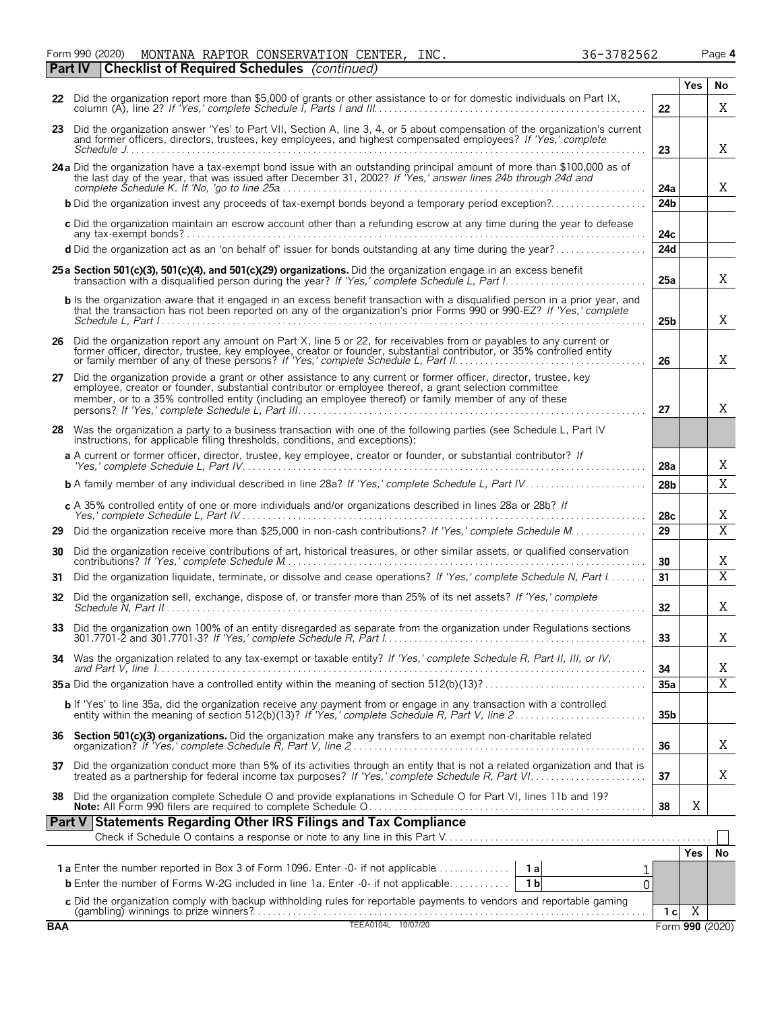Form 990 (2020) MONTANA RAPTOR CONSERVATION CENTER, INC. 36-3782562 Page 4

|     | <b>Part IV</b> | <b>Checklist of Required Schedules</b> (continued)                                                                                                                                                                                                                                                                                    |                 |            |                |
|-----|----------------|---------------------------------------------------------------------------------------------------------------------------------------------------------------------------------------------------------------------------------------------------------------------------------------------------------------------------------------|-----------------|------------|----------------|
|     |                |                                                                                                                                                                                                                                                                                                                                       |                 | <b>Yes</b> | No             |
|     |                | 22 Did the organization report more than \$5,000 of grants or other assistance to or for domestic individuals on Part IX,                                                                                                                                                                                                             | 22              |            | Χ              |
|     |                | 23 Did the organization answer 'Yes' to Part VII, Section A, line 3, 4, or 5 about compensation of the organization's current<br>and former officers, directors, trustees, key employees, and highest compensated employees? If 'Yes,' complete                                                                                       | 23              |            | X              |
|     |                |                                                                                                                                                                                                                                                                                                                                       |                 |            |                |
|     |                | 24 a Did the organization have a tax-exempt bond issue with an outstanding principal amount of more than \$100,000 as of<br>the last day of the year, that was issued after December 31, 2002? If Yes,' answer lines 24b through 24d and                                                                                              | 24a             |            | X              |
|     |                | <b>b</b> Did the organization invest any proceeds of tax-exempt bonds beyond a temporary period exception?                                                                                                                                                                                                                            | 24 <sub>b</sub> |            |                |
|     |                | c Did the organization maintain an escrow account other than a refunding escrow at any time during the year to defease                                                                                                                                                                                                                | 24с             |            |                |
|     |                |                                                                                                                                                                                                                                                                                                                                       | 24d             |            |                |
|     |                | 25 a Section 501(c)(3), 501(c)(4), and 501(c)(29) organizations. Did the organization engage in an excess benefit                                                                                                                                                                                                                     | 25a             |            | X              |
|     |                | b Is the organization aware that it engaged in an excess benefit transaction with a disqualified person in a prior year, and that the transaction has not been reported on any of the organization's prior Forms 990 or 990-EZ                                                                                                        | 25b             |            | Χ              |
|     |                | 26 Did the organization report any amount on Part X, line 5 or 22, for receivables from or payables to any current or                                                                                                                                                                                                                 |                 |            |                |
|     |                | former officer, director, trustee, key employee, creator or founder, substantial contributor, or 35% controlled entity or family member of any of these persons? If 'Yes,' complete Schedule L, Part II.                                                                                                                              | 26              |            | X              |
| 27  |                | Did the organization provide a grant or other assistance to any current or former officer, director, trustee, key<br>employee, creator or founder, substantial contributor or employee thereof, a grant selection committee<br>member, or to a 35% controlled entity (including an employee thereof) or family member of any of these | 27              |            | X              |
|     |                | 28 Was the organization a party to a business transaction with one of the following parties (see Schedule L, Part IV<br>instructions, for applicable filing thresholds, conditions, and exceptions):                                                                                                                                  |                 |            |                |
|     |                | a A current or former officer, director, trustee, key employee, creator or founder, or substantial contributor? If                                                                                                                                                                                                                    | 28a             |            | X              |
|     |                |                                                                                                                                                                                                                                                                                                                                       | 28 <sub>b</sub> |            | X              |
|     |                | c A 35% controlled entity of one or more individuals and/or organizations described in lines 28a or 28b? If                                                                                                                                                                                                                           | 28 <sub>c</sub> |            | X              |
| 29  |                |                                                                                                                                                                                                                                                                                                                                       | 29              |            | $\overline{X}$ |
| 30  |                | Did the organization receive contributions of art, historical treasures, or other similar assets, or qualified conservation                                                                                                                                                                                                           | 30              |            | X              |
| 31  |                | Did the organization liquidate, terminate, or dissolve and cease operations? If 'Yes,' complete Schedule N, Part I                                                                                                                                                                                                                    | 31              |            | $\overline{X}$ |
| 32  |                | Did the organization sell, exchange, dispose of, or transfer more than 25% of its net assets? If 'Yes,' complete                                                                                                                                                                                                                      | 32              |            | Χ              |
|     |                | 33 Did the organization own 100% of an entity disregarded as separate from the organization under Regulations sections                                                                                                                                                                                                                | 33              |            | Χ              |
| 34. |                | Was the organization related to any tax-exempt or taxable entity? If 'Yes,' complete Schedule R, Part II, III, or IV,                                                                                                                                                                                                                 | 34              |            | Χ              |
|     |                |                                                                                                                                                                                                                                                                                                                                       | 35a             |            | $\overline{X}$ |
|     |                | <b>b</b> If 'Yes' to line 35a, did the organization receive any payment from or engage in any transaction with a controlled entity within the meaning of section 512(b)(13)? If 'Yes,' complete Schedule R, Part V, line 2                                                                                                            | 35b             |            |                |
|     |                | 36 Section 501(c)(3) organizations. Did the organization make any transfers to an exempt non-charitable related                                                                                                                                                                                                                       | 36              |            | Χ              |
| 37  |                | Did the organization conduct more than 5% of its activities through an entity that is not a related organization and that is treated as a partnership for federal income tax purposes? If 'Yes,' complete Schedule R, Part VI.                                                                                                        | 37              |            | Χ              |
| 38  |                | Did the organization complete Schedule O and provide explanations in Schedule O for Part VI, lines 11b and 19?                                                                                                                                                                                                                        | 38              | Χ          |                |
|     |                | Part V Statements Regarding Other IRS Filings and Tax Compliance                                                                                                                                                                                                                                                                      |                 |            |                |

|                                             |  |                 | res |  |  |
|---------------------------------------------|--|-----------------|-----|--|--|
|                                             |  |                 |     |  |  |
|                                             |  |                 |     |  |  |
|                                             |  |                 |     |  |  |
| 10/07/20<br><b>BAA</b><br><b>FFE AN104L</b> |  | Form 990 (2020) |     |  |  |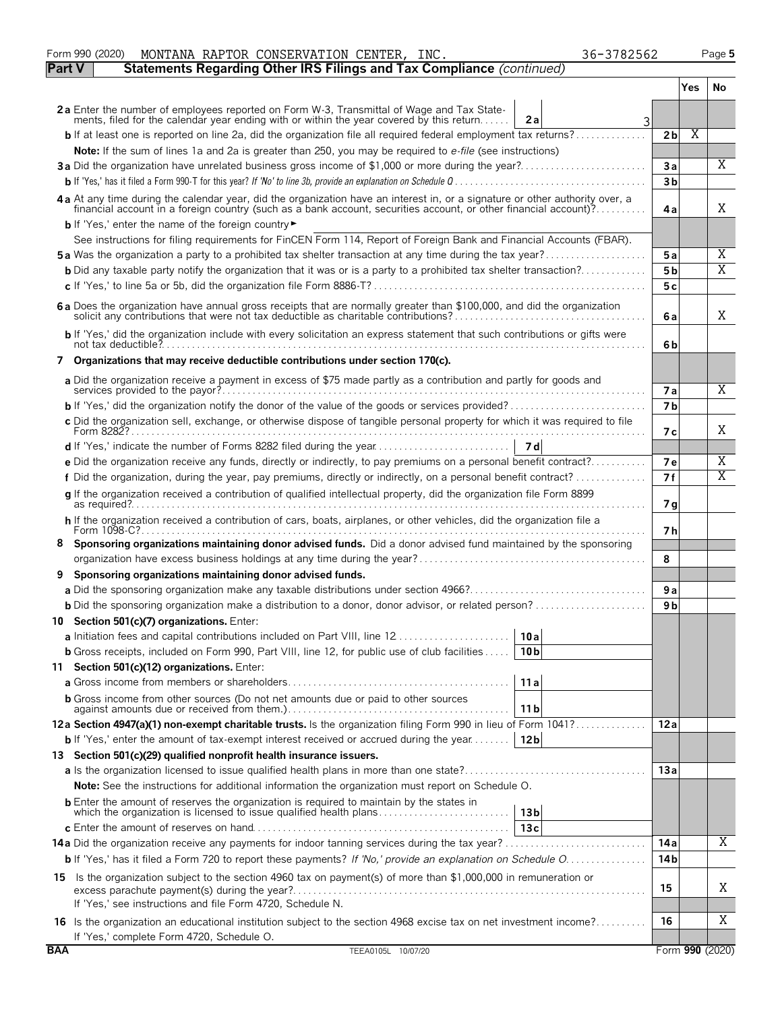|               | MONTANA RAPTOR CONSERVATION CENTER, INC.<br>36-3782562<br>Form 990 (2020)                                                                                                                                                      |                       |      | Page 5          |
|---------------|--------------------------------------------------------------------------------------------------------------------------------------------------------------------------------------------------------------------------------|-----------------------|------|-----------------|
| <b>Part V</b> | Statements Regarding Other IRS Filings and Tax Compliance (continued)                                                                                                                                                          |                       |      |                 |
|               |                                                                                                                                                                                                                                |                       | Yes. | No              |
|               | 2a Enter the number of employees reported on Form W-3, Transmittal of Wage and Tax State-<br>ments, filed for the calendar year ending with or within the year covered by this return<br>2a<br>3                               |                       |      |                 |
|               | <b>b</b> If at least one is reported on line 2a, did the organization file all required federal employment tax returns?                                                                                                        | 2 <sub>b</sub>        | X    |                 |
|               | Note: If the sum of lines 1a and 2a is greater than 250, you may be required to e-file (see instructions)                                                                                                                      |                       |      |                 |
|               | 3a Did the organization have unrelated business gross income of \$1,000 or more during the year?                                                                                                                               | Зa                    |      | X               |
|               |                                                                                                                                                                                                                                | 3 <sub>b</sub>        |      |                 |
|               | 4a At any time during the calendar year, did the organization have an interest in, or a signature or other authority over, a financial account in a foreign country (such as a bank account, securities account, or other fina | 4a                    |      | X               |
|               | <b>b</b> If 'Yes,' enter the name of the foreign country                                                                                                                                                                       |                       |      |                 |
|               | See instructions for filing requirements for FinCEN Form 114, Report of Foreign Bank and Financial Accounts (FBAR).                                                                                                            |                       |      |                 |
|               | 5a Was the organization a party to a prohibited tax shelter transaction at any time during the tax year?                                                                                                                       | 5a                    |      | Χ               |
|               | <b>b</b> Did any taxable party notify the organization that it was or is a party to a prohibited tax shelter transaction?                                                                                                      | 5 b                   |      | X               |
|               |                                                                                                                                                                                                                                | 5 c                   |      |                 |
|               | 6a Does the organization have annual gross receipts that are normally greater than \$100,000, and did the organization                                                                                                         | 6a                    |      | X               |
|               | b If 'Yes,' did the organization include with every solicitation an express statement that such contributions or gifts were                                                                                                    | 6b                    |      |                 |
|               | 7 Organizations that may receive deductible contributions under section 170(c).                                                                                                                                                |                       |      |                 |
|               | a Did the organization receive a payment in excess of \$75 made partly as a contribution and partly for goods and                                                                                                              |                       |      |                 |
|               | services provided to the payor?                                                                                                                                                                                                | 7 a<br>7 <sub>b</sub> |      | X               |
|               | c Did the organization sell, exchange, or otherwise dispose of tangible personal property for which it was required to file                                                                                                    |                       |      |                 |
|               |                                                                                                                                                                                                                                | 7 с                   |      | X               |
|               |                                                                                                                                                                                                                                |                       |      |                 |
|               | e Did the organization receive any funds, directly or indirectly, to pay premiums on a personal benefit contract?                                                                                                              | 7е                    |      | Χ               |
|               | f Did the organization, during the year, pay premiums, directly or indirectly, on a personal benefit contract?                                                                                                                 | 7f                    |      | Χ               |
|               | g If the organization received a contribution of qualified intellectual property, did the organization file Form 8899                                                                                                          | 7 g                   |      |                 |
|               | h If the organization received a contribution of cars, boats, airplanes, or other vehicles, did the organization file a                                                                                                        | 7 h                   |      |                 |
| 8             | Sponsoring organizations maintaining donor advised funds. Did a donor advised fund maintained by the sponsoring                                                                                                                | 8                     |      |                 |
| 9             | Sponsoring organizations maintaining donor advised funds.                                                                                                                                                                      |                       |      |                 |
|               |                                                                                                                                                                                                                                | 9a                    |      |                 |
|               | <b>b</b> Did the sponsoring organization make a distribution to a donor, donor advisor, or related person?                                                                                                                     | 9 b                   |      |                 |
|               | 10 Section 501(c)(7) organizations. Enter:                                                                                                                                                                                     |                       |      |                 |
|               | a Initiation fees and capital contributions included on Part VIII, line 12<br>10a                                                                                                                                              |                       |      |                 |
|               | <b>b</b> Gross receipts, included on Form 990, Part VIII, line 12, for public use of club facilities<br>10 <sub>b</sub>                                                                                                        |                       |      |                 |
|               | 11 Section 501(c)(12) organizations. Enter:                                                                                                                                                                                    |                       |      |                 |
|               | 11a                                                                                                                                                                                                                            |                       |      |                 |
|               | <b>b</b> Gross income from other sources (Do not net amounts due or paid to other sources<br>11 b                                                                                                                              |                       |      |                 |
|               | 12a Section 4947(a)(1) non-exempt charitable trusts. Is the organization filing Form 990 in lieu of Form 1041?                                                                                                                 | 12a                   |      |                 |
|               | <b>b</b> If 'Yes,' enter the amount of tax-exempt interest received or accrued during the year<br>12b                                                                                                                          |                       |      |                 |
|               | 13 Section 501(c)(29) qualified nonprofit health insurance issuers.                                                                                                                                                            |                       |      |                 |
|               |                                                                                                                                                                                                                                | 13a                   |      |                 |
|               | <b>Note:</b> See the instructions for additional information the organization must report on Schedule O.                                                                                                                       |                       |      |                 |
|               | <b>b</b> Enter the amount of reserves the organization is required to maintain by the states in<br>which the organization is licensed to issue qualified health plans<br>13 <sub>b</sub>                                       |                       |      |                 |
|               | 13c                                                                                                                                                                                                                            |                       |      | X               |
|               |                                                                                                                                                                                                                                | 14a                   |      |                 |
|               | <b>b</b> If 'Yes,' has it filed a Form 720 to report these payments? If 'No,' provide an explanation on Schedule O.                                                                                                            | 14 b                  |      |                 |
|               | 15 Is the organization subject to the section 4960 tax on payment(s) of more than \$1,000,000 in remuneration or                                                                                                               | 15                    |      | Χ               |
|               | If 'Yes,' see instructions and file Form 4720, Schedule N.                                                                                                                                                                     |                       |      | Χ               |
|               | 16 Is the organization an educational institution subject to the section 4968 excise tax on net investment income?<br>If 'Yes,' complete Form 4720, Schedule O.                                                                | 16                    |      |                 |
| <b>BAA</b>    | TEEA0105L 10/07/20                                                                                                                                                                                                             |                       |      | Form 990 (2020) |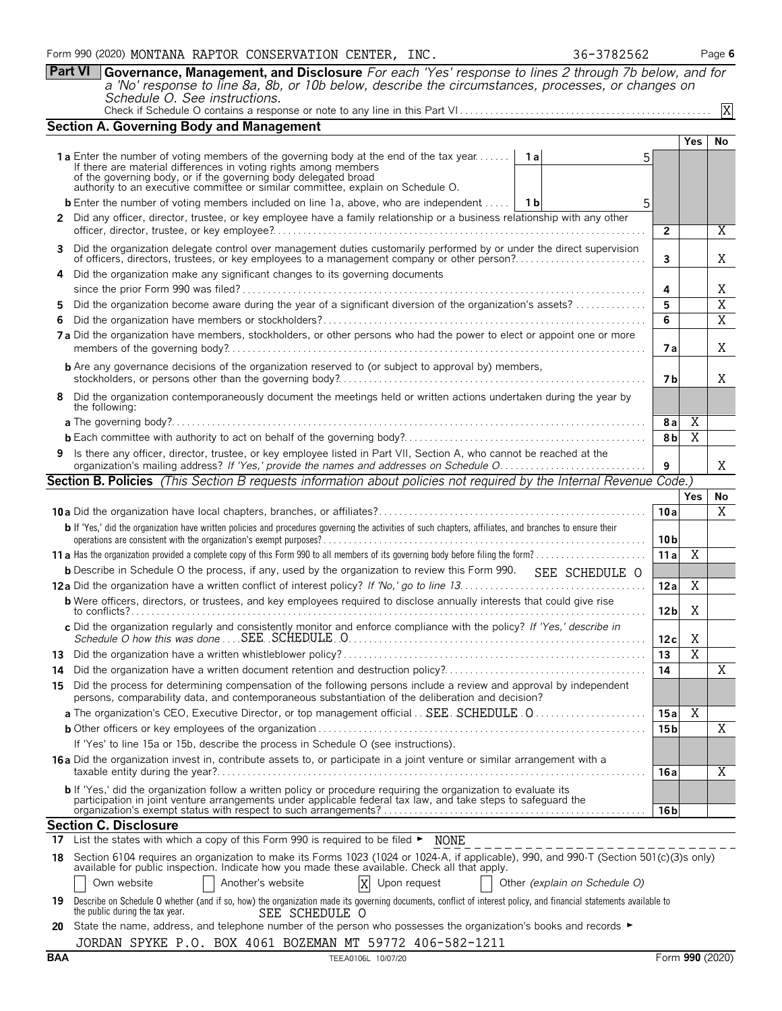**Part VI Governance, Management, and Disclosure** *For each 'Yes' response to lines 2 through 7b below, and for a 'No' response to line 8a, 8b, or 10b below, describe the circumstances, processes, or changes on Schedule O. See instructions.*

| Check if Schedule O contains a response or note to any line in this Part VI |  |  |  |  |  |  |  |
|-----------------------------------------------------------------------------|--|--|--|--|--|--|--|

Check if Schedule O contains a response or note to any line in this Part VI . . . . . . . . . . . . . . . . . . . . . . . . . . . . . . . . . . . . . . . . . . . . . . . . . .

|     | <b>Section A. Governing Body and Management</b>                                                                                                                                                                                  |                               |                 |                |                      |  |  |  |
|-----|----------------------------------------------------------------------------------------------------------------------------------------------------------------------------------------------------------------------------------|-------------------------------|-----------------|----------------|----------------------|--|--|--|
|     |                                                                                                                                                                                                                                  |                               |                 | Yes            | No                   |  |  |  |
|     | <b>1a</b> Enter the number of voting members of the governing body at the end of the tax year <b>1a</b><br>If there are material differences in voting rights among members                                                      | 5                             |                 |                |                      |  |  |  |
|     | of the governing body, or if the governing body delegated broad authority to an executive committee or similar committee, explain on Schedule O.                                                                                 |                               |                 |                |                      |  |  |  |
|     |                                                                                                                                                                                                                                  |                               |                 |                |                      |  |  |  |
|     | <b>b</b> Enter the number of voting members included on line 1a, above, who are independent    1b                                                                                                                                | 5                             |                 |                |                      |  |  |  |
|     | 2 Did any officer, director, trustee, or key employee have a family relationship or a business relationship with any other                                                                                                       |                               | $\overline{2}$  |                | Χ                    |  |  |  |
|     |                                                                                                                                                                                                                                  |                               |                 |                |                      |  |  |  |
| 3   | Did the organization delegate control over management duties customarily performed by or under the direct supervision                                                                                                            |                               | 3               |                | Χ                    |  |  |  |
| 4   | Did the organization make any significant changes to its governing documents                                                                                                                                                     |                               |                 |                |                      |  |  |  |
|     |                                                                                                                                                                                                                                  |                               | 4               |                | Χ                    |  |  |  |
| 5   | Did the organization become aware during the year of a significant diversion of the organization's assets?                                                                                                                       |                               | 5               |                | $\overline{X}$       |  |  |  |
| 6   |                                                                                                                                                                                                                                  |                               | 6               |                | $\overline{X}$       |  |  |  |
|     | 7a Did the organization have members, stockholders, or other persons who had the power to elect or appoint one or more                                                                                                           |                               | 7а              |                | Χ                    |  |  |  |
|     | <b>b</b> Are any governance decisions of the organization reserved to (or subject to approval by) members,                                                                                                                       |                               |                 |                |                      |  |  |  |
|     |                                                                                                                                                                                                                                  |                               | 7 b             |                | X                    |  |  |  |
| 8   | Did the organization contemporaneously document the meetings held or written actions undertaken during the year by<br>the following:                                                                                             |                               |                 |                |                      |  |  |  |
|     |                                                                                                                                                                                                                                  |                               | 8 a             | X              |                      |  |  |  |
|     |                                                                                                                                                                                                                                  |                               | 8 <sub>b</sub>  | X              |                      |  |  |  |
| 9   | Is there any officer, director, trustee, or key employee listed in Part VII, Section A, who cannot be reached at the                                                                                                             |                               |                 |                |                      |  |  |  |
|     |                                                                                                                                                                                                                                  |                               | 9               |                | Χ                    |  |  |  |
|     | Section B. Policies (This Section B requests information about policies not required by the Internal Revenue Code.)                                                                                                              |                               |                 |                |                      |  |  |  |
|     |                                                                                                                                                                                                                                  |                               | 10a             | <b>Yes</b>     | No<br>$\overline{X}$ |  |  |  |
|     |                                                                                                                                                                                                                                  |                               |                 |                |                      |  |  |  |
|     | b If 'Yes,' did the organization have written policies and procedures governing the activities of such chapters, affiliates, and branches to ensure their                                                                        |                               | 10 <sub>b</sub> |                |                      |  |  |  |
|     |                                                                                                                                                                                                                                  |                               | 11a             | $\overline{X}$ |                      |  |  |  |
|     | <b>b</b> Describe in Schedule O the process, if any, used by the organization to review this Form 990. SEE SCHEDULE O                                                                                                            |                               |                 |                |                      |  |  |  |
|     |                                                                                                                                                                                                                                  |                               | 12a             | Χ              |                      |  |  |  |
|     | <b>b</b> Were officers, directors, or trustees, and key employees required to disclose annually interests that could give rise                                                                                                   |                               |                 |                |                      |  |  |  |
|     | c Did the organization regularly and consistently monitor and enforce compliance with the policy? If 'Yes,' describe in                                                                                                          |                               | 12 <sub>b</sub> | Χ              |                      |  |  |  |
|     |                                                                                                                                                                                                                                  |                               | 12c             | Χ              |                      |  |  |  |
|     |                                                                                                                                                                                                                                  |                               | 13              | $\overline{X}$ |                      |  |  |  |
| 14  |                                                                                                                                                                                                                                  |                               | 14              |                | Χ                    |  |  |  |
| 15  | Did the process for determining compensation of the following persons include a review and approval by independent<br>persons, comparability data, and contemporaneous substantiation of the deliberation and decision?          |                               |                 |                |                      |  |  |  |
|     |                                                                                                                                                                                                                                  |                               | 15a             | Χ              |                      |  |  |  |
|     |                                                                                                                                                                                                                                  |                               | 15 b            |                | Χ                    |  |  |  |
|     | If 'Yes' to line 15a or 15b, describe the process in Schedule O (see instructions).                                                                                                                                              |                               |                 |                |                      |  |  |  |
|     | 16a Did the organization invest in, contribute assets to, or participate in a joint venture or similar arrangement with a                                                                                                        |                               | 16a             |                | $\overline{X}$       |  |  |  |
|     | b If 'Yes,' did the organization follow a written policy or procedure requiring the organization to evaluate its                                                                                                                 |                               |                 |                |                      |  |  |  |
|     | participation in joint venture arrangements under applicable federal tax law, and take steps to safeguard the                                                                                                                    |                               | 16 <sub>b</sub> |                |                      |  |  |  |
|     | <b>Section C. Disclosure</b>                                                                                                                                                                                                     |                               |                 |                |                      |  |  |  |
|     | 17 List the states with which a copy of this Form 990 is required to be filed > NONE                                                                                                                                             |                               |                 |                |                      |  |  |  |
| 18. | Section 6104 requires an organization to make its Forms 1023 (1024 or 1024-A, if applicable), 990, and 990-T (Section 501(c)(3)s only)<br>available for public inspection. Indicate how you made these available. Check all that |                               |                 |                |                      |  |  |  |
|     | Another's website<br>X<br>Own website<br>Upon request                                                                                                                                                                            | Other (explain on Schedule O) |                 |                |                      |  |  |  |
| 19. | Describe on Schedule O whether (and if so, how) the organization made its governing documents, conflict of interest policy, and financial statements available to<br>the public during the tax year.<br>SEE SCHEDULE O           |                               |                 |                |                      |  |  |  |
|     | 20 State the name, address, and telephone number of the person who possesses the organization's books and records ►                                                                                                              |                               |                 |                |                      |  |  |  |
|     | JORDAN SPYKE P.O. BOX 4061 BOZEMAN MT 59772 406-582-1211                                                                                                                                                                         |                               |                 |                |                      |  |  |  |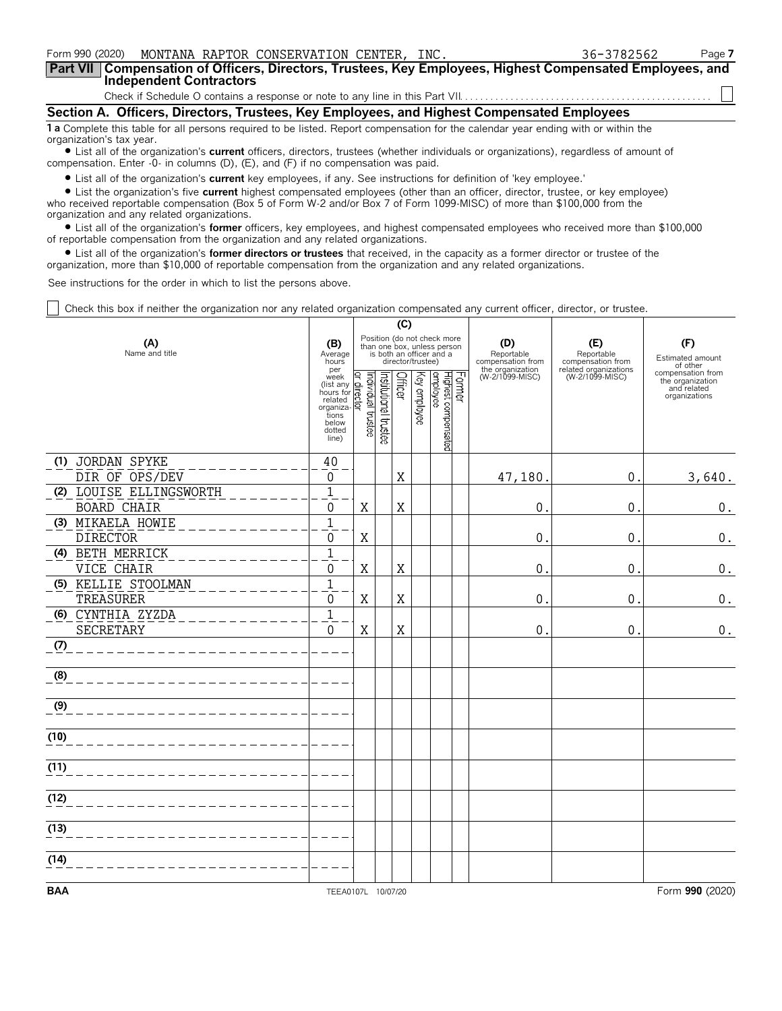| Form 990 (2020) MONTANA RAPTOR CONSERVATION CENTER, INC.                                                                                      | 36-3782562 | Page 7 |  |  |  |  |  |  |  |
|-----------------------------------------------------------------------------------------------------------------------------------------------|------------|--------|--|--|--|--|--|--|--|
| Part VII   Compensation of Officers, Directors, Trustees, Key Employees, Highest Compensated Employees, and<br><b>Independent Contractors</b> |            |        |  |  |  |  |  |  |  |
|                                                                                                                                               |            |        |  |  |  |  |  |  |  |
| Section A. Officers, Directors, Trustees, Key Employees, and Highest Compensated Employees                                                    |            |        |  |  |  |  |  |  |  |
| 1 a Complete this table for all persons required to be listed. Report compensation for the calendar year ending with or within the            |            |        |  |  |  |  |  |  |  |

organization's tax year. ? List all of the organization's **current** officers, directors, trustees (whether individuals or organizations), regardless of amount of compensation. Enter -0- in columns (D),  $(E)$ , and  $(F)$  if no compensation was paid.

? List all of the organization's **current** key employees, if any. See instructions for definition of 'key employee.'

? List the organization's five **current** highest compensated employees (other than an officer, director, trustee, or key employee) who received reportable compensation (Box 5 of Form W-2 and/or Box 7 of Form 1099-MISC) of more than \$100,000 from the organization and any related organizations.

? List all of the organization's **former** officers, key employees, and highest compensated employees who received more than \$100,000 of reportable compensation from the organization and any related organizations.

? List all of the organization's **former directors or trustees** that received, in the capacity as a former director or trustee of the organization, more than \$10,000 of reportable compensation from the organization and any related organizations.

See instructions for the order in which to list the persons above.

Check this box if neither the organization nor any related organization compensated any current officer, director, or trustee.

|                                           |                                                                                             |                                |                       | (C)     |                   |                                                                                        |        |                                                            |                                                                 |                                                                       |
|-------------------------------------------|---------------------------------------------------------------------------------------------|--------------------------------|-----------------------|---------|-------------------|----------------------------------------------------------------------------------------|--------|------------------------------------------------------------|-----------------------------------------------------------------|-----------------------------------------------------------------------|
| (A)<br>Name and title                     | (B)<br>Average<br>hours<br>per                                                              |                                |                       |         | director/trustee) | Position (do not check more<br>than one box, unless person<br>is both an officer and a |        | (D)<br>Reportable<br>compensation from<br>the organization | (E)<br>Reportable<br>compensation from<br>related organizations | (F)<br>Estimated amount<br>of other                                   |
|                                           | week<br>(list any<br>hours for<br>related<br>organiza-<br>tions<br>below<br>dotted<br>line) | Individual trustee<br>director | Institutional trustee | Officer | Key employee      | Highest compensated<br>employee                                                        | Former | (W-2/1099-MISC)                                            | (W-2/1099-MISC)                                                 | compensation from<br>the organization<br>and related<br>organizations |
| (1) JORDAN SPYKE                          | 40                                                                                          |                                |                       |         |                   |                                                                                        |        |                                                            |                                                                 |                                                                       |
| DIR OF OPS/DEV<br>(2) LOUISE ELLINGSWORTH | 0<br>$\mathbf 1$                                                                            |                                |                       | Χ       |                   |                                                                                        |        | 47,180                                                     | 0.                                                              | 3,640.                                                                |
| <b>BOARD CHAIR</b>                        | $\Omega$                                                                                    | X                              |                       | X       |                   |                                                                                        |        | 0                                                          | 0.                                                              | 0.                                                                    |
| (3) MIKAELA HOWIE                         | $\mathbf{1}$                                                                                |                                |                       |         |                   |                                                                                        |        |                                                            |                                                                 |                                                                       |
| <b>DIRECTOR</b>                           | $\Omega$                                                                                    | $\mathbf X$                    |                       |         |                   |                                                                                        |        | $\mathbf{0}$                                               | 0.                                                              | $\boldsymbol{0}$ .                                                    |
| (4) BETH MERRICK                          | $\mathbf{1}$                                                                                |                                |                       |         |                   |                                                                                        |        |                                                            |                                                                 |                                                                       |
| VICE CHAIR                                | 0                                                                                           | X                              |                       | Χ       |                   |                                                                                        |        | 0                                                          | $\mathbf 0$ .                                                   | 0.                                                                    |
| (5) KELLIE STOOLMAN<br>TREASURER          | $\overline{1}$<br>$\Omega$                                                                  | $\mathbf X$                    |                       | X       |                   |                                                                                        |        | 0                                                          | $\mathbf 0$ .                                                   | 0.                                                                    |
| (6) CYNTHIA ZYZDA<br><b>SECRETARY</b>     | $\mathbf{1}$<br>$\overline{0}$                                                              | $\mathbf X$                    |                       | X       |                   |                                                                                        |        | 0                                                          | $\mathbf{0}$ .                                                  | $0$ .                                                                 |
| (7)                                       |                                                                                             |                                |                       |         |                   |                                                                                        |        |                                                            |                                                                 |                                                                       |
| (8)                                       |                                                                                             |                                |                       |         |                   |                                                                                        |        |                                                            |                                                                 |                                                                       |
| (9)                                       |                                                                                             |                                |                       |         |                   |                                                                                        |        |                                                            |                                                                 |                                                                       |
| (10)                                      |                                                                                             |                                |                       |         |                   |                                                                                        |        |                                                            |                                                                 |                                                                       |
| (11)                                      |                                                                                             |                                |                       |         |                   |                                                                                        |        |                                                            |                                                                 |                                                                       |
| (12)                                      |                                                                                             |                                |                       |         |                   |                                                                                        |        |                                                            |                                                                 |                                                                       |
| (13)                                      |                                                                                             |                                |                       |         |                   |                                                                                        |        |                                                            |                                                                 |                                                                       |
| (14)                                      |                                                                                             |                                |                       |         |                   |                                                                                        |        |                                                            |                                                                 |                                                                       |
| <b>BAA</b>                                | TEEA0107L 10/07/20                                                                          |                                |                       |         |                   |                                                                                        |        |                                                            |                                                                 | Form 990 (2020)                                                       |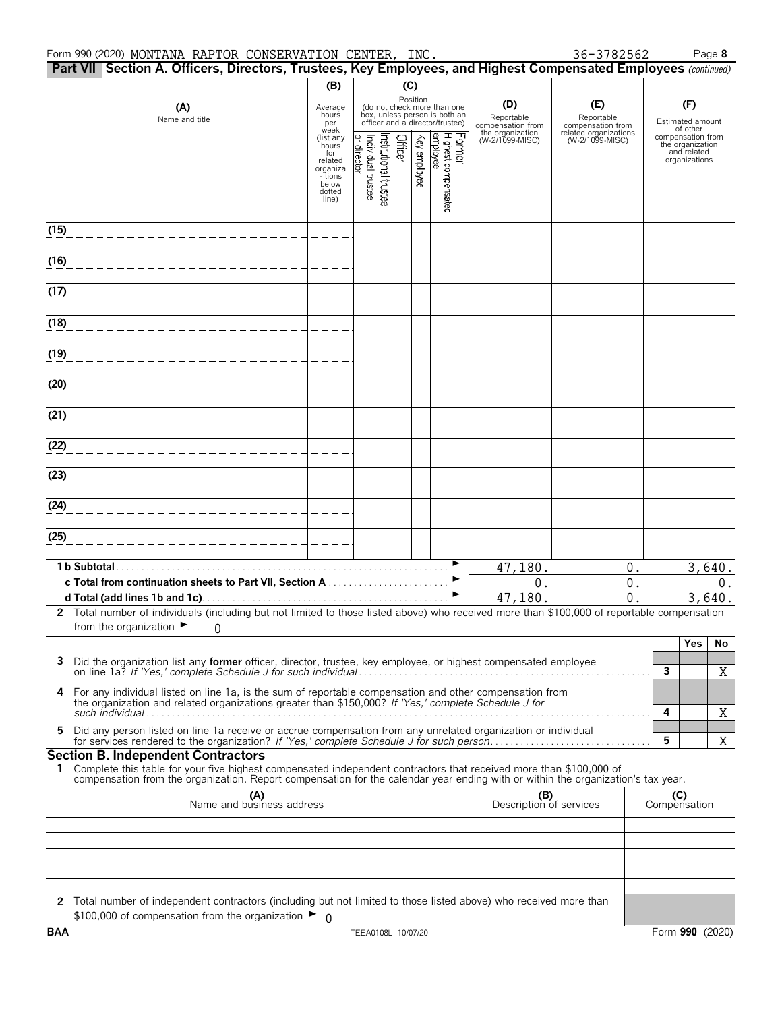#### Form 990 (2020) Page **8** MONTANA RAPTOR CONSERVATION CENTER, INC. 36-3782562

|      | Part VII Section A. Officers, Directors, Trustees, Key Employees, and Highest Compensated Employees (continued)                                                                                                                                                                                                                                                                                                                        |                                                  |                                                          |                      |                         |                                                                                                             |                                        |                                          |              |                                                                       |        |
|------|----------------------------------------------------------------------------------------------------------------------------------------------------------------------------------------------------------------------------------------------------------------------------------------------------------------------------------------------------------------------------------------------------------------------------------------|--------------------------------------------------|----------------------------------------------------------|----------------------|-------------------------|-------------------------------------------------------------------------------------------------------------|----------------------------------------|------------------------------------------|--------------|-----------------------------------------------------------------------|--------|
|      |                                                                                                                                                                                                                                                                                                                                                                                                                                        | (B)                                              |                                                          |                      | (C)                     |                                                                                                             |                                        |                                          |              |                                                                       |        |
|      | (A)<br>Name and title                                                                                                                                                                                                                                                                                                                                                                                                                  | Average<br>hours<br>per<br>week                  |                                                          |                      |                         | Position<br>(do not check more than one<br>box, unless person is both an<br>officer and a director/trustee) | (D)<br>Reportable<br>compensation from | (E)<br>Reportable<br>compensation from   |              | (F)<br>Estimated amount<br>of other                                   |        |
|      |                                                                                                                                                                                                                                                                                                                                                                                                                                        | (list any<br>hours<br>for<br>related<br>organiza | Individual trustee<br>$\overline{\mathbf{Q}}$<br>irector | nstitutional trustee | Key employee<br>Officer | Former<br>Highest compensated<br> employee                                                                  | the organization<br>(W-2/1099-MISC)    | related organizations<br>(W-2/1099-MISC) |              | compensation from<br>the organization<br>and related<br>organizations |        |
|      |                                                                                                                                                                                                                                                                                                                                                                                                                                        | - tions<br>below<br>dotted<br>line)              |                                                          |                      |                         |                                                                                                             |                                        |                                          |              |                                                                       |        |
| (15) |                                                                                                                                                                                                                                                                                                                                                                                                                                        |                                                  |                                                          |                      |                         |                                                                                                             |                                        |                                          |              |                                                                       |        |
| (16) |                                                                                                                                                                                                                                                                                                                                                                                                                                        |                                                  |                                                          |                      |                         |                                                                                                             |                                        |                                          |              |                                                                       |        |
| (17) |                                                                                                                                                                                                                                                                                                                                                                                                                                        |                                                  |                                                          |                      |                         |                                                                                                             |                                        |                                          |              |                                                                       |        |
| (18) |                                                                                                                                                                                                                                                                                                                                                                                                                                        |                                                  |                                                          |                      |                         |                                                                                                             |                                        |                                          |              |                                                                       |        |
| (19) |                                                                                                                                                                                                                                                                                                                                                                                                                                        |                                                  |                                                          |                      |                         |                                                                                                             |                                        |                                          |              |                                                                       |        |
| (20) |                                                                                                                                                                                                                                                                                                                                                                                                                                        |                                                  |                                                          |                      |                         |                                                                                                             |                                        |                                          |              |                                                                       |        |
| (21) |                                                                                                                                                                                                                                                                                                                                                                                                                                        |                                                  |                                                          |                      |                         |                                                                                                             |                                        |                                          |              |                                                                       |        |
| (22) |                                                                                                                                                                                                                                                                                                                                                                                                                                        |                                                  |                                                          |                      |                         |                                                                                                             |                                        |                                          |              |                                                                       |        |
| (23) |                                                                                                                                                                                                                                                                                                                                                                                                                                        |                                                  |                                                          |                      |                         |                                                                                                             |                                        |                                          |              |                                                                       |        |
| (24) |                                                                                                                                                                                                                                                                                                                                                                                                                                        |                                                  |                                                          |                      |                         |                                                                                                             |                                        |                                          |              |                                                                       |        |
| (25) |                                                                                                                                                                                                                                                                                                                                                                                                                                        |                                                  |                                                          |                      |                         |                                                                                                             |                                        |                                          |              |                                                                       |        |
|      | 1 b Subtotal.                                                                                                                                                                                                                                                                                                                                                                                                                          |                                                  |                                                          |                      |                         |                                                                                                             | 47,180.                                | 0.                                       |              |                                                                       | 3,640. |
|      | c Total from continuation sheets to Part VII, Section A                                                                                                                                                                                                                                                                                                                                                                                |                                                  |                                                          |                      |                         |                                                                                                             | 0.                                     | $0$ .<br>$\overline{0}$ .                |              |                                                                       | $0$ .  |
|      | 2 Total number of individuals (including but not limited to those listed above) who received more than \$100,000 of reportable compensation                                                                                                                                                                                                                                                                                            |                                                  |                                                          |                      |                         |                                                                                                             | 47,180.                                |                                          |              |                                                                       | 3,640. |
|      | from the organization $\blacktriangleright$<br>0                                                                                                                                                                                                                                                                                                                                                                                       |                                                  |                                                          |                      |                         |                                                                                                             |                                        |                                          |              | Yes                                                                   | No     |
| 3    | Did the organization list any <b>former</b> officer, director, trustee, key employee, or highest compensated employee                                                                                                                                                                                                                                                                                                                  |                                                  |                                                          |                      |                         |                                                                                                             |                                        |                                          | $\mathbf{3}$ |                                                                       | X      |
| 4    | For any individual listed on line 1a, is the sum of reportable compensation and other compensation from<br>the organization and related organizations greater than \$150,000? If 'Yes,' complete Schedule J for<br>such individual $\ldots$ , $\ldots$ , $\ldots$ , $\ldots$ , $\ldots$ , $\ldots$ , $\ldots$ , $\ldots$ , $\ldots$ , $\ldots$ , $\ldots$ , $\ldots$ , $\ldots$ , $\ldots$ , $\ldots$ , $\ldots$ , $\ldots$ , $\ldots$ |                                                  |                                                          |                      |                         |                                                                                                             |                                        |                                          | 4            |                                                                       | X      |
| 5    | Did any person listed on line 1a receive or accrue compensation from any unrelated organization or individual                                                                                                                                                                                                                                                                                                                          |                                                  |                                                          |                      |                         |                                                                                                             |                                        |                                          | 5            |                                                                       | X      |
|      | <b>Section B. Independent Contractors</b>                                                                                                                                                                                                                                                                                                                                                                                              |                                                  |                                                          |                      |                         |                                                                                                             |                                        |                                          |              |                                                                       |        |
|      | Complete this table for your five highest compensated independent contractors that received more than \$100,000 of<br>compensation from the organization. Report compensation for the calendar year ending with or within the organization's tax year.                                                                                                                                                                                 |                                                  |                                                          |                      |                         |                                                                                                             |                                        |                                          |              |                                                                       |        |
|      | (A)<br>Name and business address                                                                                                                                                                                                                                                                                                                                                                                                       |                                                  |                                                          |                      |                         |                                                                                                             | (B)<br>Description of services         |                                          | Compensation | (C)                                                                   |        |
|      |                                                                                                                                                                                                                                                                                                                                                                                                                                        |                                                  |                                                          |                      |                         |                                                                                                             |                                        |                                          |              |                                                                       |        |
|      |                                                                                                                                                                                                                                                                                                                                                                                                                                        |                                                  |                                                          |                      |                         |                                                                                                             |                                        |                                          |              |                                                                       |        |
|      | 2 Total number of independent contractors (including but not limited to those listed above) who received more than<br>\$100,000 of compensation from the organization $\blacktriangleright$ 0                                                                                                                                                                                                                                          |                                                  |                                                          |                      |                         |                                                                                                             |                                        |                                          |              |                                                                       |        |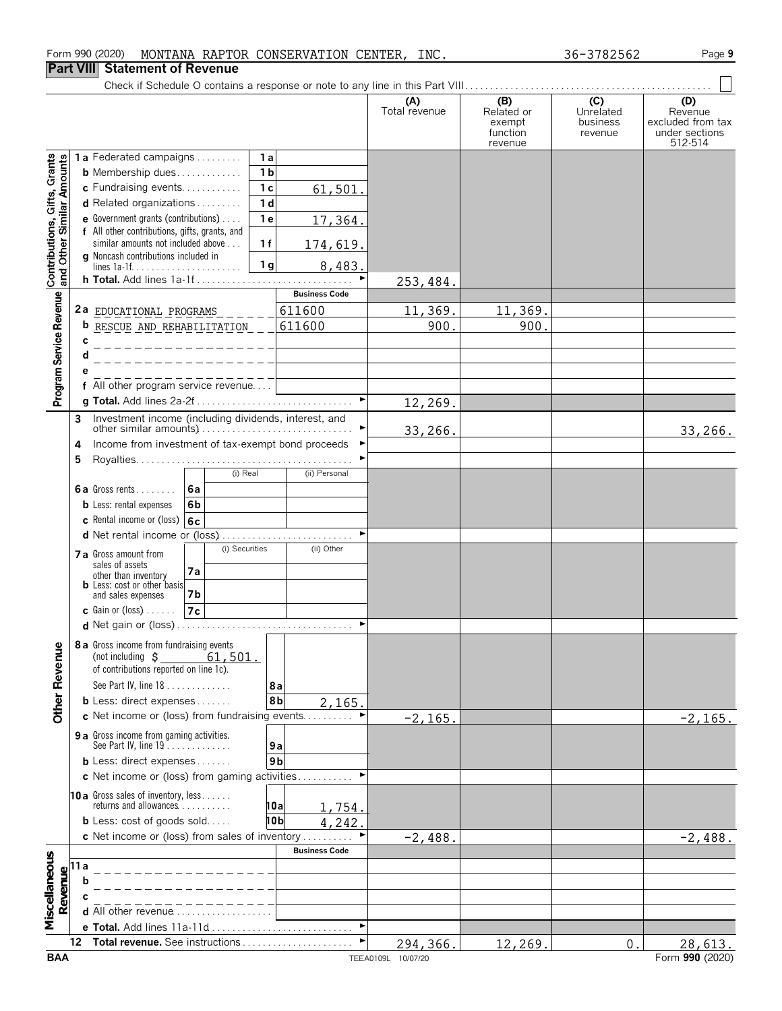#### Form 990 (2020) Page **9** MONTANA RAPTOR CONSERVATION CENTER, INC. 36-3782562

## **Part VIII Statement of Revenue**

|                                                 |                                |                                                                                      |                       | (A)<br>Total revenue | (B)<br>Related or<br>exempt<br>function<br>revenue | (C)<br>Unrelated<br>business<br>revenue | (D)<br>Revenue<br>excluded from tax<br>under sections<br>512-514 |
|-------------------------------------------------|--------------------------------|--------------------------------------------------------------------------------------|-----------------------|----------------------|----------------------------------------------------|-----------------------------------------|------------------------------------------------------------------|
|                                                 |                                | 1a<br><b>1a</b> Federated campaigns                                                  |                       |                      |                                                    |                                         |                                                                  |
| Contributions, Gifts, Grants<br>Similar Amounts |                                | 1 <sub>b</sub><br><b>b</b> Membership dues                                           |                       |                      |                                                    |                                         |                                                                  |
|                                                 |                                | 1 <sub>c</sub><br>c Fundraising events                                               | 61,501.               |                      |                                                    |                                         |                                                                  |
|                                                 |                                | 1 <sub>d</sub><br>d Related organizations<br>1e                                      |                       |                      |                                                    |                                         |                                                                  |
|                                                 |                                | e Government grants (contributions)<br>f All other contributions, gifts, grants, and | 17,364.               |                      |                                                    |                                         |                                                                  |
|                                                 |                                | similar amounts not included above<br>1f                                             | 174,619.              |                      |                                                    |                                         |                                                                  |
| and Other                                       |                                | g Noncash contributions included in<br>1 <sub>g</sub>                                | 8,483.                |                      |                                                    |                                         |                                                                  |
|                                                 |                                | h Total. Add lines 1a-1f                                                             |                       | 253,484.             |                                                    |                                         |                                                                  |
|                                                 |                                |                                                                                      | <b>Business Code</b>  |                      |                                                    |                                         |                                                                  |
|                                                 |                                | 2a EDUCATIONAL PROGRAMS                                                              | 611600                | 11,369.              | 11,369.                                            |                                         |                                                                  |
| Program Service Revenue                         |                                | <b>b</b> RESCUE AND REHABILITATION                                                   | 611600                | 900.                 | 900.                                               |                                         |                                                                  |
|                                                 |                                |                                                                                      |                       |                      |                                                    |                                         |                                                                  |
|                                                 |                                |                                                                                      |                       |                      |                                                    |                                         |                                                                  |
|                                                 |                                | f All other program service revenue                                                  |                       |                      |                                                    |                                         |                                                                  |
|                                                 |                                |                                                                                      | $\blacktriangleright$ | 12,269.              |                                                    |                                         |                                                                  |
|                                                 | 3                              | Investment income (including dividends, interest, and                                |                       |                      |                                                    |                                         |                                                                  |
|                                                 |                                |                                                                                      |                       | 33,266.              |                                                    |                                         | 33, 266.                                                         |
|                                                 | 4                              | Income from investment of tax-exempt bond proceeds                                   |                       |                      |                                                    |                                         |                                                                  |
|                                                 | 5                              | (i) Real                                                                             | (ii) Personal         |                      |                                                    |                                         |                                                                  |
|                                                 |                                | <b>6a</b> Gross rents<br>l6a                                                         |                       |                      |                                                    |                                         |                                                                  |
|                                                 |                                | <b>b</b> Less: rental expenses<br>6b                                                 |                       |                      |                                                    |                                         |                                                                  |
|                                                 |                                | c Rental income or (loss) $ 6c $                                                     |                       |                      |                                                    |                                         |                                                                  |
|                                                 |                                |                                                                                      |                       |                      |                                                    |                                         |                                                                  |
|                                                 |                                | (i) Securities<br>7 a Gross amount from                                              | (ii) Other            |                      |                                                    |                                         |                                                                  |
|                                                 |                                | sales of assets<br>7а<br>other than inventory                                        |                       |                      |                                                    |                                         |                                                                  |
|                                                 |                                | <b>b</b> Less: cost or other basis<br>and sales expenses<br>7b                       |                       |                      |                                                    |                                         |                                                                  |
|                                                 |                                | <b>c</b> Gain or (loss) $\ldots$ .<br>7c                                             |                       |                      |                                                    |                                         |                                                                  |
|                                                 |                                |                                                                                      |                       |                      |                                                    |                                         |                                                                  |
|                                                 |                                | 8 a Gross income from fundraising events                                             |                       |                      |                                                    |                                         |                                                                  |
|                                                 |                                | 61,501.<br>(not including $\zeta$                                                    |                       |                      |                                                    |                                         |                                                                  |
|                                                 |                                | of contributions reported on line 1c).<br>See Part IV, line 18                       |                       |                      |                                                    |                                         |                                                                  |
|                                                 |                                | 8а<br><b>b</b> Less: direct expenses<br>8b                                           | 2,165.                |                      |                                                    |                                         |                                                                  |
| <b>Other Revenue</b>                            |                                | c Net income or (loss) from fundraising events                                       |                       | $-2, 165.$           |                                                    |                                         | $-2, 165.$                                                       |
|                                                 |                                | 9 a Gross income from gaming activities.                                             |                       |                      |                                                    |                                         |                                                                  |
|                                                 |                                | See Part IV, line 19<br>9а                                                           |                       |                      |                                                    |                                         |                                                                  |
|                                                 |                                | 9 <sub>b</sub><br><b>b</b> Less: direct expenses                                     |                       |                      |                                                    |                                         |                                                                  |
|                                                 |                                | c Net income or (loss) from gaming activities                                        |                       |                      |                                                    |                                         |                                                                  |
|                                                 |                                | <b>10a</b> Gross sales of inventory, less<br>returns and allowances<br>10al          |                       |                      |                                                    |                                         |                                                                  |
|                                                 |                                | <b>b</b> Less: cost of goods sold<br>10b                                             | 754.<br>242<br>4      |                      |                                                    |                                         |                                                                  |
|                                                 |                                | c Net income or (loss) from sales of inventory                                       |                       | $-2,488.$            |                                                    |                                         | $-2,488.$                                                        |
|                                                 |                                |                                                                                      | <b>Business Code</b>  |                      |                                                    |                                         |                                                                  |
| Miscellaneous                                   | Revenue<br>$\alpha$ b $\alpha$ |                                                                                      |                       |                      |                                                    |                                         |                                                                  |
|                                                 |                                |                                                                                      |                       |                      |                                                    |                                         |                                                                  |
|                                                 |                                |                                                                                      |                       |                      |                                                    |                                         |                                                                  |
|                                                 |                                | d All other revenue<br>e Total. Add lines 11a-11d                                    | ►                     |                      |                                                    |                                         |                                                                  |
|                                                 | 12                             | Total revenue. See instructions                                                      | ►                     | 294,366.             | 12,269.                                            | 0.                                      | 28,613.                                                          |
|                                                 |                                |                                                                                      |                       |                      |                                                    |                                         |                                                                  |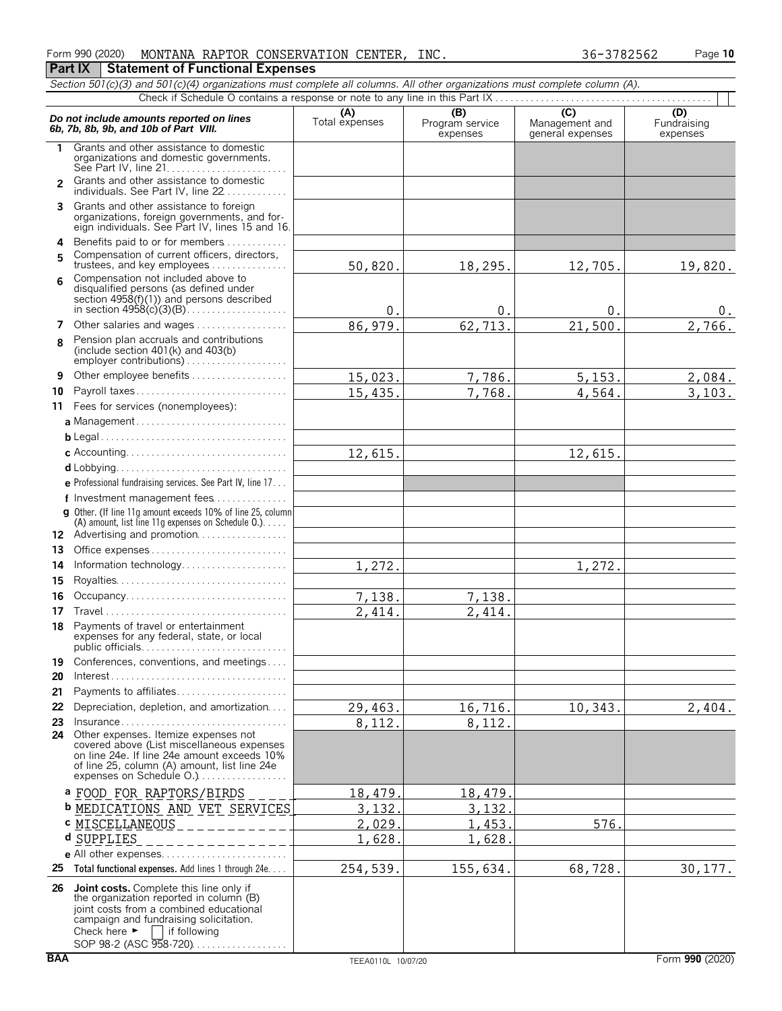| Form 990 (2020) |                                         | MONTANA RAPTOR CONSERVATION CENTER, | INC. | 36-3782562 | Page 10 |
|-----------------|-----------------------------------------|-------------------------------------|------|------------|---------|
| <b>Part IX</b>  | <b>Statement of Functional Expenses</b> |                                     |      |            |         |

|                | Section 501(c)(3) and 501(c)(4) organizations must complete all columns. All other organizations must complete column (A).                                                                                                  |                       |                                    |                                    |                                |
|----------------|-----------------------------------------------------------------------------------------------------------------------------------------------------------------------------------------------------------------------------|-----------------------|------------------------------------|------------------------------------|--------------------------------|
|                |                                                                                                                                                                                                                             |                       |                                    | $\overline{C}$                     |                                |
|                | Do not include amounts reported on lines<br>6b, 7b, 8b, 9b, and 10b of Part VIII.                                                                                                                                           | (A)<br>Total expenses | (B)<br>Program service<br>expenses | Management and<br>general expenses | (D)<br>Fundraising<br>expenses |
| 1.             | Grants and other assistance to domestic<br>organizations and domestic governments.                                                                                                                                          |                       |                                    |                                    |                                |
| $\overline{2}$ | Grants and other assistance to domestic<br>individuals. See Part IV, line 22                                                                                                                                                |                       |                                    |                                    |                                |
| 3.             | Grants and other assistance to foreign<br>organizations, foreign governments, and for-<br>eign individuals. See Part IV, lines 15 and 16.                                                                                   |                       |                                    |                                    |                                |
| 4<br>5         | Benefits paid to or for members<br>Compensation of current officers, directors,                                                                                                                                             |                       |                                    |                                    |                                |
|                | trustees, and key employees                                                                                                                                                                                                 | 50,820.               | 18,295.                            | 12,705.                            | 19,820.                        |
| ĥ              | Compensation not included above to<br>disqualified persons (as defined under<br>section 4958(f)(1)) and persons described                                                                                                   | $\theta$ .            | 0.                                 | 0                                  | υ.                             |
| 7              | Other salaries and wages                                                                                                                                                                                                    | 86, 979.              | 62,713.                            | 21,500                             | 2,766.                         |
| 8              | Pension plan accruals and contributions<br>(include section $401(k)$ and $403(b)$<br>employer contributions)                                                                                                                |                       |                                    |                                    |                                |
| 9              | Other employee benefits                                                                                                                                                                                                     | 15,023.               | 7,786.                             | 5, 153.                            | 2,084.                         |
| 10             | Payroll taxes                                                                                                                                                                                                               | 15,435.               | 7,768.                             | 4,564.                             | 3,103.                         |
| 11             | Fees for services (nonemployees):                                                                                                                                                                                           |                       |                                    |                                    |                                |
|                | a Management                                                                                                                                                                                                                |                       |                                    |                                    |                                |
|                |                                                                                                                                                                                                                             |                       |                                    |                                    |                                |
|                |                                                                                                                                                                                                                             | 12,615.               |                                    | 12,615.                            |                                |
|                |                                                                                                                                                                                                                             |                       |                                    |                                    |                                |
|                | <b>e</b> Professional fundraising services. See Part IV, line 17                                                                                                                                                            |                       |                                    |                                    |                                |
|                | f Investment management fees                                                                                                                                                                                                |                       |                                    |                                    |                                |
|                | g Other. (If line 11g amount exceeds 10% of line 25, column<br>(A) amount, list line 11g expenses on Schedule 0.)<br>12 Advertising and promotion                                                                           |                       |                                    |                                    |                                |
| 13             | Office expenses                                                                                                                                                                                                             |                       |                                    |                                    |                                |
| 14             | Information technology                                                                                                                                                                                                      | 1,272.                |                                    | 1,272.                             |                                |
| 15             |                                                                                                                                                                                                                             |                       |                                    |                                    |                                |
| 16             | Occupancy                                                                                                                                                                                                                   | 7,138.                | 7,138.                             |                                    |                                |
| 17             |                                                                                                                                                                                                                             | 2,414.                | 2,414.                             |                                    |                                |
| 18             | Payments of travel or entertainment<br>expenses for any federal, state, or local<br>public officials                                                                                                                        |                       |                                    |                                    |                                |
| 19             | Conferences, conventions, and meetings                                                                                                                                                                                      |                       |                                    |                                    |                                |
| 20             | $Interest \dots \dots \dots \dots \dots \dots \dots \dots \dots \dots \dots \dots \dots \dots \dots$                                                                                                                        |                       |                                    |                                    |                                |
| 21             | Payments to affiliates                                                                                                                                                                                                      |                       |                                    |                                    |                                |
| 22             | Depreciation, depletion, and amortization                                                                                                                                                                                   | 29,463.               | 16,716.                            | 10,343.                            | 2,404.                         |
| 23             | Insurance                                                                                                                                                                                                                   | $\overline{8}$ , 112. | 8,112.                             |                                    |                                |
| 24             | Other expenses. Itemize expenses not<br>covered above (List miscellaneous expenses<br>on line 24e. If line 24e amount exceeds 10%<br>of line 25, column (A) amount, list line 24e<br>expenses on Schedule O.)               |                       |                                    |                                    |                                |
|                | <b>a FOOD FOR RAPTORS/BIRDS</b>                                                                                                                                                                                             | 18,479.               | 18,479.                            |                                    |                                |
|                | <b>b MEDICATIONS AND VET SERVICES</b>                                                                                                                                                                                       | 3,132                 | 3,132                              |                                    |                                |
|                | <b>c MISCELLANEOUS</b>                                                                                                                                                                                                      | 2,029                 | 1,453                              | 576.                               |                                |
|                | d SUPPLIES                                                                                                                                                                                                                  | 1,628                 | 1,628                              |                                    |                                |
|                | e All other expenses                                                                                                                                                                                                        |                       |                                    |                                    |                                |
| 25             | Total functional expenses. Add lines 1 through 24e.                                                                                                                                                                         | 254,539.              | 155,634.                           | 68,728.                            | 30, 177.                       |
| 26             | Joint costs. Complete this line only if<br>the organization reported in column (B)<br>joint costs from a combined educational<br>campaign and fundraising solicitation.<br>Check here $\blacktriangleright$<br>if following |                       |                                    |                                    |                                |

SOP 98-2 (ASC 958-720). . . . . . . . . . . . . . . . .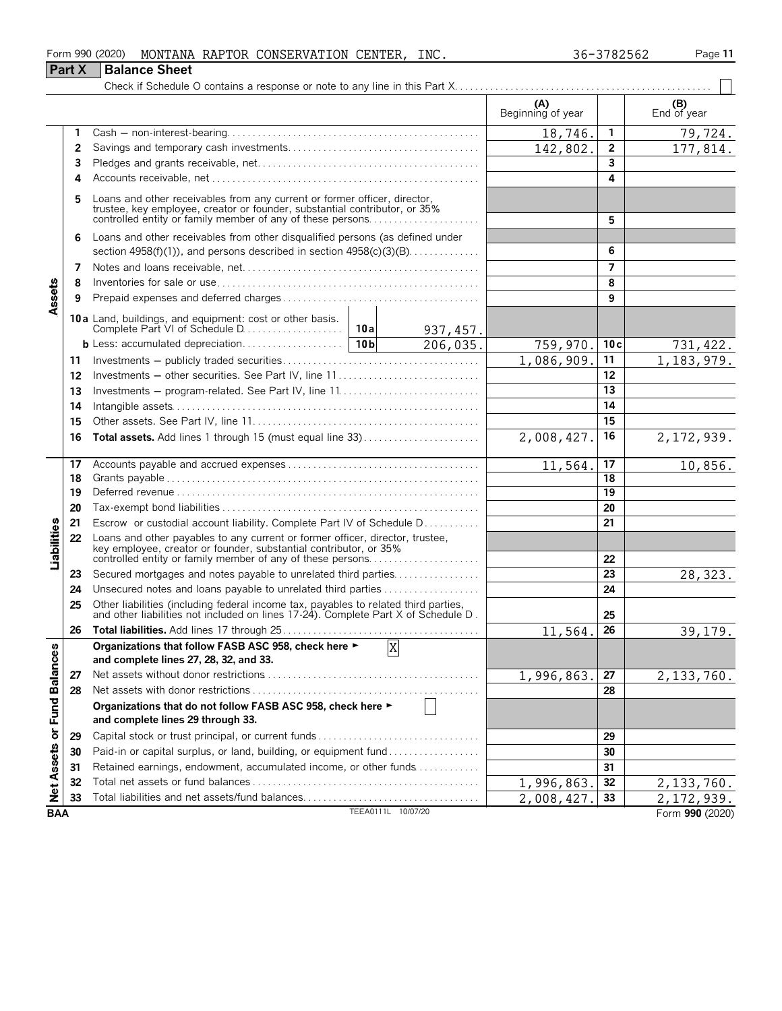|                             |               | Form 990 (2020)<br>MONTANA RAPTOR CONSERVATION CENTER, INC.                                                                                                                                                     |                    |                |                          | 36-3782562 | Page 11                    |
|-----------------------------|---------------|-----------------------------------------------------------------------------------------------------------------------------------------------------------------------------------------------------------------|--------------------|----------------|--------------------------|------------|----------------------------|
|                             | <b>Part X</b> | <b>Balance Sheet</b>                                                                                                                                                                                            |                    |                |                          |            |                            |
|                             |               |                                                                                                                                                                                                                 |                    |                |                          |            |                            |
|                             |               |                                                                                                                                                                                                                 |                    |                | (A)<br>Beginning of year |            | (B)<br>End of year         |
|                             | 1             |                                                                                                                                                                                                                 |                    |                | 18,746.                  | 1          | 79,724.                    |
|                             | 2             |                                                                                                                                                                                                                 |                    |                | 142,802.                 | 2          | 177,814.                   |
|                             | 3             |                                                                                                                                                                                                                 |                    |                |                          | 3          |                            |
|                             | 4             |                                                                                                                                                                                                                 |                    |                |                          | 4          |                            |
|                             | 5             | Loans and other receivables from any current or former officer, director, trustee, key employee, creator or founder, substantial contributor, or 35% controlled entity or family member of any of these persons |                    |                |                          | 5          |                            |
|                             | 6             | Loans and other receivables from other disqualified persons (as defined under                                                                                                                                   |                    |                |                          |            |                            |
|                             |               | section $4958(f)(1)$ , and persons described in section $4958(c)(3)(B)$                                                                                                                                         |                    |                | 6                        |            |                            |
|                             | 7             |                                                                                                                                                                                                                 |                    |                |                          | 7          |                            |
|                             | 8             |                                                                                                                                                                                                                 |                    |                |                          | 8          |                            |
| Assets                      | 9             |                                                                                                                                                                                                                 |                    |                |                          | 9          |                            |
|                             |               |                                                                                                                                                                                                                 |                    | 937, 457.      |                          |            |                            |
|                             |               |                                                                                                                                                                                                                 |                    | 206,035.       | 759,970                  | 10c        | 731, 422.                  |
|                             | 11            |                                                                                                                                                                                                                 |                    |                | 1,086,909.               | 11         | 1,183,979.                 |
|                             | 12            | Investments - other securities. See Part IV, line 11                                                                                                                                                            |                    |                |                          | 12         |                            |
|                             | 13            |                                                                                                                                                                                                                 |                    |                | 13                       |            |                            |
|                             | 14            |                                                                                                                                                                                                                 |                    |                | 14                       |            |                            |
|                             | 15            |                                                                                                                                                                                                                 |                    | 15             |                          |            |                            |
|                             | 16            | Total assets. Add lines 1 through 15 (must equal line 33)                                                                                                                                                       |                    |                | 2,008,427.               | 16         | 2,172,939.                 |
|                             | 17            |                                                                                                                                                                                                                 | 11,564.            | 17             | 10,856.                  |            |                            |
|                             | 18            |                                                                                                                                                                                                                 |                    |                |                          | 18         |                            |
|                             | 19            |                                                                                                                                                                                                                 |                    |                |                          | 19         |                            |
|                             | 20            |                                                                                                                                                                                                                 |                    |                |                          | 20         |                            |
|                             | 21            | Escrow or custodial account liability. Complete Part IV of Schedule D                                                                                                                                           |                    |                |                          | 21         |                            |
| Liabilities                 | 22            | Loans and other payables to any current or former officer, director, trustee, key employee, creator or founder, substantial contributor, or 35%<br>controlled entity or family member of any of these persons   |                    |                |                          | 22         |                            |
|                             | 23            | Secured mortgages and notes payable to unrelated third parties                                                                                                                                                  |                    |                |                          | 23         | 28,323.                    |
|                             | 24            |                                                                                                                                                                                                                 |                    |                |                          | 24         |                            |
|                             | 25            | Other liabilities (including federal income tax, payables to related third parties, and other liabilities not included on lines 17-24). Complete Part X of Schedule D.                                          |                    |                |                          | 25         |                            |
|                             | 26            |                                                                                                                                                                                                                 |                    |                | 11,564.                  | 26         | 39,179.                    |
|                             |               | Organizations that follow FASB ASC 958, check here ►<br>and complete lines 27, 28, 32, and 33.                                                                                                                  |                    | $\overline{X}$ |                          |            |                            |
|                             | 27            |                                                                                                                                                                                                                 |                    |                | 1,996,863.               | 27         | 2, 133, 760.               |
|                             | 28            |                                                                                                                                                                                                                 |                    |                |                          | 28         |                            |
| Net Assets or Fund Balances |               | Organizations that do not follow FASB ASC 958, check here ►<br>and complete lines 29 through 33.                                                                                                                |                    |                |                          |            |                            |
|                             | 29            | Capital stock or trust principal, or current funds                                                                                                                                                              |                    |                |                          | 29         |                            |
|                             | 30            | Paid-in or capital surplus, or land, building, or equipment fund                                                                                                                                                |                    |                |                          | 30         |                            |
|                             | 31            | Retained earnings, endowment, accumulated income, or other funds                                                                                                                                                |                    |                |                          | 31         |                            |
|                             | 32            |                                                                                                                                                                                                                 |                    |                | 1,996,863                | 32         | 2, 133, 760.               |
|                             | 33            |                                                                                                                                                                                                                 |                    |                | 2,008,427.               | 33         | $\overline{2}$ , 172, 939. |
| <b>BAA</b>                  |               |                                                                                                                                                                                                                 | TEEA0111L 10/07/20 |                |                          |            | Form 990 (2020)            |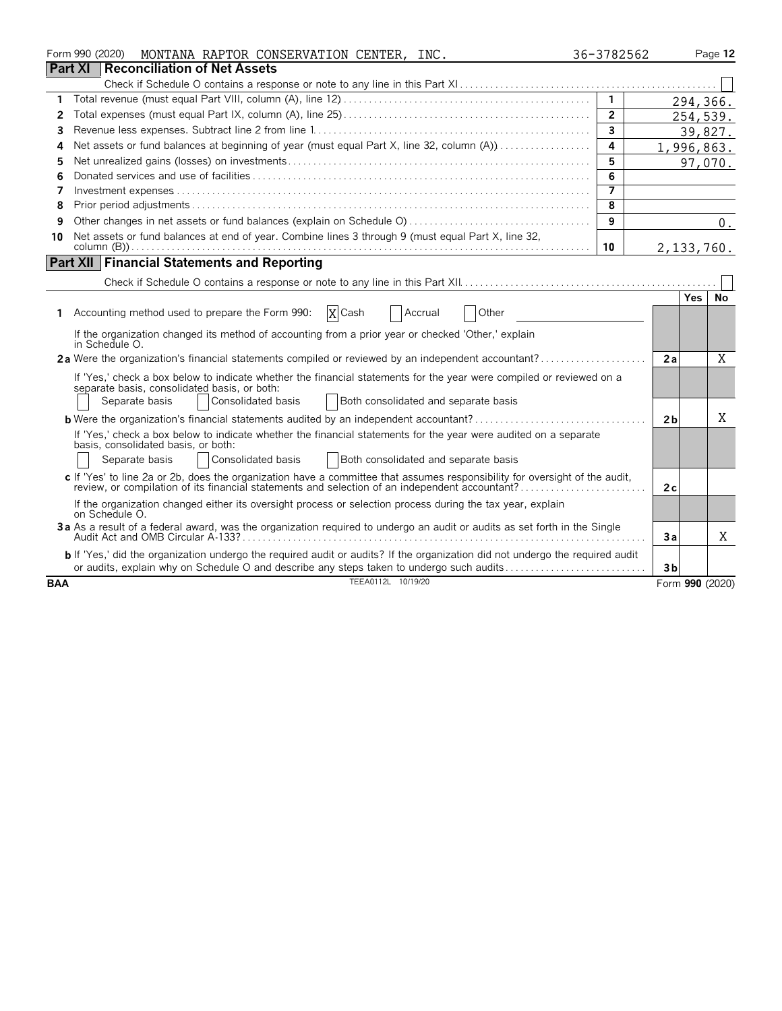|            | Form 990 (2020)<br>MONTANA RAPTOR CONSERVATION CENTER, INC.                                                                   | 36-3782562     |                 | Page 12  |
|------------|-------------------------------------------------------------------------------------------------------------------------------|----------------|-----------------|----------|
|            | <b>Part XI</b><br>Reconciliation of Net Assets                                                                                |                |                 |          |
|            |                                                                                                                               |                |                 |          |
| 1          |                                                                                                                               | $\overline{1}$ |                 | 294,366. |
| 2          |                                                                                                                               | $\overline{2}$ |                 | 254,539. |
| 3          |                                                                                                                               | $\overline{3}$ |                 | 39,827.  |
| Δ          | Net assets or fund balances at beginning of year (must equal Part X, line 32, column (A))                                     | 4              | 1,996,863.      |          |
| 5          |                                                                                                                               | 5              |                 | 97,070.  |
| 6          |                                                                                                                               | 6              |                 |          |
| 7          |                                                                                                                               | $\overline{7}$ |                 |          |
| 8          |                                                                                                                               | 8              |                 |          |
| 9          |                                                                                                                               | 9              |                 | $0$ .    |
| 10         | Net assets or fund balances at end of year. Combine lines 3 through 9 (must equal Part X, line 32,                            | 10             | 2, 133, 760.    |          |
|            | <b>Part XII Financial Statements and Reporting</b>                                                                            |                |                 |          |
|            |                                                                                                                               |                |                 |          |
|            |                                                                                                                               |                | Yes.            | No       |
|            | X Cash<br>1 Accounting method used to prepare the Form 990:<br>Other<br>Accrual                                               |                |                 |          |
|            | If the organization changed its method of accounting from a prior year or checked 'Other,' explain<br>in Schedule O.          |                |                 |          |
|            | 2a Were the organization's financial statements compiled or reviewed by an independent accountant?                            |                | 2a              | X        |
|            | If 'Yes,' check a box below to indicate whether the financial statements for the year were compiled or reviewed on a          |                |                 |          |
|            | separate basis, consolidated basis, or both:                                                                                  |                |                 |          |
|            | Separate basis<br>Consolidated basis<br>Both consolidated and separate basis                                                  |                |                 |          |
|            | <b>b</b> Were the organization's financial statements audited by an independent accountant?                                   |                | 2 <sub>b</sub>  | Χ        |
|            | If 'Yes,' check a box below to indicate whether the financial statements for the year were audited on a separate              |                |                 |          |
|            | basis, consolidated basis, or both:                                                                                           |                |                 |          |
|            | Consolidated basis<br>Both consolidated and separate basis<br>Separate basis                                                  |                |                 |          |
|            | c If 'Yes' to line 2a or 2b, does the organization have a committee that assumes responsibility for oversight of the audit,   |                | 2c              |          |
|            | If the organization changed either its oversight process or selection process during the tax year, explain<br>on Schedule O.  |                |                 |          |
|            | 3a As a result of a federal award, was the organization required to undergo an audit or audits as set forth in the Single     |                | Зa              | Χ        |
|            | b If 'Yes,' did the organization undergo the required audit or audits? If the organization did not undergo the required audit |                |                 |          |
|            | or audits, explain why on Schedule O and describe any steps taken to undergo such audits                                      |                | 3 <sub>b</sub>  |          |
| <b>BAA</b> | TEEA0112L 10/19/20                                                                                                            |                | Form 990 (2020) |          |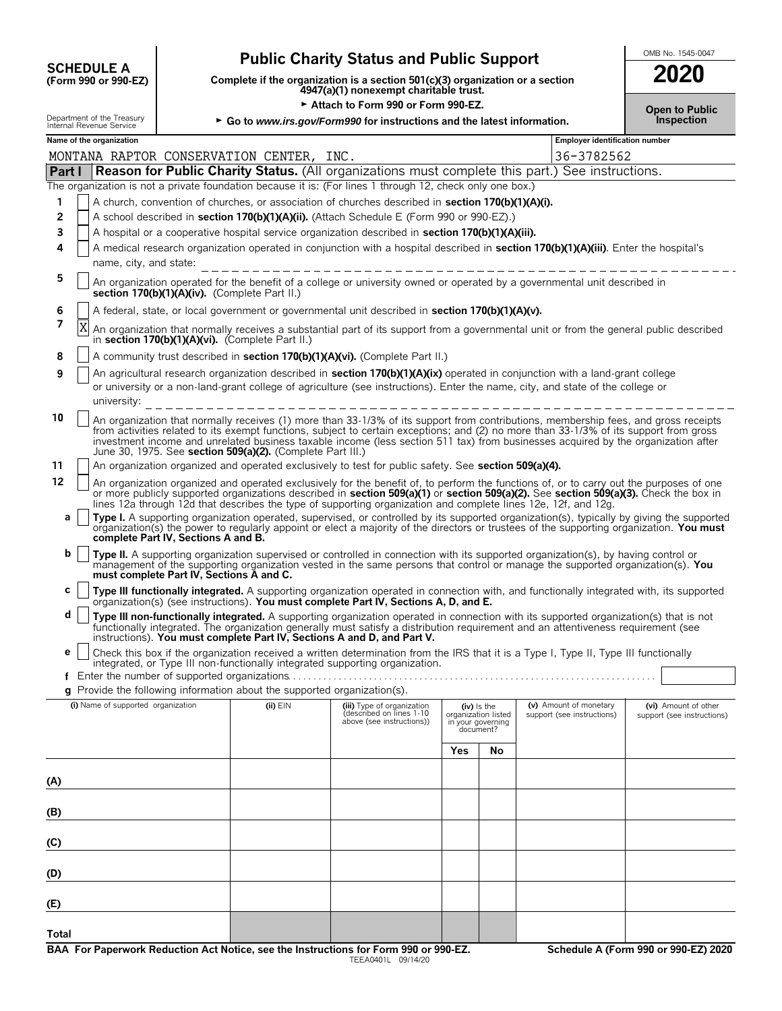| <b>SCHEDULE A</b>                          |
|--------------------------------------------|
| $T_{\rm C}$ $\sim$ 000 $\sim$ 000 $\Gamma$ |

# **Public Charity Status and Public Support**<br> **Subset if the organization is a section 501(c)(3) organization or a section**

**COMPREDULE A**<br>
(Form 990 or 990-EZ) Complete if the organization is a section 501(c)(3) organization or a section<br>
4947(a)(1) nonexempt charitable trust.

|                                                        | ► Attach to Form 990 or Form 990-EZ.                                     | <b>Open to Public</b> |
|--------------------------------------------------------|--------------------------------------------------------------------------|-----------------------|
| Department of the Treasury<br>Internal Revenue Service | ► Go to www.irs.gov/Form990 for instructions and the latest information. | <b>Inspection</b>     |

| MONTANA RAPTOR CONSERVATION CENTER,<br>36-3782562<br>INC.<br>Part   Reason for Public Charity Status. (All organizations must complete this part.) See instructions.<br>The organization is not a private foundation because it is: (For lines 1 through 12, check only one box.)<br>A church, convention of churches, or association of churches described in section 170(b)(1)(A)(i).<br>1<br>2<br>A school described in section 170(b)(1)(A)(ii). (Attach Schedule E (Form 990 or 990-EZ).)<br>3<br>A hospital or a cooperative hospital service organization described in section 170(b)(1)(A)(iii).<br>A medical research organization operated in conjunction with a hospital described in section 170(b)(1)(A)(iii). Enter the hospital's<br>4<br>name, city, and state:<br>5<br>An organization operated for the benefit of a college or university owned or operated by a governmental unit described in<br>section 170(b)(1)(A)(iv). (Complete Part II.)<br>6<br>A federal, state, or local government or governmental unit described in section 170(b)(1)(A)(v).<br>7<br>Χ<br>An organization that normally receives a substantial part of its support from a governmental unit or from the general public described<br>in section 170(b)(1)(A)(vi). (Complete Part II.)<br>A community trust described in section 170(b)(1)(A)(vi). (Complete Part II.)<br>8<br>An agricultural research organization described in section 170(b)(1)(A)(ix) operated in conjunction with a land-grant college<br>9<br>or university or a non-land-grant college of agriculture (see instructions). Enter the name, city, and state of the college or<br>university:<br>10<br>An organization that normally receives (1) more than 33-1/3% of its support from contributions, membership fees, and gross receipts<br>from activities related to its exempt functions, subject to certain exceptions; and (2) no more than 33-1/3% of its support from gross<br>investment income and unrelated business taxable income (less section 511 tax) from businesses acquired by the organization after<br>June 30, 1975. See section 509(a)(2). (Complete Part III.)<br>An organization organized and operated exclusively to test for public safety. See section 509(a)(4).<br>11<br>12<br>An organization organized and operated exclusively for the benefit of, to perform the functions of, or to carry out the purposes of one<br>or more publicly supported organizations described in section 509(a)(1) or section 509(a)(2). See section 509(a)(3). Check the box in<br>lines 12a through 12d that describes the type of supporting organization and complete lines 12e, 12f, and 12g.<br>Type I. A supporting organization operated, supervised, or controlled by its supported organization(s), typically by giving the supported<br>a<br>organization(s) the power to regularly appoint or elect a majority of the directors or trustees of the supporting organization. You must<br>complete Part IV, Sections A and B.<br>b<br>Type II. A supporting organization supervised or controlled in connection with its supported organization(s), by having control or<br>management of the supporting organization vested in the same persons that control or manage the supported organization(s). You<br>must complete Part IV, Sections A and C.<br>С<br>Type III functionally integrated. A supporting organization operated in connection with, and functionally integrated with, its supported<br>organization(s) (see instructions). You must complete Part IV, Sections A, D, and E.<br>d<br>Type III non-functionally integrated. A supporting organization operated in connection with its supported organization(s) that is not<br>functionally integrated. The organization generally must satisfy a distribution requirement and an attentiveness requirement (see<br>instructions). You must complete Part IV, Sections A and D, and Part V.<br>Check this box if the organization received a written determination from the IRS that it is a Type I. Type II, Type III functionally<br>e<br>integrated, or Type III non-functionally integrated supporting organization.<br>f<br>Provide the following information about the supported organization(s).<br>a<br>(i) Name of supported organization<br>(v) Amount of monetary<br>$(ii)$ $EIN$<br>(iii) Type of organization<br>(vi) Amount of other<br>(iv) Is the<br>(described on lines 1-10<br>organization listed<br>support (see instructions)<br>support (see instructions)<br>above (see instructions))<br>in your governing<br>document?<br>Yes<br>No<br>(A)<br>(B)<br>(C)<br>(D)<br>(E) |  | Name of the organization<br>Employer identification number |  |  |  |  |  |  |  |  |  |  |  |
|--------------------------------------------------------------------------------------------------------------------------------------------------------------------------------------------------------------------------------------------------------------------------------------------------------------------------------------------------------------------------------------------------------------------------------------------------------------------------------------------------------------------------------------------------------------------------------------------------------------------------------------------------------------------------------------------------------------------------------------------------------------------------------------------------------------------------------------------------------------------------------------------------------------------------------------------------------------------------------------------------------------------------------------------------------------------------------------------------------------------------------------------------------------------------------------------------------------------------------------------------------------------------------------------------------------------------------------------------------------------------------------------------------------------------------------------------------------------------------------------------------------------------------------------------------------------------------------------------------------------------------------------------------------------------------------------------------------------------------------------------------------------------------------------------------------------------------------------------------------------------------------------------------------------------------------------------------------------------------------------------------------------------------------------------------------------------------------------------------------------------------------------------------------------------------------------------------------------------------------------------------------------------------------------------------------------------------------------------------------------------------------------------------------------------------------------------------------------------------------------------------------------------------------------------------------------------------------------------------------------------------------------------------------------------------------------------------------------------------------------------------------------------------------------------------------------------------------------------------------------------------------------------------------------------------------------------------------------------------------------------------------------------------------------------------------------------------------------------------------------------------------------------------------------------------------------------------------------------------------------------------------------------------------------------------------------------------------------------------------------------------------------------------------------------------------------------------------------------------------------------------------------------------------------------------------------------------------------------------------------------------------------------------------------------------------------------------------------------------------------------------------------------------------------------------------------------------------------------------------------------------------------------------------------------------------------------------------------------------------------------------------------------------------------------------------------------------------------------------------------------------------------------------------------------------------------------------------------------------------------------------------------------------------------------------------------------------------------------------------------------------------------------------------------------------------------------------------------------------------------------------------------------------------------------------------------------------------------------------------------------------------------------------------|--|------------------------------------------------------------|--|--|--|--|--|--|--|--|--|--|--|
|                                                                                                                                                                                                                                                                                                                                                                                                                                                                                                                                                                                                                                                                                                                                                                                                                                                                                                                                                                                                                                                                                                                                                                                                                                                                                                                                                                                                                                                                                                                                                                                                                                                                                                                                                                                                                                                                                                                                                                                                                                                                                                                                                                                                                                                                                                                                                                                                                                                                                                                                                                                                                                                                                                                                                                                                                                                                                                                                                                                                                                                                                                                                                                                                                                                                                                                                                                                                                                                                                                                                                                                                                                                                                                                                                                                                                                                                                                                                                                                                                                                                                                                                                                                                                                                                                                                                                                                                                                                                                                                                                                                                                                                              |  |                                                            |  |  |  |  |  |  |  |  |  |  |  |
|                                                                                                                                                                                                                                                                                                                                                                                                                                                                                                                                                                                                                                                                                                                                                                                                                                                                                                                                                                                                                                                                                                                                                                                                                                                                                                                                                                                                                                                                                                                                                                                                                                                                                                                                                                                                                                                                                                                                                                                                                                                                                                                                                                                                                                                                                                                                                                                                                                                                                                                                                                                                                                                                                                                                                                                                                                                                                                                                                                                                                                                                                                                                                                                                                                                                                                                                                                                                                                                                                                                                                                                                                                                                                                                                                                                                                                                                                                                                                                                                                                                                                                                                                                                                                                                                                                                                                                                                                                                                                                                                                                                                                                                              |  |                                                            |  |  |  |  |  |  |  |  |  |  |  |
|                                                                                                                                                                                                                                                                                                                                                                                                                                                                                                                                                                                                                                                                                                                                                                                                                                                                                                                                                                                                                                                                                                                                                                                                                                                                                                                                                                                                                                                                                                                                                                                                                                                                                                                                                                                                                                                                                                                                                                                                                                                                                                                                                                                                                                                                                                                                                                                                                                                                                                                                                                                                                                                                                                                                                                                                                                                                                                                                                                                                                                                                                                                                                                                                                                                                                                                                                                                                                                                                                                                                                                                                                                                                                                                                                                                                                                                                                                                                                                                                                                                                                                                                                                                                                                                                                                                                                                                                                                                                                                                                                                                                                                                              |  |                                                            |  |  |  |  |  |  |  |  |  |  |  |
|                                                                                                                                                                                                                                                                                                                                                                                                                                                                                                                                                                                                                                                                                                                                                                                                                                                                                                                                                                                                                                                                                                                                                                                                                                                                                                                                                                                                                                                                                                                                                                                                                                                                                                                                                                                                                                                                                                                                                                                                                                                                                                                                                                                                                                                                                                                                                                                                                                                                                                                                                                                                                                                                                                                                                                                                                                                                                                                                                                                                                                                                                                                                                                                                                                                                                                                                                                                                                                                                                                                                                                                                                                                                                                                                                                                                                                                                                                                                                                                                                                                                                                                                                                                                                                                                                                                                                                                                                                                                                                                                                                                                                                                              |  |                                                            |  |  |  |  |  |  |  |  |  |  |  |
|                                                                                                                                                                                                                                                                                                                                                                                                                                                                                                                                                                                                                                                                                                                                                                                                                                                                                                                                                                                                                                                                                                                                                                                                                                                                                                                                                                                                                                                                                                                                                                                                                                                                                                                                                                                                                                                                                                                                                                                                                                                                                                                                                                                                                                                                                                                                                                                                                                                                                                                                                                                                                                                                                                                                                                                                                                                                                                                                                                                                                                                                                                                                                                                                                                                                                                                                                                                                                                                                                                                                                                                                                                                                                                                                                                                                                                                                                                                                                                                                                                                                                                                                                                                                                                                                                                                                                                                                                                                                                                                                                                                                                                                              |  |                                                            |  |  |  |  |  |  |  |  |  |  |  |
|                                                                                                                                                                                                                                                                                                                                                                                                                                                                                                                                                                                                                                                                                                                                                                                                                                                                                                                                                                                                                                                                                                                                                                                                                                                                                                                                                                                                                                                                                                                                                                                                                                                                                                                                                                                                                                                                                                                                                                                                                                                                                                                                                                                                                                                                                                                                                                                                                                                                                                                                                                                                                                                                                                                                                                                                                                                                                                                                                                                                                                                                                                                                                                                                                                                                                                                                                                                                                                                                                                                                                                                                                                                                                                                                                                                                                                                                                                                                                                                                                                                                                                                                                                                                                                                                                                                                                                                                                                                                                                                                                                                                                                                              |  |                                                            |  |  |  |  |  |  |  |  |  |  |  |
|                                                                                                                                                                                                                                                                                                                                                                                                                                                                                                                                                                                                                                                                                                                                                                                                                                                                                                                                                                                                                                                                                                                                                                                                                                                                                                                                                                                                                                                                                                                                                                                                                                                                                                                                                                                                                                                                                                                                                                                                                                                                                                                                                                                                                                                                                                                                                                                                                                                                                                                                                                                                                                                                                                                                                                                                                                                                                                                                                                                                                                                                                                                                                                                                                                                                                                                                                                                                                                                                                                                                                                                                                                                                                                                                                                                                                                                                                                                                                                                                                                                                                                                                                                                                                                                                                                                                                                                                                                                                                                                                                                                                                                                              |  |                                                            |  |  |  |  |  |  |  |  |  |  |  |
|                                                                                                                                                                                                                                                                                                                                                                                                                                                                                                                                                                                                                                                                                                                                                                                                                                                                                                                                                                                                                                                                                                                                                                                                                                                                                                                                                                                                                                                                                                                                                                                                                                                                                                                                                                                                                                                                                                                                                                                                                                                                                                                                                                                                                                                                                                                                                                                                                                                                                                                                                                                                                                                                                                                                                                                                                                                                                                                                                                                                                                                                                                                                                                                                                                                                                                                                                                                                                                                                                                                                                                                                                                                                                                                                                                                                                                                                                                                                                                                                                                                                                                                                                                                                                                                                                                                                                                                                                                                                                                                                                                                                                                                              |  |                                                            |  |  |  |  |  |  |  |  |  |  |  |
|                                                                                                                                                                                                                                                                                                                                                                                                                                                                                                                                                                                                                                                                                                                                                                                                                                                                                                                                                                                                                                                                                                                                                                                                                                                                                                                                                                                                                                                                                                                                                                                                                                                                                                                                                                                                                                                                                                                                                                                                                                                                                                                                                                                                                                                                                                                                                                                                                                                                                                                                                                                                                                                                                                                                                                                                                                                                                                                                                                                                                                                                                                                                                                                                                                                                                                                                                                                                                                                                                                                                                                                                                                                                                                                                                                                                                                                                                                                                                                                                                                                                                                                                                                                                                                                                                                                                                                                                                                                                                                                                                                                                                                                              |  |                                                            |  |  |  |  |  |  |  |  |  |  |  |
|                                                                                                                                                                                                                                                                                                                                                                                                                                                                                                                                                                                                                                                                                                                                                                                                                                                                                                                                                                                                                                                                                                                                                                                                                                                                                                                                                                                                                                                                                                                                                                                                                                                                                                                                                                                                                                                                                                                                                                                                                                                                                                                                                                                                                                                                                                                                                                                                                                                                                                                                                                                                                                                                                                                                                                                                                                                                                                                                                                                                                                                                                                                                                                                                                                                                                                                                                                                                                                                                                                                                                                                                                                                                                                                                                                                                                                                                                                                                                                                                                                                                                                                                                                                                                                                                                                                                                                                                                                                                                                                                                                                                                                                              |  |                                                            |  |  |  |  |  |  |  |  |  |  |  |
|                                                                                                                                                                                                                                                                                                                                                                                                                                                                                                                                                                                                                                                                                                                                                                                                                                                                                                                                                                                                                                                                                                                                                                                                                                                                                                                                                                                                                                                                                                                                                                                                                                                                                                                                                                                                                                                                                                                                                                                                                                                                                                                                                                                                                                                                                                                                                                                                                                                                                                                                                                                                                                                                                                                                                                                                                                                                                                                                                                                                                                                                                                                                                                                                                                                                                                                                                                                                                                                                                                                                                                                                                                                                                                                                                                                                                                                                                                                                                                                                                                                                                                                                                                                                                                                                                                                                                                                                                                                                                                                                                                                                                                                              |  |                                                            |  |  |  |  |  |  |  |  |  |  |  |
|                                                                                                                                                                                                                                                                                                                                                                                                                                                                                                                                                                                                                                                                                                                                                                                                                                                                                                                                                                                                                                                                                                                                                                                                                                                                                                                                                                                                                                                                                                                                                                                                                                                                                                                                                                                                                                                                                                                                                                                                                                                                                                                                                                                                                                                                                                                                                                                                                                                                                                                                                                                                                                                                                                                                                                                                                                                                                                                                                                                                                                                                                                                                                                                                                                                                                                                                                                                                                                                                                                                                                                                                                                                                                                                                                                                                                                                                                                                                                                                                                                                                                                                                                                                                                                                                                                                                                                                                                                                                                                                                                                                                                                                              |  |                                                            |  |  |  |  |  |  |  |  |  |  |  |
|                                                                                                                                                                                                                                                                                                                                                                                                                                                                                                                                                                                                                                                                                                                                                                                                                                                                                                                                                                                                                                                                                                                                                                                                                                                                                                                                                                                                                                                                                                                                                                                                                                                                                                                                                                                                                                                                                                                                                                                                                                                                                                                                                                                                                                                                                                                                                                                                                                                                                                                                                                                                                                                                                                                                                                                                                                                                                                                                                                                                                                                                                                                                                                                                                                                                                                                                                                                                                                                                                                                                                                                                                                                                                                                                                                                                                                                                                                                                                                                                                                                                                                                                                                                                                                                                                                                                                                                                                                                                                                                                                                                                                                                              |  |                                                            |  |  |  |  |  |  |  |  |  |  |  |
|                                                                                                                                                                                                                                                                                                                                                                                                                                                                                                                                                                                                                                                                                                                                                                                                                                                                                                                                                                                                                                                                                                                                                                                                                                                                                                                                                                                                                                                                                                                                                                                                                                                                                                                                                                                                                                                                                                                                                                                                                                                                                                                                                                                                                                                                                                                                                                                                                                                                                                                                                                                                                                                                                                                                                                                                                                                                                                                                                                                                                                                                                                                                                                                                                                                                                                                                                                                                                                                                                                                                                                                                                                                                                                                                                                                                                                                                                                                                                                                                                                                                                                                                                                                                                                                                                                                                                                                                                                                                                                                                                                                                                                                              |  |                                                            |  |  |  |  |  |  |  |  |  |  |  |
|                                                                                                                                                                                                                                                                                                                                                                                                                                                                                                                                                                                                                                                                                                                                                                                                                                                                                                                                                                                                                                                                                                                                                                                                                                                                                                                                                                                                                                                                                                                                                                                                                                                                                                                                                                                                                                                                                                                                                                                                                                                                                                                                                                                                                                                                                                                                                                                                                                                                                                                                                                                                                                                                                                                                                                                                                                                                                                                                                                                                                                                                                                                                                                                                                                                                                                                                                                                                                                                                                                                                                                                                                                                                                                                                                                                                                                                                                                                                                                                                                                                                                                                                                                                                                                                                                                                                                                                                                                                                                                                                                                                                                                                              |  |                                                            |  |  |  |  |  |  |  |  |  |  |  |
|                                                                                                                                                                                                                                                                                                                                                                                                                                                                                                                                                                                                                                                                                                                                                                                                                                                                                                                                                                                                                                                                                                                                                                                                                                                                                                                                                                                                                                                                                                                                                                                                                                                                                                                                                                                                                                                                                                                                                                                                                                                                                                                                                                                                                                                                                                                                                                                                                                                                                                                                                                                                                                                                                                                                                                                                                                                                                                                                                                                                                                                                                                                                                                                                                                                                                                                                                                                                                                                                                                                                                                                                                                                                                                                                                                                                                                                                                                                                                                                                                                                                                                                                                                                                                                                                                                                                                                                                                                                                                                                                                                                                                                                              |  |                                                            |  |  |  |  |  |  |  |  |  |  |  |
|                                                                                                                                                                                                                                                                                                                                                                                                                                                                                                                                                                                                                                                                                                                                                                                                                                                                                                                                                                                                                                                                                                                                                                                                                                                                                                                                                                                                                                                                                                                                                                                                                                                                                                                                                                                                                                                                                                                                                                                                                                                                                                                                                                                                                                                                                                                                                                                                                                                                                                                                                                                                                                                                                                                                                                                                                                                                                                                                                                                                                                                                                                                                                                                                                                                                                                                                                                                                                                                                                                                                                                                                                                                                                                                                                                                                                                                                                                                                                                                                                                                                                                                                                                                                                                                                                                                                                                                                                                                                                                                                                                                                                                                              |  |                                                            |  |  |  |  |  |  |  |  |  |  |  |
|                                                                                                                                                                                                                                                                                                                                                                                                                                                                                                                                                                                                                                                                                                                                                                                                                                                                                                                                                                                                                                                                                                                                                                                                                                                                                                                                                                                                                                                                                                                                                                                                                                                                                                                                                                                                                                                                                                                                                                                                                                                                                                                                                                                                                                                                                                                                                                                                                                                                                                                                                                                                                                                                                                                                                                                                                                                                                                                                                                                                                                                                                                                                                                                                                                                                                                                                                                                                                                                                                                                                                                                                                                                                                                                                                                                                                                                                                                                                                                                                                                                                                                                                                                                                                                                                                                                                                                                                                                                                                                                                                                                                                                                              |  |                                                            |  |  |  |  |  |  |  |  |  |  |  |
|                                                                                                                                                                                                                                                                                                                                                                                                                                                                                                                                                                                                                                                                                                                                                                                                                                                                                                                                                                                                                                                                                                                                                                                                                                                                                                                                                                                                                                                                                                                                                                                                                                                                                                                                                                                                                                                                                                                                                                                                                                                                                                                                                                                                                                                                                                                                                                                                                                                                                                                                                                                                                                                                                                                                                                                                                                                                                                                                                                                                                                                                                                                                                                                                                                                                                                                                                                                                                                                                                                                                                                                                                                                                                                                                                                                                                                                                                                                                                                                                                                                                                                                                                                                                                                                                                                                                                                                                                                                                                                                                                                                                                                                              |  |                                                            |  |  |  |  |  |  |  |  |  |  |  |
|                                                                                                                                                                                                                                                                                                                                                                                                                                                                                                                                                                                                                                                                                                                                                                                                                                                                                                                                                                                                                                                                                                                                                                                                                                                                                                                                                                                                                                                                                                                                                                                                                                                                                                                                                                                                                                                                                                                                                                                                                                                                                                                                                                                                                                                                                                                                                                                                                                                                                                                                                                                                                                                                                                                                                                                                                                                                                                                                                                                                                                                                                                                                                                                                                                                                                                                                                                                                                                                                                                                                                                                                                                                                                                                                                                                                                                                                                                                                                                                                                                                                                                                                                                                                                                                                                                                                                                                                                                                                                                                                                                                                                                                              |  |                                                            |  |  |  |  |  |  |  |  |  |  |  |
|                                                                                                                                                                                                                                                                                                                                                                                                                                                                                                                                                                                                                                                                                                                                                                                                                                                                                                                                                                                                                                                                                                                                                                                                                                                                                                                                                                                                                                                                                                                                                                                                                                                                                                                                                                                                                                                                                                                                                                                                                                                                                                                                                                                                                                                                                                                                                                                                                                                                                                                                                                                                                                                                                                                                                                                                                                                                                                                                                                                                                                                                                                                                                                                                                                                                                                                                                                                                                                                                                                                                                                                                                                                                                                                                                                                                                                                                                                                                                                                                                                                                                                                                                                                                                                                                                                                                                                                                                                                                                                                                                                                                                                                              |  |                                                            |  |  |  |  |  |  |  |  |  |  |  |
|                                                                                                                                                                                                                                                                                                                                                                                                                                                                                                                                                                                                                                                                                                                                                                                                                                                                                                                                                                                                                                                                                                                                                                                                                                                                                                                                                                                                                                                                                                                                                                                                                                                                                                                                                                                                                                                                                                                                                                                                                                                                                                                                                                                                                                                                                                                                                                                                                                                                                                                                                                                                                                                                                                                                                                                                                                                                                                                                                                                                                                                                                                                                                                                                                                                                                                                                                                                                                                                                                                                                                                                                                                                                                                                                                                                                                                                                                                                                                                                                                                                                                                                                                                                                                                                                                                                                                                                                                                                                                                                                                                                                                                                              |  |                                                            |  |  |  |  |  |  |  |  |  |  |  |
|                                                                                                                                                                                                                                                                                                                                                                                                                                                                                                                                                                                                                                                                                                                                                                                                                                                                                                                                                                                                                                                                                                                                                                                                                                                                                                                                                                                                                                                                                                                                                                                                                                                                                                                                                                                                                                                                                                                                                                                                                                                                                                                                                                                                                                                                                                                                                                                                                                                                                                                                                                                                                                                                                                                                                                                                                                                                                                                                                                                                                                                                                                                                                                                                                                                                                                                                                                                                                                                                                                                                                                                                                                                                                                                                                                                                                                                                                                                                                                                                                                                                                                                                                                                                                                                                                                                                                                                                                                                                                                                                                                                                                                                              |  |                                                            |  |  |  |  |  |  |  |  |  |  |  |
|                                                                                                                                                                                                                                                                                                                                                                                                                                                                                                                                                                                                                                                                                                                                                                                                                                                                                                                                                                                                                                                                                                                                                                                                                                                                                                                                                                                                                                                                                                                                                                                                                                                                                                                                                                                                                                                                                                                                                                                                                                                                                                                                                                                                                                                                                                                                                                                                                                                                                                                                                                                                                                                                                                                                                                                                                                                                                                                                                                                                                                                                                                                                                                                                                                                                                                                                                                                                                                                                                                                                                                                                                                                                                                                                                                                                                                                                                                                                                                                                                                                                                                                                                                                                                                                                                                                                                                                                                                                                                                                                                                                                                                                              |  |                                                            |  |  |  |  |  |  |  |  |  |  |  |
|                                                                                                                                                                                                                                                                                                                                                                                                                                                                                                                                                                                                                                                                                                                                                                                                                                                                                                                                                                                                                                                                                                                                                                                                                                                                                                                                                                                                                                                                                                                                                                                                                                                                                                                                                                                                                                                                                                                                                                                                                                                                                                                                                                                                                                                                                                                                                                                                                                                                                                                                                                                                                                                                                                                                                                                                                                                                                                                                                                                                                                                                                                                                                                                                                                                                                                                                                                                                                                                                                                                                                                                                                                                                                                                                                                                                                                                                                                                                                                                                                                                                                                                                                                                                                                                                                                                                                                                                                                                                                                                                                                                                                                                              |  |                                                            |  |  |  |  |  |  |  |  |  |  |  |
|                                                                                                                                                                                                                                                                                                                                                                                                                                                                                                                                                                                                                                                                                                                                                                                                                                                                                                                                                                                                                                                                                                                                                                                                                                                                                                                                                                                                                                                                                                                                                                                                                                                                                                                                                                                                                                                                                                                                                                                                                                                                                                                                                                                                                                                                                                                                                                                                                                                                                                                                                                                                                                                                                                                                                                                                                                                                                                                                                                                                                                                                                                                                                                                                                                                                                                                                                                                                                                                                                                                                                                                                                                                                                                                                                                                                                                                                                                                                                                                                                                                                                                                                                                                                                                                                                                                                                                                                                                                                                                                                                                                                                                                              |  |                                                            |  |  |  |  |  |  |  |  |  |  |  |
|                                                                                                                                                                                                                                                                                                                                                                                                                                                                                                                                                                                                                                                                                                                                                                                                                                                                                                                                                                                                                                                                                                                                                                                                                                                                                                                                                                                                                                                                                                                                                                                                                                                                                                                                                                                                                                                                                                                                                                                                                                                                                                                                                                                                                                                                                                                                                                                                                                                                                                                                                                                                                                                                                                                                                                                                                                                                                                                                                                                                                                                                                                                                                                                                                                                                                                                                                                                                                                                                                                                                                                                                                                                                                                                                                                                                                                                                                                                                                                                                                                                                                                                                                                                                                                                                                                                                                                                                                                                                                                                                                                                                                                                              |  |                                                            |  |  |  |  |  |  |  |  |  |  |  |
|                                                                                                                                                                                                                                                                                                                                                                                                                                                                                                                                                                                                                                                                                                                                                                                                                                                                                                                                                                                                                                                                                                                                                                                                                                                                                                                                                                                                                                                                                                                                                                                                                                                                                                                                                                                                                                                                                                                                                                                                                                                                                                                                                                                                                                                                                                                                                                                                                                                                                                                                                                                                                                                                                                                                                                                                                                                                                                                                                                                                                                                                                                                                                                                                                                                                                                                                                                                                                                                                                                                                                                                                                                                                                                                                                                                                                                                                                                                                                                                                                                                                                                                                                                                                                                                                                                                                                                                                                                                                                                                                                                                                                                                              |  |                                                            |  |  |  |  |  |  |  |  |  |  |  |
|                                                                                                                                                                                                                                                                                                                                                                                                                                                                                                                                                                                                                                                                                                                                                                                                                                                                                                                                                                                                                                                                                                                                                                                                                                                                                                                                                                                                                                                                                                                                                                                                                                                                                                                                                                                                                                                                                                                                                                                                                                                                                                                                                                                                                                                                                                                                                                                                                                                                                                                                                                                                                                                                                                                                                                                                                                                                                                                                                                                                                                                                                                                                                                                                                                                                                                                                                                                                                                                                                                                                                                                                                                                                                                                                                                                                                                                                                                                                                                                                                                                                                                                                                                                                                                                                                                                                                                                                                                                                                                                                                                                                                                                              |  |                                                            |  |  |  |  |  |  |  |  |  |  |  |
|                                                                                                                                                                                                                                                                                                                                                                                                                                                                                                                                                                                                                                                                                                                                                                                                                                                                                                                                                                                                                                                                                                                                                                                                                                                                                                                                                                                                                                                                                                                                                                                                                                                                                                                                                                                                                                                                                                                                                                                                                                                                                                                                                                                                                                                                                                                                                                                                                                                                                                                                                                                                                                                                                                                                                                                                                                                                                                                                                                                                                                                                                                                                                                                                                                                                                                                                                                                                                                                                                                                                                                                                                                                                                                                                                                                                                                                                                                                                                                                                                                                                                                                                                                                                                                                                                                                                                                                                                                                                                                                                                                                                                                                              |  |                                                            |  |  |  |  |  |  |  |  |  |  |  |
| Total                                                                                                                                                                                                                                                                                                                                                                                                                                                                                                                                                                                                                                                                                                                                                                                                                                                                                                                                                                                                                                                                                                                                                                                                                                                                                                                                                                                                                                                                                                                                                                                                                                                                                                                                                                                                                                                                                                                                                                                                                                                                                                                                                                                                                                                                                                                                                                                                                                                                                                                                                                                                                                                                                                                                                                                                                                                                                                                                                                                                                                                                                                                                                                                                                                                                                                                                                                                                                                                                                                                                                                                                                                                                                                                                                                                                                                                                                                                                                                                                                                                                                                                                                                                                                                                                                                                                                                                                                                                                                                                                                                                                                                                        |  |                                                            |  |  |  |  |  |  |  |  |  |  |  |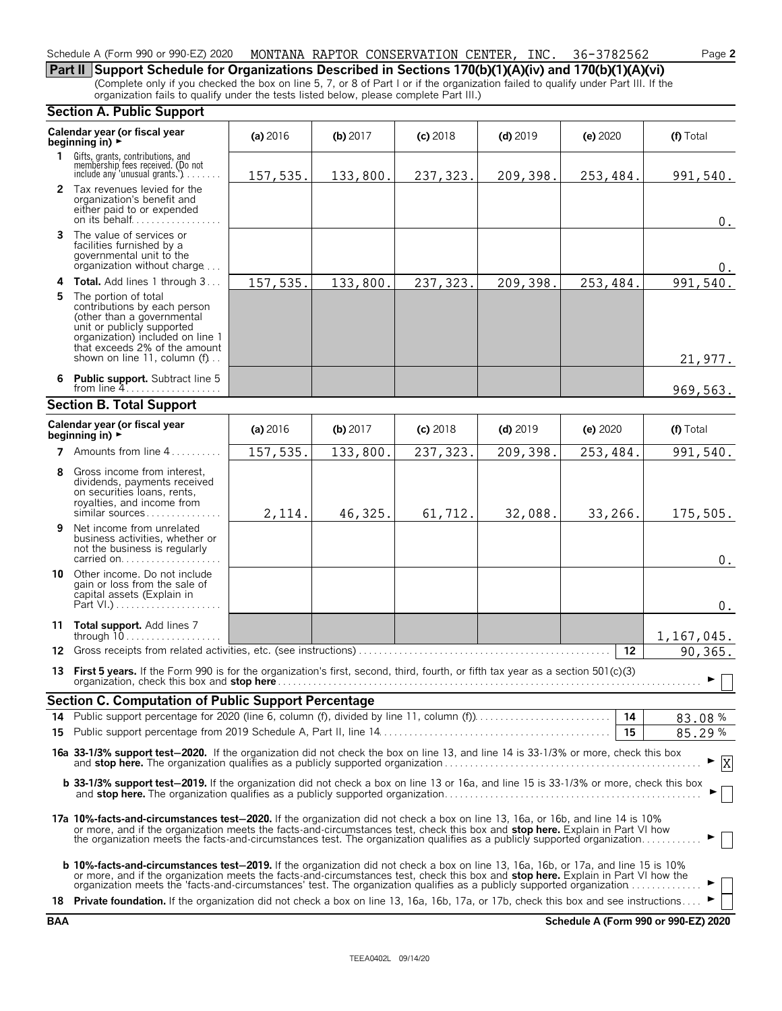#### Schedule A (Form 990 or 990-EZ) 2020 MONTANA RAPTOR CONSERVATION CENTER, INC. 36-3782562 Page **2**

**Part II Support Schedule for Organizations Described in Sections 170(b)(1)(A)(iv) and 170(b)(1)(A)(vi)** (Complete only if you checked the box on line 5, 7, or 8 of Part I or if the organization failed to qualify under Part III. If the organization fails to qualify under the tests listed below, please complete Part III.)

#### **Section A. Public Support**

|    | seegan An asiic sapport                                                                                                                                                                                                                                                                                                                                                                                        |            |            |            |            |          |                  |
|----|----------------------------------------------------------------------------------------------------------------------------------------------------------------------------------------------------------------------------------------------------------------------------------------------------------------------------------------------------------------------------------------------------------------|------------|------------|------------|------------|----------|------------------|
|    | Calendar year (or fiscal year<br>beginning in) $\blacktriangleright$                                                                                                                                                                                                                                                                                                                                           | (a) $2016$ | (b) $2017$ | $(c)$ 2018 | $(d)$ 2019 | (e) 2020 | (f) Total        |
|    | 1 Gifts, grants, contributions, and<br>membership fees received. (Do not<br>include any 'unusual grants.')                                                                                                                                                                                                                                                                                                     | 157,535.   | 133,800.   | 237,323.   | 209,398.   | 253,484. | 991,540.         |
|    | 2 Tax revenues levied for the<br>organization's benefit and<br>either paid to or expended<br>on its behalf                                                                                                                                                                                                                                                                                                     |            |            |            |            |          | 0.               |
|    | 3 The value of services or<br>facilities furnished by a<br>governmental unit to the<br>organization without charge                                                                                                                                                                                                                                                                                             |            |            |            |            |          | 0.               |
|    | <b>4 Total.</b> Add lines 1 through 3                                                                                                                                                                                                                                                                                                                                                                          | 157,535.   | 133,800.   | 237, 323.  | 209,398.   | 253,484. | 991,540.         |
| 5. | The portion of total<br>contributions by each person<br>(other than a governmental<br>unit or publicly supported<br>organization) included on line 1<br>that exceeds 2% of the amount<br>shown on line 11, column (f)                                                                                                                                                                                          |            |            |            |            |          | 21,977.          |
|    | 6 Public support. Subtract line 5<br>from line $4$                                                                                                                                                                                                                                                                                                                                                             |            |            |            |            |          | 969,563.         |
|    | <b>Section B. Total Support</b>                                                                                                                                                                                                                                                                                                                                                                                |            |            |            |            |          |                  |
|    | Calendar year (or fiscal year<br>beginning in) $\blacktriangleright$                                                                                                                                                                                                                                                                                                                                           | (a) $2016$ | (b) 2017   | $(c)$ 2018 | $(d)$ 2019 | (e) 2020 | (f) Total        |
|    | 7 Amounts from line $4, \ldots, \ldots$                                                                                                                                                                                                                                                                                                                                                                        | 157,535.   | 133,800.   | 237, 323.  | 209,398.   | 253,484. | 991,540.         |
| 8  | Gross income from interest,<br>dividends, payments received<br>on securities loans, rents,<br>royalties, and income from<br>similar sources                                                                                                                                                                                                                                                                    | 2,114.     | 46,325.    | 61,712.    | 32,088.    | 33,266.  | 175,505.         |
| 9. | Net income from unrelated<br>business activities, whether or<br>not the business is regularly<br>carried on                                                                                                                                                                                                                                                                                                    |            |            |            |            |          | 0.               |
| 10 | Other income. Do not include<br>gain or loss from the sale of<br>capital assets (Explain in                                                                                                                                                                                                                                                                                                                    |            |            |            |            |          | $0$ .            |
|    | 11 Total support. Add lines 7<br>through 10                                                                                                                                                                                                                                                                                                                                                                    |            |            |            |            |          | 1,167,045.       |
|    |                                                                                                                                                                                                                                                                                                                                                                                                                |            |            |            |            | $12 \,$  | 90,365.          |
|    | 13 First 5 years. If the Form 990 is for the organization's first, second, third, fourth, or fifth tax year as a section 501(c)(3)                                                                                                                                                                                                                                                                             |            |            |            |            |          | ▶                |
|    | <b>Section C. Computation of Public Support Percentage</b>                                                                                                                                                                                                                                                                                                                                                     |            |            |            |            |          |                  |
|    | 14 Public support percentage for 2020 (line 6, column (f), divided by line 11, column (f)                                                                                                                                                                                                                                                                                                                      |            |            |            |            | 14       | 83.08%           |
|    |                                                                                                                                                                                                                                                                                                                                                                                                                |            |            |            |            | 15       | 85.29%           |
|    | 16a 33-1/3% support test-2020. If the organization did not check the box on line 13, and line 14 is 33-1/3% or more, check this box                                                                                                                                                                                                                                                                            |            |            |            |            |          | $\boldsymbol{X}$ |
|    | b 33-1/3% support test-2019. If the organization did not check a box on line 13 or 16a, and line 15 is 33-1/3% or more, check this box                                                                                                                                                                                                                                                                         |            |            |            |            |          |                  |
|    | 17a 10%-facts-and-circumstances test-2020. If the organization did not check a box on line 13, 16a, or 16b, and line 14 is 10%<br>or more, and if the organization meets the facts-and-circumstances test, check this box and stop here. Explain in Part VI how<br>the organization meets the facts-and-circumstances test. The organization qualifies as a publicly supported organization                    |            |            |            |            |          |                  |
|    | <b>b 10%-facts-and-circumstances test-2019.</b> If the organization did not check a box on line 13, 16a, 16b, or 17a, and line 15 is 10%<br>or more, and if the organization meets the facts-and-circumstances test, check this box and <b>stop here.</b> Explain in Part VI how the<br>organization meets the 'facts-and-circumstances' test. The organization qualifies as a publicly supported organization |            |            |            |            |          |                  |
|    | 18 Private foundation. If the organization did not check a box on line 13, 16a, 16b, 17a, or 17b, check this box and see instructions                                                                                                                                                                                                                                                                          |            |            |            |            |          |                  |

**BAA Schedule A (Form 990 or 990-EZ) 2020**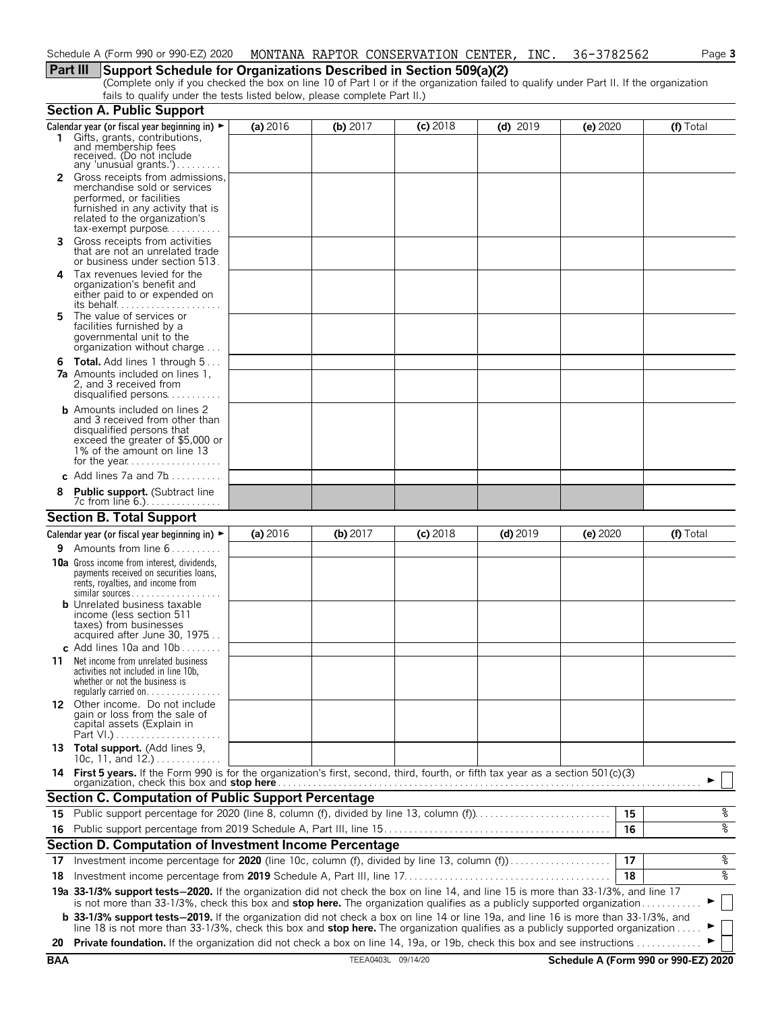## **Part III Support Schedule for Organizations Described in Section 509(a)(2)**

(Complete only if you checked the box on line 10 of Part I or if the organization failed to qualify under Part II. If the organization fails to qualify under the tests listed below, please complete Part II.)

|            | <b>Section A. Public Support</b>                                                                                                                                                                                                                                      |          |                    |            |            |          |                                      |
|------------|-----------------------------------------------------------------------------------------------------------------------------------------------------------------------------------------------------------------------------------------------------------------------|----------|--------------------|------------|------------|----------|--------------------------------------|
|            | Calendar year (or fiscal year beginning in) $\blacktriangleright$<br>1 Gifts, grants, contributions,<br>and membership fees<br>received. (Do not include                                                                                                              | (a) 2016 | (b) $2017$         | $(c)$ 2018 | $(d)$ 2019 | (e) 2020 | (f) Total                            |
|            | any 'unusual grants.')<br><b>2</b> Gross receipts from admissions,<br>merchandise sold or services<br>performed, or facilities<br>furnished in any activity that is<br>related to the organization's<br>$tax\text{-}exempt$ purpose                                   |          |                    |            |            |          |                                      |
| 3          | Gross receipts from activities<br>that are not an unrelated trade<br>or business under section 513.                                                                                                                                                                   |          |                    |            |            |          |                                      |
| 4          | Tax revenues levied for the<br>organization's benefit and<br>either paid to or expended on<br>its behalf                                                                                                                                                              |          |                    |            |            |          |                                      |
| 5.         | The value of services or<br>facilities furnished by a<br>governmental unit to the<br>organization without charge                                                                                                                                                      |          |                    |            |            |          |                                      |
|            | <b>6 Total.</b> Add lines 1 through $5$<br><b>7a</b> Amounts included on lines 1,<br>2, and 3 received from<br>disqualified persons                                                                                                                                   |          |                    |            |            |          |                                      |
|            | <b>b</b> Amounts included on lines 2<br>and 3 received from other than<br>disqualified persons that<br>exceed the greater of \$5,000 or<br>1% of the amount on line 13                                                                                                |          |                    |            |            |          |                                      |
|            | c Add lines 7a and 7b                                                                                                                                                                                                                                                 |          |                    |            |            |          |                                      |
|            | <b>Public support.</b> (Subtract line<br>7c from line 6.)                                                                                                                                                                                                             |          |                    |            |            |          |                                      |
|            | <b>Section B. Total Support</b>                                                                                                                                                                                                                                       |          |                    |            |            |          |                                      |
|            | Calendar year (or fiscal year beginning in) $\blacktriangleright$                                                                                                                                                                                                     | (a) 2016 | (b) $2017$         | $(c)$ 2018 | $(d)$ 2019 | (e) 2020 | (f) Total                            |
| 9.         | Amounts from line 6                                                                                                                                                                                                                                                   |          |                    |            |            |          |                                      |
|            | <b>10a</b> Gross income from interest, dividends,<br>payments received on securities loans,<br>rents, royalties, and income from<br>similar sources                                                                                                                   |          |                    |            |            |          |                                      |
|            | <b>b</b> Unrelated business taxable<br>income (less section 511<br>taxes) from businesses<br>acquired after June 30, 1975<br>c Add lines 10a and $10b$                                                                                                                |          |                    |            |            |          |                                      |
| 11         | Net income from unrelated business<br>activities not included in line 10b,<br>whether or not the business is<br>regularly carried on. $\dots$                                                                                                                         |          |                    |            |            |          |                                      |
|            | 12 Other income. Do not include<br>gain or loss from the sale of<br>capital assets (Explain in                                                                                                                                                                        |          |                    |            |            |          |                                      |
|            | 13 Total support. (Add lines 9,<br>10c, 11, and $12.$ )                                                                                                                                                                                                               |          |                    |            |            |          |                                      |
|            | 14 First 5 years. If the Form 990 is for the organization's first, second, third, fourth, or fifth tax year as a section 501(c)(3)<br>organization, check this box and stop here                                                                                      |          |                    |            |            |          |                                      |
|            | Section C. Computation of Public Support Percentage                                                                                                                                                                                                                   |          |                    |            |            |          |                                      |
| 15         | Public support percentage for 2020 (line 8, column (f), divided by line 13, column (f)                                                                                                                                                                                |          |                    |            |            | 15       | နွ                                   |
|            |                                                                                                                                                                                                                                                                       |          |                    |            |            | 16       | oه                                   |
|            | Section D. Computation of Investment Income Percentage                                                                                                                                                                                                                |          |                    |            |            |          |                                      |
| 17         | Investment income percentage for 2020 (line 10c, column (f), divided by line 13, column (f)                                                                                                                                                                           |          |                    |            |            | 17       | %                                    |
| 18         |                                                                                                                                                                                                                                                                       |          |                    |            |            | 18       | နွ                                   |
|            | 19a 33-1/3% support tests-2020. If the organization did not check the box on line 14, and line 15 is more than 33-1/3%, and line 17                                                                                                                                   |          |                    |            |            |          |                                      |
|            | is not more than 33-1/3%, check this box and stop here. The organization qualifies as a publicly supported organization<br><b>b</b> 33-1/3% support tests-2019. If the organization did not check a box on line 14 or line 19a, and line 16 is more than 33-1/3%, and |          |                    |            |            |          | $\overline{\phantom{a}}$             |
|            | line 18 is not more than 33-1/3%, check this box and stop here. The organization qualifies as a publicly supported organization.                                                                                                                                      |          |                    |            |            |          |                                      |
| 20         | Private foundation. If the organization did not check a box on line 14, 19a, or 19b, check this box and see instructions.                                                                                                                                             |          |                    |            |            |          |                                      |
| <b>BAA</b> |                                                                                                                                                                                                                                                                       |          | TEEA0403L 09/14/20 |            |            |          | Schedule A (Form 990 or 990-EZ) 2020 |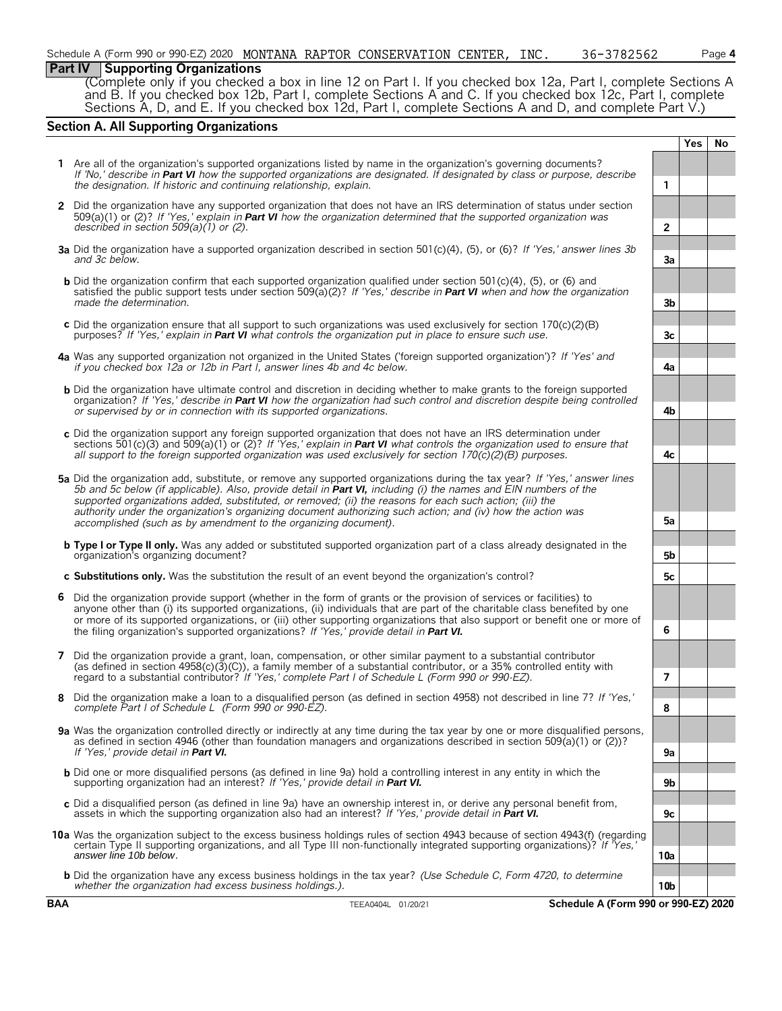### **Part IV Supporting Organizations**

(Complete only if you checked a box in line 12 on Part I. If you checked box 12a, Part I, complete Sections A and B. If you checked box 12b, Part I, complete Sections A and C. If you checked box 12c, Part I, complete Sections A, D, and E. If you checked box 12d, Part I, complete Sections A and D, and complete Part V.)

### **Section A. All Supporting Organizations**

|   |                                                                                                                                                                                                                                                                                                                                                                                                                                                                            |                 | Yes | No |
|---|----------------------------------------------------------------------------------------------------------------------------------------------------------------------------------------------------------------------------------------------------------------------------------------------------------------------------------------------------------------------------------------------------------------------------------------------------------------------------|-----------------|-----|----|
|   | 1 Are all of the organization's supported organizations listed by name in the organization's governing documents?<br>If 'No,' describe in Part VI how the supported organizations are designated. If designated by class or purpose, describe<br>the designation. If historic and continuing relationship, explain.                                                                                                                                                        | 1               |     |    |
|   | 2 Did the organization have any supported organization that does not have an IRS determination of status under section<br>509(a)(1) or (2)? If 'Yes,' explain in <b>Part VI</b> how the organization determined that the supported organization was                                                                                                                                                                                                                        |                 |     |    |
|   | described in section $509(a)(1)$ or (2).                                                                                                                                                                                                                                                                                                                                                                                                                                   | $\overline{2}$  |     |    |
|   | 3a Did the organization have a supported organization described in section 501(c)(4), (5), or (6)? If 'Yes,' answer lines 3b<br>and 3c below.                                                                                                                                                                                                                                                                                                                              | За              |     |    |
|   | <b>b</b> Did the organization confirm that each supported organization qualified under section $501(c)(4)$ . (5), or (6) and<br>satisfied the public support tests under section 509(a)(2)? If 'Yes,' describe in <b>Part VI</b> when and how the organization<br>made the determination.                                                                                                                                                                                  | 3b              |     |    |
|   | c Did the organization ensure that all support to such organizations was used exclusively for section $170(c)(2)(B)$<br>purposes? If 'Yes,' explain in Part VI what controls the organization put in place to ensure such use.                                                                                                                                                                                                                                             | 3c              |     |    |
|   | 4a Was any supported organization not organized in the United States ('foreign supported organization')? If 'Yes' and<br>if you checked box 12a or 12b in Part I, answer lines 4b and 4c below.                                                                                                                                                                                                                                                                            | 4a              |     |    |
|   | <b>b</b> Did the organization have ultimate control and discretion in deciding whether to make grants to the foreign supported<br>organization? If 'Yes,' describe in Part VI how the organization had such control and discretion despite being controlled<br>or supervised by or in connection with its supported organizations.                                                                                                                                         | 4b              |     |    |
|   | c Did the organization support any foreign supported organization that does not have an IRS determination under<br>sections 501(c)(3) and 509(a)(1) or (2)? If 'Yes,' explain in <b>Part VI</b> what controls the organization used to ensure that<br>all support to the foreign supported organization was used exclusively for section $170(c)(2)(B)$ purposes.                                                                                                          | 4с              |     |    |
|   | 5a Did the organization add, substitute, or remove any supported organizations during the tax year? If 'Yes,' answer lines<br>5b and 5c below (if applicable). Also, provide detail in Part VI, including (i) the names and EIN numbers of the<br>supported organizations added, substituted, or removed; (ii) the reasons for each such action; (iii) the<br>authority under the organization's organizing document authorizing such action; and (iv) how the action was  |                 |     |    |
|   | accomplished (such as by amendment to the organizing document).<br><b>b</b> Type I or Type II only. Was any added or substituted supported organization part of a class already designated in the                                                                                                                                                                                                                                                                          | 5а              |     |    |
|   | organization's organizing document?                                                                                                                                                                                                                                                                                                                                                                                                                                        | 5b              |     |    |
|   | c Substitutions only. Was the substitution the result of an event beyond the organization's control?                                                                                                                                                                                                                                                                                                                                                                       | 5c              |     |    |
| 6 | Did the organization provide support (whether in the form of grants or the provision of services or facilities) to<br>anyone other than (i) its supported organizations, (ii) individuals that are part of the charitable class benefited by one<br>or more of its supported organizations, or (iii) other supporting organizations that also support or benefit one or more of<br>the filing organization's supported organizations? If 'Yes,' provide detail in Part VI. | 6               |     |    |
|   | 7 Did the organization provide a grant, loan, compensation, or other similar payment to a substantial contributor<br>(as defined in section $4958(c)(3)(C)$ ), a family member of a substantial contributor, or a 35% controlled entity with<br>regard to a substantial contributor? If 'Yes,' complete Part I of Schedule L (Form 990 or 990-EZ).                                                                                                                         | 7               |     |    |
|   | Did the organization make a loan to a disqualified person (as defined in section 4958) not described in line 7? If 'Yes,'<br>complete Part I of Schedule L (Form 990 or 990-EZ).                                                                                                                                                                                                                                                                                           | 8               |     |    |
|   | 9a Was the organization controlled directly or indirectly at any time during the tax year by one or more disqualified persons,<br>as defined in section 4946 (other than foundation managers and organizations described in section 509(a)(1) or (2))?                                                                                                                                                                                                                     |                 |     |    |
|   | If 'Yes,' provide detail in Part VI.                                                                                                                                                                                                                                                                                                                                                                                                                                       | 9a              |     |    |
|   | <b>b</b> Did one or more disqualified persons (as defined in line 9a) hold a controlling interest in any entity in which the<br>supporting organization had an interest? If 'Yes,' provide detail in Part VI.                                                                                                                                                                                                                                                              | 9b              |     |    |
|   | c Did a disqualified person (as defined in line 9a) have an ownership interest in, or derive any personal benefit from,<br>assets in which the supporting organization also had an interest? If 'Yes,' provide detail in Part VI.                                                                                                                                                                                                                                          | 9c              |     |    |
|   | 10a Was the organization subject to the excess business holdings rules of section 4943 because of section 4943(f) (regarding<br>certain Type II supporting organizations, and all Type III non-functionally integrated supporting organizations)? If 'Yes,'<br>answer line 10b below.                                                                                                                                                                                      | 10a             |     |    |
|   | <b>b</b> Did the organization have any excess business holdings in the tax year? (Use Schedule C, Form 4720, to determine<br>whether the organization had excess business holdings.).                                                                                                                                                                                                                                                                                      | 10 <sub>b</sub> |     |    |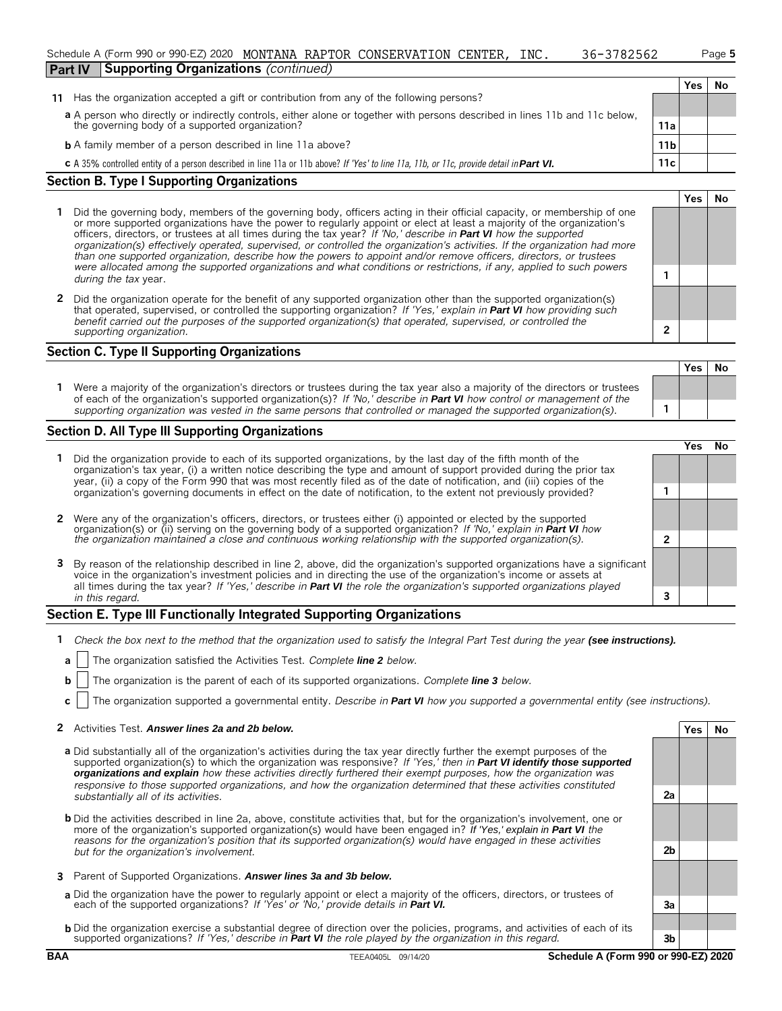|                | Schedule A (Form 990 or 990-EZ) 2020        |  | MONTANA RAPTOR CONSERVATION CENTER, | INC. | 36-3782562 | Page 5 |
|----------------|---------------------------------------------|--|-------------------------------------|------|------------|--------|
| <b>Part IV</b> | <b>Supporting Organizations (continued)</b> |  |                                     |      |            |        |

**Yes No**

|                                                                                                                                                       |     | Yes |  |
|-------------------------------------------------------------------------------------------------------------------------------------------------------|-----|-----|--|
| 11 Has the organization accepted a gift or contribution from any of the following persons?                                                            |     |     |  |
| a A person who directly or indirectly controls, either alone or together with persons described in lines 11b and 11c below,                           |     |     |  |
| the governing body of a supported organization?                                                                                                       | 11a |     |  |
| <b>b</b> A family member of a person described in line 11a above?                                                                                     | 11b |     |  |
| <b>c</b> A 35% controlled entity of a person described in line 11a or 11b above? If 'Yes' to line 11a, 11b, or 11c, provide detail in <b>Part VI.</b> | 11c |     |  |

#### **Section B. Type I Supporting Organizations**

- **1** Did the governing body, members of the governing body, officers acting in their official capacity, or membership of one or more supported organizations have the power to regularly appoint or elect at least a majority of the organization's officers, directors, or trustees at all times during the tax year? *If 'No,' describe in Part VI how the supported organization(s) effectively operated, supervised, or controlled the organization's activities. If the organization had more than one supported organization, describe how the powers to appoint and/or remove officers, directors, or trustees were allocated among the supported organizations and what conditions or restrictions, if any, applied to such powers* **<sup>1</sup>** *during the tax* year.
- **2** Did the organization operate for the benefit of any supported organization other than the supported organization(s) that operated, supervised, or controlled the supporting organization? *If 'Yes,' explain in Part VI how providing such benefit carried out the purposes of the supported organization(s) that operated, supervised, or controlled the supporting organization.* **2**

#### **Section C. Type II Supporting Organizations**

**Yes No 1** Were a majority of the organization's directors or trustees during the tax year also a majority of the directors or trustees of each of the organization's supported organization(s)? *If 'No,' describe in Part VI how control or management of the supporting organization was vested in the same persons that controlled or managed the supported organization(s).* **1**

#### **Section D. All Type III Supporting Organizations**

|                                                                                                                                                                                                                                                                                                                                                                                | ∕ e< |  |
|--------------------------------------------------------------------------------------------------------------------------------------------------------------------------------------------------------------------------------------------------------------------------------------------------------------------------------------------------------------------------------|------|--|
| 1 Did the organization provide to each of its supported organizations, by the last day of the fifth month of the<br>organization's tax year, (i) a written notice describing the type and amount of support provided during the prior tax<br>year, (ii) a copy of the Form 990 that was most recently filed as of the date of notification, and (iii) copies of the            |      |  |
| organization's governing documents in effect on the date of notification, to the extent not previously provided?                                                                                                                                                                                                                                                               |      |  |
| 2 Were any of the organization's officers, directors, or trustees either (i) appointed or elected by the supported                                                                                                                                                                                                                                                             |      |  |
| organization(s) or (ii) serving on the governing body of a supported organization? If 'No,' explain in <b>Part VI</b> how<br>the organization maintained a close and continuous working relationship with the supported organization(s                                                                                                                                         |      |  |
| 3 By reason of the relationship described in line 2, above, did the organization's supported organizations have a significant<br>voice in the organization's investment policies and in directing the use of the organization's income or assets at<br>all times during the tax year? If 'Yes,' describe in Part VI the role the organization's supported organizations played |      |  |
| in this regard.                                                                                                                                                                                                                                                                                                                                                                |      |  |

#### **Section E. Type III Functionally Integrated Supporting Organizations**

- **1** *Check the box next to the method that the organization used to satisfy the Integral Part Test during the year (see instructions).*
	- **a** The organization satisfied the Activities Test. *Complete line 2 below.*
	- **b** The organization is the parent of each of its supported organizations. *Complete line 3 below.*
	- **c** The organization supported a governmental entity. *Describe in Part VI how you supported a governmental entity (see instructions).*

#### **2** Activities Test. Answer lines 2a and 2b below. **Yes No** *Yes* No

- **a** Did substantially all of the organization's activities during the tax year directly further the exempt purposes of the supported organization(s) to which the organization was responsive? *If 'Yes,' then in Part VI identify those supported organizations and explain how these activities directly furthered their exempt purposes, how the organization was responsive to those supported organizations, and how the organization determined that these activities constituted substantially all of its activities.* **2a**
- **b** Did the activities described in line 2a, above, constitute activities that, but for the organization's involvement, one or more of the organization's supported organization(s) would have been engaged in? *If 'Yes,' explain in Part VI the reasons for the organization's position that its supported organization(s) would have engaged in these activities but for the organization's involvement.* **2b**
- **3** Parent of Supported Organizations. *Answer lines 3a and 3b below.*
- **a** Did the organization have the power to regularly appoint or elect a majority of the officers, directors, or trustees of each of the supported organizations? *If 'Yes' or 'No,' provide details in Part VI.* **3a**
- **b** Did the organization exercise a substantial degree of direction over the policies, programs, and activities of each of its supported organizations? *If 'Yes,' describe in Part VI the role played by the organization in this regard.* **3b**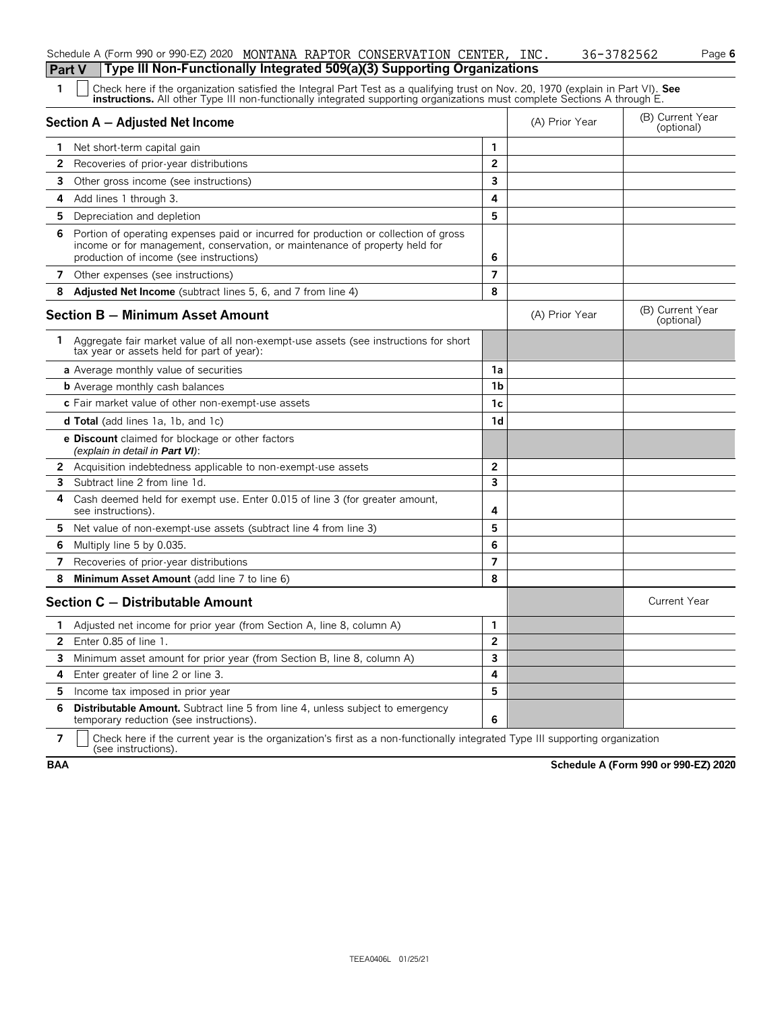|    | Type III Non-Functionally Integrated 509(a)(3) Supporting Organizations<br>Part V                                                                                                                                                                                    |                |                |                                |
|----|----------------------------------------------------------------------------------------------------------------------------------------------------------------------------------------------------------------------------------------------------------------------|----------------|----------------|--------------------------------|
| 1  | Check here if the organization satisfied the Integral Part Test as a qualifying trust on Nov. 20, 1970 (explain in Part VI). See<br><b>instructions.</b> All other Type III non-functionally integrated supporting organizations must complete Sections A through E. |                |                |                                |
|    | Section A - Adjusted Net Income                                                                                                                                                                                                                                      |                | (A) Prior Year | (B) Current Year<br>(optional) |
|    | Net short-term capital gain                                                                                                                                                                                                                                          | $\mathbf{1}$   |                |                                |
| 2  | Recoveries of prior-year distributions                                                                                                                                                                                                                               | $\overline{2}$ |                |                                |
| 3  | Other gross income (see instructions)                                                                                                                                                                                                                                | 3              |                |                                |
| 4  | Add lines 1 through 3.                                                                                                                                                                                                                                               | 4              |                |                                |
| 5. | Depreciation and depletion                                                                                                                                                                                                                                           | 5              |                |                                |
| 6  | Portion of operating expenses paid or incurred for production or collection of gross<br>income or for management, conservation, or maintenance of property held for<br>production of income (see instructions)                                                       | 6              |                |                                |
|    | 7 Other expenses (see instructions)                                                                                                                                                                                                                                  | $\overline{7}$ |                |                                |
| 8  | Adjusted Net Income (subtract lines 5, 6, and 7 from line 4)                                                                                                                                                                                                         | 8              |                |                                |
|    | Section B - Minimum Asset Amount                                                                                                                                                                                                                                     |                | (A) Prior Year | (B) Current Year<br>(optional) |
| 1  | Aggregate fair market value of all non-exempt-use assets (see instructions for short<br>tax year or assets held for part of year):                                                                                                                                   |                |                |                                |
|    | a Average monthly value of securities                                                                                                                                                                                                                                | 1a             |                |                                |
|    | <b>b</b> Average monthly cash balances                                                                                                                                                                                                                               | 1 <sub>b</sub> |                |                                |
|    | c Fair market value of other non-exempt-use assets                                                                                                                                                                                                                   | 1c             |                |                                |
|    | <b>d Total</b> (add lines 1a, 1b, and 1c)                                                                                                                                                                                                                            | 1d             |                |                                |
|    | e Discount claimed for blockage or other factors<br>(explain in detail in Part VI):                                                                                                                                                                                  |                |                |                                |
|    | 2 Acquisition indebtedness applicable to non-exempt-use assets                                                                                                                                                                                                       | $\overline{2}$ |                |                                |
| 3  | Subtract line 2 from line 1d.                                                                                                                                                                                                                                        | 3              |                |                                |
| 4  | Cash deemed held for exempt use. Enter 0.015 of line 3 (for greater amount,<br>see instructions).                                                                                                                                                                    | 4              |                |                                |
| 5. | Net value of non-exempt-use assets (subtract line 4 from line 3)                                                                                                                                                                                                     | 5              |                |                                |
| 6  | Multiply line 5 by 0.035.                                                                                                                                                                                                                                            | 6              |                |                                |
| 7  | Recoveries of prior-year distributions                                                                                                                                                                                                                               | $\overline{ }$ |                |                                |
| 8  | Minimum Asset Amount (add line 7 to line 6)                                                                                                                                                                                                                          | 8              |                |                                |
|    | Section C - Distributable Amount                                                                                                                                                                                                                                     |                |                | <b>Current Year</b>            |
| 1  | Adjusted net income for prior year (from Section A, line 8, column A)                                                                                                                                                                                                | $\mathbf{1}$   |                |                                |
| 2  | Enter 0.85 of line 1.                                                                                                                                                                                                                                                | 2              |                |                                |
| 3  | Minimum asset amount for prior year (from Section B, line 8, column A)                                                                                                                                                                                               | 3              |                |                                |
| 4  | Enter greater of line 2 or line 3.                                                                                                                                                                                                                                   | 4              |                |                                |
| 5. | Income tax imposed in prior year                                                                                                                                                                                                                                     | 5              |                |                                |
| 6  | Distributable Amount. Subtract line 5 from line 4, unless subject to emergency<br>temporary reduction (see instructions).                                                                                                                                            | 6              |                |                                |
|    |                                                                                                                                                                                                                                                                      |                |                |                                |

Schedule A (Form 990 or 990-EZ) 2020 MONTANA RAPTOR CONSERVATION CENTER, INC. 36-3782562 Page 6

**7**  $\parallel$  Check here if the current year is the organization's first as a non-functionally integrated Type III supporting organization (see instructions).

**BAA Schedule A (Form 990 or 990-EZ) 2020**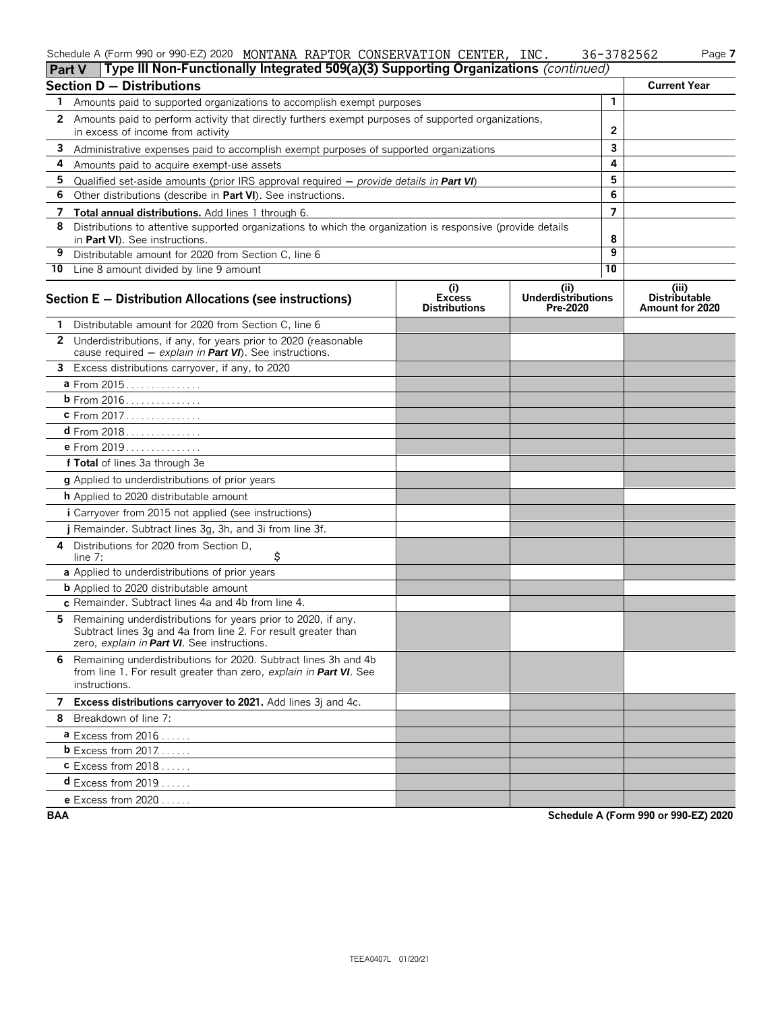#### Schedule A (Form 990 or 990-EZ) 2020 MONTANA RAPTOR CONSERVATION CENTER,INC. 36-3782562 Page **7** MONTANA RAPTOR CONSERVATION CENTER, INC. 36-3782562

|  | ۰ |
|--|---|
|--|---|

|              | Type III Non-Functionally Integrated 509(a)(3) Supporting Organizations (continued)<br>Part V                                                                                 |                                                            |                                              |              |                                                  |
|--------------|-------------------------------------------------------------------------------------------------------------------------------------------------------------------------------|------------------------------------------------------------|----------------------------------------------|--------------|--------------------------------------------------|
|              | <b>Section D - Distributions</b>                                                                                                                                              |                                                            |                                              |              | <b>Current Year</b>                              |
| 1.           | Amounts paid to supported organizations to accomplish exempt purposes                                                                                                         |                                                            |                                              | $\mathbf{1}$ |                                                  |
| $\mathbf{2}$ | Amounts paid to perform activity that directly furthers exempt purposes of supported organizations,                                                                           |                                                            |                                              |              |                                                  |
|              | in excess of income from activity                                                                                                                                             |                                                            | $\mathbf{2}$                                 |              |                                                  |
| 3            | Administrative expenses paid to accomplish exempt purposes of supported organizations                                                                                         |                                                            |                                              | 3            |                                                  |
| 4            | Amounts paid to acquire exempt-use assets                                                                                                                                     |                                                            |                                              | 4            |                                                  |
| 5            | Qualified set-aside amounts (prior IRS approval required $-$ provide details in Part VI)                                                                                      |                                                            |                                              | 5            |                                                  |
| 6            | Other distributions (describe in Part VI). See instructions.                                                                                                                  |                                                            |                                              | 6            |                                                  |
| 7            | Total annual distributions. Add lines 1 through 6.                                                                                                                            |                                                            |                                              | 7            |                                                  |
| 8            | Distributions to attentive supported organizations to which the organization is responsive (provide details<br>in Part VI). See instructions.                                 |                                                            |                                              | 8            |                                                  |
| 9            | Distributable amount for 2020 from Section C, line 6                                                                                                                          |                                                            |                                              | 9            |                                                  |
|              | 10 Line 8 amount divided by line 9 amount                                                                                                                                     |                                                            |                                              | 10           |                                                  |
|              | Section E - Distribution Allocations (see instructions)                                                                                                                       | $\left( i\right)$<br><b>Excess</b><br><b>Distributions</b> | (i)<br><b>Underdistributions</b><br>Pre-2020 |              | (iii)<br><b>Distributable</b><br>Amount for 2020 |
| 1            | Distributable amount for 2020 from Section C, line 6                                                                                                                          |                                                            |                                              |              |                                                  |
| $\mathbf{2}$ | Underdistributions, if any, for years prior to 2020 (reasonable<br>cause required $-$ explain in Part VI). See instructions.                                                  |                                                            |                                              |              |                                                  |
| 3            | Excess distributions carryover, if any, to 2020                                                                                                                               |                                                            |                                              |              |                                                  |
|              | a From 2015                                                                                                                                                                   |                                                            |                                              |              |                                                  |
|              | <b>b</b> From 2016                                                                                                                                                            |                                                            |                                              |              |                                                  |
|              | c From 2017                                                                                                                                                                   |                                                            |                                              |              |                                                  |
|              |                                                                                                                                                                               |                                                            |                                              |              |                                                  |
|              | e From 2019                                                                                                                                                                   |                                                            |                                              |              |                                                  |
|              | f Total of lines 3a through 3e                                                                                                                                                |                                                            |                                              |              |                                                  |
|              | <b>g</b> Applied to underdistributions of prior years                                                                                                                         |                                                            |                                              |              |                                                  |
|              | <b>h</b> Applied to 2020 distributable amount                                                                                                                                 |                                                            |                                              |              |                                                  |
|              | <i>i</i> Carryover from 2015 not applied (see instructions)                                                                                                                   |                                                            |                                              |              |                                                  |
|              | j Remainder. Subtract lines 3g, 3h, and 3i from line 3f.                                                                                                                      |                                                            |                                              |              |                                                  |
| 4            | Distributions for 2020 from Section D,<br>\$<br>line $7:$                                                                                                                     |                                                            |                                              |              |                                                  |
|              | a Applied to underdistributions of prior years                                                                                                                                |                                                            |                                              |              |                                                  |
|              | <b>b</b> Applied to 2020 distributable amount                                                                                                                                 |                                                            |                                              |              |                                                  |
|              | c Remainder. Subtract lines 4a and 4b from line 4.                                                                                                                            |                                                            |                                              |              |                                                  |
| 5.           | Remaining underdistributions for years prior to 2020, if any.<br>Subtract lines 3g and 4a from line 2. For result greater than<br>zero, explain in Part VI. See instructions. |                                                            |                                              |              |                                                  |
|              | 6 Remaining underdistributions for 2020. Subtract lines 3h and 4b<br>from line 1. For result greater than zero, explain in <b>Part VI</b> . See<br>instructions.              |                                                            |                                              |              |                                                  |
|              | 7 Excess distributions carryover to 2021. Add lines 3j and 4c.                                                                                                                |                                                            |                                              |              |                                                  |
|              | 8 Breakdown of line 7:                                                                                                                                                        |                                                            |                                              |              |                                                  |
|              | $a$ Excess from 2016                                                                                                                                                          |                                                            |                                              |              |                                                  |
|              | <b>b</b> Excess from $2017$                                                                                                                                                   |                                                            |                                              |              |                                                  |
|              | $c$ Excess from 2018                                                                                                                                                          |                                                            |                                              |              |                                                  |
|              | <b>d</b> Excess from $2019$                                                                                                                                                   |                                                            |                                              |              |                                                  |
|              | <b>e</b> Excess from $2020$                                                                                                                                                   |                                                            |                                              |              |                                                  |

**BAA Schedule A (Form 990 or 990-EZ) 2020**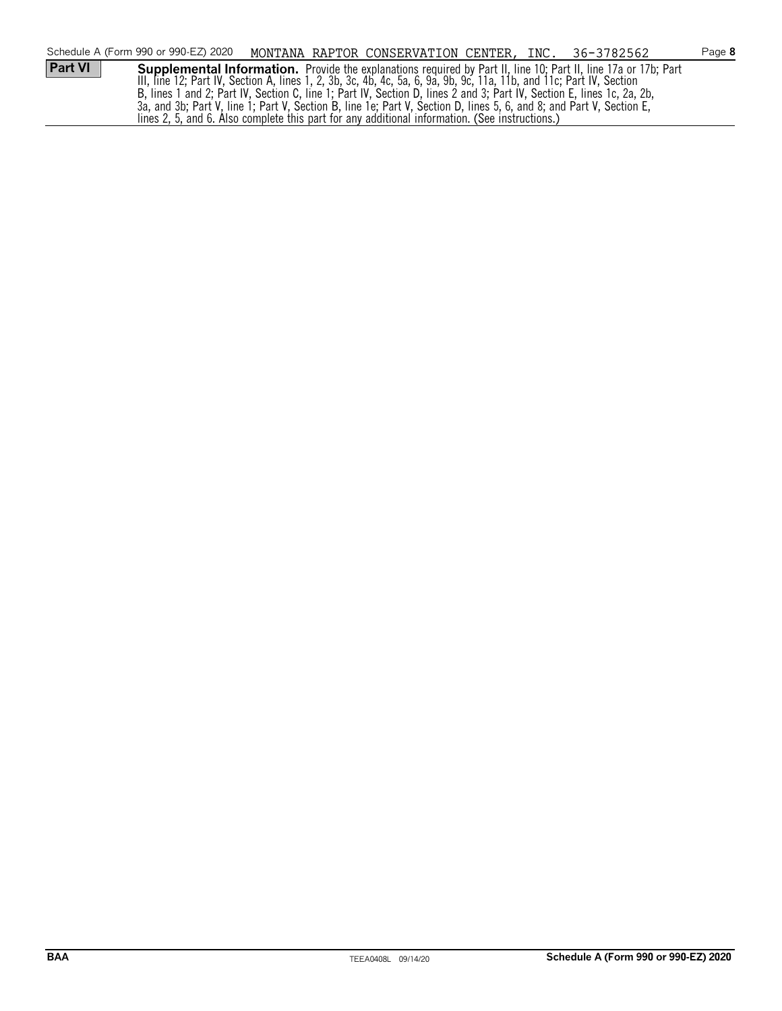|                | Schedule A (Form 990 or 990-EZ) 2020                                                                                   |  |  | MONTANA RAPTOR CONSERVATION CENTER, INC. 36-3782562                                                             | Page 8 |
|----------------|------------------------------------------------------------------------------------------------------------------------|--|--|-----------------------------------------------------------------------------------------------------------------|--------|
| <b>Part VI</b> |                                                                                                                        |  |  | Supplemental Information. Provide the explanations required by Part II, line 10; Part II, line 17a or 17b; Part |        |
|                | III, line 12; Part IV, Section A, lines 1, 2, 3b, 3c, 4b, 4c, 5a, 6, 9a, 9b, 9c, 11a, 11b, and 11c; Part IV, Section   |  |  |                                                                                                                 |        |
|                | B, lines 1 and 2; Part IV, Section C, line 1; Part IV, Section D, lines 2 and 3; Part IV, Section E, lines 1c, 2a, 2b, |  |  |                                                                                                                 |        |
|                | 3a, and 3b; Part V, line 1; Part V, Section B, line 1e; Part V, Section D, lines 5, 6, and 8; and Part V, Section E,   |  |  |                                                                                                                 |        |
|                | lines 2, 5, and 6. Also complete this part for any additional information. (See instructions.)                         |  |  |                                                                                                                 |        |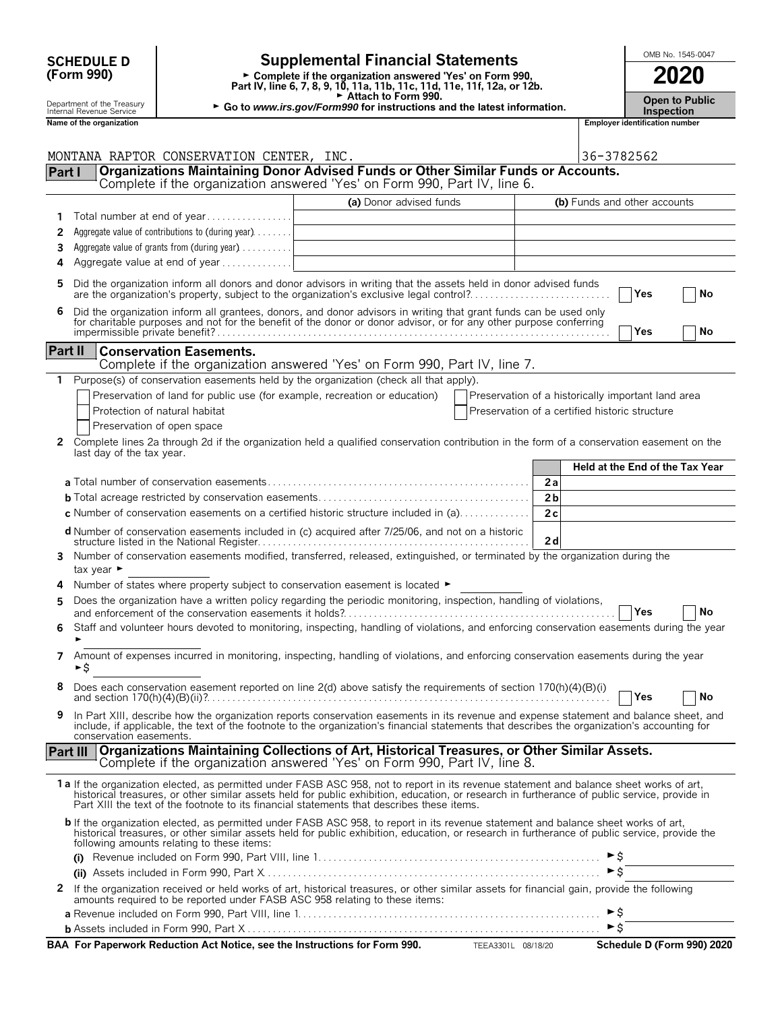|                | <b>Supplemental Financial Statements</b><br><b>SCHEDULE D</b><br>(Form 990)<br>► Complete if the organization answered 'Yes' on Form 990,<br>Part IV, line 6, 7, 8, 9, 10, 11a, 11b, 11c, 11d, 11e, 11f, 12a, or 12b.<br>Attach to Form 990. |                                                                                |                                                                                                                                                                                                                                                                                                                                                                                        |                                                    |                |                                 |                                       | OMB No. 1545-0047                          |
|----------------|----------------------------------------------------------------------------------------------------------------------------------------------------------------------------------------------------------------------------------------------|--------------------------------------------------------------------------------|----------------------------------------------------------------------------------------------------------------------------------------------------------------------------------------------------------------------------------------------------------------------------------------------------------------------------------------------------------------------------------------|----------------------------------------------------|----------------|---------------------------------|---------------------------------------|--------------------------------------------|
|                | Department of the Treasury<br>► Go to www.irs.gov/Form990 for instructions and the latest information.<br>Internal Revenue Service                                                                                                           |                                                                                |                                                                                                                                                                                                                                                                                                                                                                                        |                                                    |                |                                 |                                       | <b>Open to Public</b><br><b>Inspection</b> |
|                | Name of the organization                                                                                                                                                                                                                     |                                                                                |                                                                                                                                                                                                                                                                                                                                                                                        |                                                    |                |                                 | <b>Employer identification number</b> |                                            |
| Part I         |                                                                                                                                                                                                                                              | MONTANA RAPTOR CONSERVATION CENTER, INC.                                       | Organizations Maintaining Donor Advised Funds or Other Similar Funds or Accounts.                                                                                                                                                                                                                                                                                                      |                                                    |                | 36-3782562                      |                                       |                                            |
|                |                                                                                                                                                                                                                                              |                                                                                | Complete if the organization answered 'Yes' on Form 990, Part IV, line 6.                                                                                                                                                                                                                                                                                                              |                                                    |                |                                 |                                       |                                            |
|                |                                                                                                                                                                                                                                              |                                                                                | (a) Donor advised funds                                                                                                                                                                                                                                                                                                                                                                |                                                    |                | (b) Funds and other accounts    |                                       |                                            |
| 1              |                                                                                                                                                                                                                                              | Total number at end of year                                                    |                                                                                                                                                                                                                                                                                                                                                                                        |                                                    |                |                                 |                                       |                                            |
| 2              |                                                                                                                                                                                                                                              | Aggregate value of contributions to (during year)                              |                                                                                                                                                                                                                                                                                                                                                                                        |                                                    |                |                                 |                                       |                                            |
| 3<br>4         |                                                                                                                                                                                                                                              | Aggregate value of grants from (during year)<br>Aggregate value at end of year |                                                                                                                                                                                                                                                                                                                                                                                        |                                                    |                |                                 |                                       |                                            |
|                |                                                                                                                                                                                                                                              |                                                                                |                                                                                                                                                                                                                                                                                                                                                                                        |                                                    |                |                                 |                                       |                                            |
| 5              |                                                                                                                                                                                                                                              |                                                                                | Did the organization inform all donors and donor advisors in writing that the assets held in donor advised funds<br>are the organization's property, subject to the organization's exclusive legal control?                                                                                                                                                                            |                                                    |                |                                 | Yes                                   | No                                         |
| 6              |                                                                                                                                                                                                                                              |                                                                                | Did the organization inform all grantees, donors, and donor advisors in writing that grant funds can be used only<br>for charitable purposes and not for the benefit of the donor or donor advisor, or for any other purpose conferring                                                                                                                                                |                                                    |                |                                 |                                       |                                            |
|                |                                                                                                                                                                                                                                              |                                                                                |                                                                                                                                                                                                                                                                                                                                                                                        |                                                    |                |                                 | <b>Yes</b>                            | No                                         |
| <b>Part II</b> |                                                                                                                                                                                                                                              | <b>Conservation Easements.</b>                                                 |                                                                                                                                                                                                                                                                                                                                                                                        |                                                    |                |                                 |                                       |                                            |
|                |                                                                                                                                                                                                                                              |                                                                                | Complete if the organization answered 'Yes' on Form 990, Part IV, line 7.<br>Purpose(s) of conservation easements held by the organization (check all that apply).                                                                                                                                                                                                                     |                                                    |                |                                 |                                       |                                            |
|                |                                                                                                                                                                                                                                              |                                                                                | Preservation of land for public use (for example, recreation or education)                                                                                                                                                                                                                                                                                                             | Preservation of a historically important land area |                |                                 |                                       |                                            |
|                |                                                                                                                                                                                                                                              | Protection of natural habitat                                                  |                                                                                                                                                                                                                                                                                                                                                                                        | Preservation of a certified historic structure     |                |                                 |                                       |                                            |
|                |                                                                                                                                                                                                                                              | Preservation of open space                                                     |                                                                                                                                                                                                                                                                                                                                                                                        |                                                    |                |                                 |                                       |                                            |
| 2              |                                                                                                                                                                                                                                              |                                                                                | Complete lines 2a through 2d if the organization held a qualified conservation contribution in the form of a conservation easement on the                                                                                                                                                                                                                                              |                                                    |                |                                 |                                       |                                            |
|                | last day of the tax year.                                                                                                                                                                                                                    |                                                                                |                                                                                                                                                                                                                                                                                                                                                                                        |                                                    |                |                                 |                                       |                                            |
|                |                                                                                                                                                                                                                                              |                                                                                |                                                                                                                                                                                                                                                                                                                                                                                        |                                                    |                | Held at the End of the Tax Year |                                       |                                            |
|                |                                                                                                                                                                                                                                              |                                                                                |                                                                                                                                                                                                                                                                                                                                                                                        |                                                    | 2a             |                                 |                                       |                                            |
|                |                                                                                                                                                                                                                                              |                                                                                |                                                                                                                                                                                                                                                                                                                                                                                        |                                                    | 2 <sub>b</sub> |                                 |                                       |                                            |
|                |                                                                                                                                                                                                                                              |                                                                                | c Number of conservation easements on a certified historic structure included in (a)                                                                                                                                                                                                                                                                                                   |                                                    | 2c             |                                 |                                       |                                            |
|                |                                                                                                                                                                                                                                              |                                                                                | d Number of conservation easements included in (c) acquired after 7/25/06, and not on a historic                                                                                                                                                                                                                                                                                       |                                                    | 2d             |                                 |                                       |                                            |
|                | tax year $\blacktriangleright$                                                                                                                                                                                                               |                                                                                | Number of conservation easements modified, transferred, released, extinguished, or terminated by the organization during the                                                                                                                                                                                                                                                           |                                                    |                |                                 |                                       |                                            |
| 4              |                                                                                                                                                                                                                                              |                                                                                | Number of states where property subject to conservation easement is located ►                                                                                                                                                                                                                                                                                                          |                                                    |                |                                 |                                       |                                            |
|                |                                                                                                                                                                                                                                              |                                                                                | Does the organization have a written policy regarding the periodic monitoring, inspection, handling of violations,                                                                                                                                                                                                                                                                     |                                                    |                |                                 | $7$ Yes                               | $ $ No                                     |
| 6              |                                                                                                                                                                                                                                              |                                                                                | Staff and volunteer hours devoted to monitoring, inspecting, handling of violations, and enforcing conservation easements during the year                                                                                                                                                                                                                                              |                                                    |                |                                 |                                       |                                            |
| 7              | ►\$                                                                                                                                                                                                                                          |                                                                                | Amount of expenses incurred in monitoring, inspecting, handling of violations, and enforcing conservation easements during the year                                                                                                                                                                                                                                                    |                                                    |                |                                 |                                       |                                            |
| 8              |                                                                                                                                                                                                                                              |                                                                                | Does each conservation easement reported on line 2(d) above satisfy the requirements of section 170(h)(4)(B)(i)<br>and section $170(h)(4)(B)(ii)$ ?                                                                                                                                                                                                                                    |                                                    |                |                                 | Yes                                   | No                                         |
| 9              | conservation easements.                                                                                                                                                                                                                      |                                                                                | In Part XIII, describe how the organization reports conservation easements in its revenue and expense statement and balance sheet, and<br>include, if applicable, the text of the footnote to the organization's financial statements that describes the organization's accounting for                                                                                                 |                                                    |                |                                 |                                       |                                            |
|                | <b>Part III</b>                                                                                                                                                                                                                              |                                                                                | Organizations Maintaining Collections of Art, Historical Treasures, or Other Similar Assets.<br>Complete if the organization answered 'Yes' on Form 990, Part IV, line 8.                                                                                                                                                                                                              |                                                    |                |                                 |                                       |                                            |
|                |                                                                                                                                                                                                                                              |                                                                                | 1a If the organization elected, as permitted under FASB ASC 958, not to report in its revenue statement and balance sheet works of art,<br>historical treasures, or other similar assets held for public exhibition, education, or research in furtherance of public service, provide in<br>Part XIII the text of the footnote to its financial statements that describes these items. |                                                    |                |                                 |                                       |                                            |
|                |                                                                                                                                                                                                                                              | following amounts relating to these items:                                     | <b>b</b> If the organization elected, as permitted under FASB ASC 958, to report in its revenue statement and balance sheet works of art,<br>historical treasures, or other similar assets held for public exhibition, education, or research in furtherance of public service, provide the                                                                                            |                                                    |                |                                 |                                       |                                            |
|                |                                                                                                                                                                                                                                              |                                                                                |                                                                                                                                                                                                                                                                                                                                                                                        |                                                    |                | ►\$                             |                                       |                                            |
|                |                                                                                                                                                                                                                                              |                                                                                |                                                                                                                                                                                                                                                                                                                                                                                        |                                                    |                | $\triangleright$ \$             |                                       |                                            |
|                |                                                                                                                                                                                                                                              |                                                                                | 2 If the organization received or held works of art, historical treasures, or other similar assets for financial gain, provide the following<br>amounts required to be reported under FASB ASC 958 relating to these items:                                                                                                                                                            |                                                    |                | $\blacktriangleright$ \$        |                                       |                                            |
|                |                                                                                                                                                                                                                                              |                                                                                |                                                                                                                                                                                                                                                                                                                                                                                        |                                                    |                | $\triangleright$ \$             |                                       |                                            |
|                |                                                                                                                                                                                                                                              |                                                                                | BAA For Paperwork Reduction Act Notice, see the Instructions for Form 990. TEEA3301L 08/18/20                                                                                                                                                                                                                                                                                          |                                                    |                |                                 |                                       | Schedule D (Form 990) 2020                 |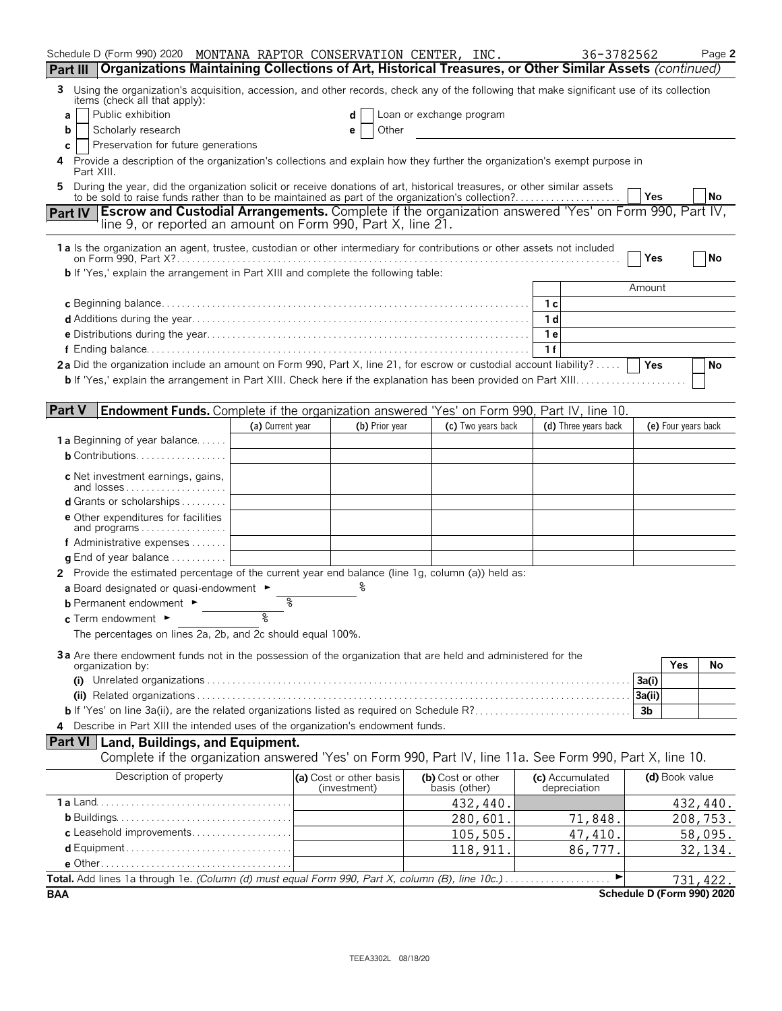| Schedule D (Form 990) 2020 MONTANA RAPTOR CONSERVATION CENTER, INC.                                                                                                                                                               |                  |                                         |                          |                    | 36-3782562                      |                            | Page 2    |
|-----------------------------------------------------------------------------------------------------------------------------------------------------------------------------------------------------------------------------------|------------------|-----------------------------------------|--------------------------|--------------------|---------------------------------|----------------------------|-----------|
| Organizations Maintaining Collections of Art, Historical Treasures, or Other Similar Assets (continued)<br>Part III                                                                                                               |                  |                                         |                          |                    |                                 |                            |           |
| Using the organization's acquisition, accession, and other records, check any of the following that make significant use of its collection<br>3<br>items (check all that apply):                                                  |                  |                                         |                          |                    |                                 |                            |           |
| Public exhibition<br>a                                                                                                                                                                                                            |                  | d                                       | Loan or exchange program |                    |                                 |                            |           |
| Scholarly research<br>b                                                                                                                                                                                                           |                  | Other<br>е                              |                          |                    |                                 |                            |           |
| Preservation for future generations<br>С                                                                                                                                                                                          |                  |                                         |                          |                    |                                 |                            |           |
| Provide a description of the organization's collections and explain how they further the organization's exempt purpose in<br>4<br>Part XIII.                                                                                      |                  |                                         |                          |                    |                                 |                            |           |
| During the year, did the organization solicit or receive donations of art, historical treasures, or other similar assets<br>5<br>to be sold to raise funds rather than to be maintained as part of the organization's collection? |                  |                                         |                          |                    |                                 | Yes                        | No        |
| <b>Escrow and Custodial Arrangements.</b> Complete if the organization answered 'Yes' on Form 990, Part IV,<br><b>Part IV</b>                                                                                                     |                  |                                         |                          |                    |                                 |                            |           |
| line 9, or reported an amount on Form 990, Part X, line 21.                                                                                                                                                                       |                  |                                         |                          |                    |                                 |                            |           |
| 1 a Is the organization an agent, trustee, custodian or other intermediary for contributions or other assets not included                                                                                                         |                  |                                         |                          |                    |                                 |                            |           |
| <b>b</b> If 'Yes,' explain the arrangement in Part XIII and complete the following table:                                                                                                                                         |                  |                                         |                          |                    |                                 | Yes                        | <b>No</b> |
|                                                                                                                                                                                                                                   |                  |                                         |                          |                    |                                 | Amount                     |           |
|                                                                                                                                                                                                                                   |                  |                                         |                          |                    | 1 с                             |                            |           |
|                                                                                                                                                                                                                                   |                  |                                         |                          |                    | 1 d                             |                            |           |
|                                                                                                                                                                                                                                   |                  |                                         |                          |                    | 1е                              |                            |           |
|                                                                                                                                                                                                                                   |                  |                                         |                          |                    | 1f                              |                            |           |
| 2a Did the organization include an amount on Form 990, Part X, line 21, for escrow or custodial account liability?                                                                                                                |                  |                                         |                          |                    |                                 | <b>Yes</b>                 | No        |
|                                                                                                                                                                                                                                   |                  |                                         |                          |                    |                                 |                            |           |
|                                                                                                                                                                                                                                   |                  |                                         |                          |                    |                                 |                            |           |
| <b>Part V</b><br>Endowment Funds. Complete if the organization answered 'Yes' on Form 990, Part IV, line 10.                                                                                                                      |                  |                                         |                          |                    |                                 |                            |           |
|                                                                                                                                                                                                                                   | (a) Current year | (b) Prior year                          |                          | (c) Two years back | (d) Three years back            | (e) Four years back        |           |
| <b>1a</b> Beginning of year balance                                                                                                                                                                                               |                  |                                         |                          |                    |                                 |                            |           |
| <b>b</b> Contributions                                                                                                                                                                                                            |                  |                                         |                          |                    |                                 |                            |           |
| c Net investment earnings, gains,<br>and losses                                                                                                                                                                                   |                  |                                         |                          |                    |                                 |                            |           |
| <b>d</b> Grants or scholarships $\ldots$                                                                                                                                                                                          |                  |                                         |                          |                    |                                 |                            |           |
| <b>e</b> Other expenditures for facilities<br>and programs                                                                                                                                                                        |                  |                                         |                          |                    |                                 |                            |           |
| f Administrative expenses $\ldots$                                                                                                                                                                                                |                  |                                         |                          |                    |                                 |                            |           |
| <b>q</b> End of year balance $\dots\dots\dots\dots$                                                                                                                                                                               |                  |                                         |                          |                    |                                 |                            |           |
| 2 Provide the estimated percentage of the current year end balance (line 1g, column (a)) held as:                                                                                                                                 |                  |                                         |                          |                    |                                 |                            |           |
| a Board designated or quasi-endowment $\blacktriangleright$                                                                                                                                                                       |                  |                                         |                          |                    |                                 |                            |           |
| <b>b</b> Permanent endowment $\blacktriangleright$                                                                                                                                                                                | %                |                                         |                          |                    |                                 |                            |           |
| c Term endowment $\blacktriangleright$                                                                                                                                                                                            | °                |                                         |                          |                    |                                 |                            |           |
| The percentages on lines 2a, 2b, and 2c should equal 100%.                                                                                                                                                                        |                  |                                         |                          |                    |                                 |                            |           |
| 3a Are there endowment funds not in the possession of the organization that are held and administered for the                                                                                                                     |                  |                                         |                          |                    |                                 |                            |           |
| organization by:                                                                                                                                                                                                                  |                  |                                         |                          |                    |                                 | Yes                        | No        |
|                                                                                                                                                                                                                                   |                  |                                         |                          |                    |                                 | 3a(i)                      |           |
|                                                                                                                                                                                                                                   |                  |                                         |                          |                    |                                 | 3a(ii)                     |           |
|                                                                                                                                                                                                                                   |                  |                                         |                          |                    |                                 | 3b                         |           |
| 4 Describe in Part XIII the intended uses of the organization's endowment funds.                                                                                                                                                  |                  |                                         |                          |                    |                                 |                            |           |
| <b>Part VI</b> Land, Buildings, and Equipment.<br>Complete if the organization answered 'Yes' on Form 990, Part IV, line 11a. See Form 990, Part X, line 10.                                                                      |                  |                                         |                          |                    |                                 |                            |           |
|                                                                                                                                                                                                                                   |                  |                                         |                          |                    |                                 |                            |           |
| Description of property                                                                                                                                                                                                           |                  | (a) Cost or other basis<br>(investment) | basis (other)            | (b) Cost or other  | (c) Accumulated<br>depreciation | (d) Book value             |           |
|                                                                                                                                                                                                                                   |                  |                                         |                          | 432,440.           |                                 |                            | 432,440.  |
|                                                                                                                                                                                                                                   |                  |                                         |                          | 280,601.           | 71,848.                         |                            | 208,753.  |
| c Leasehold improvements                                                                                                                                                                                                          |                  |                                         |                          | 105,505.           | 47, 410.                        |                            | 58,095.   |
|                                                                                                                                                                                                                                   |                  |                                         |                          | 118,911            | 86,777.                         |                            | 32,134.   |
|                                                                                                                                                                                                                                   |                  |                                         |                          |                    |                                 |                            |           |
|                                                                                                                                                                                                                                   |                  |                                         |                          |                    |                                 |                            | 731, 422. |
| <b>BAA</b>                                                                                                                                                                                                                        |                  |                                         |                          |                    |                                 | Schedule D (Form 990) 2020 |           |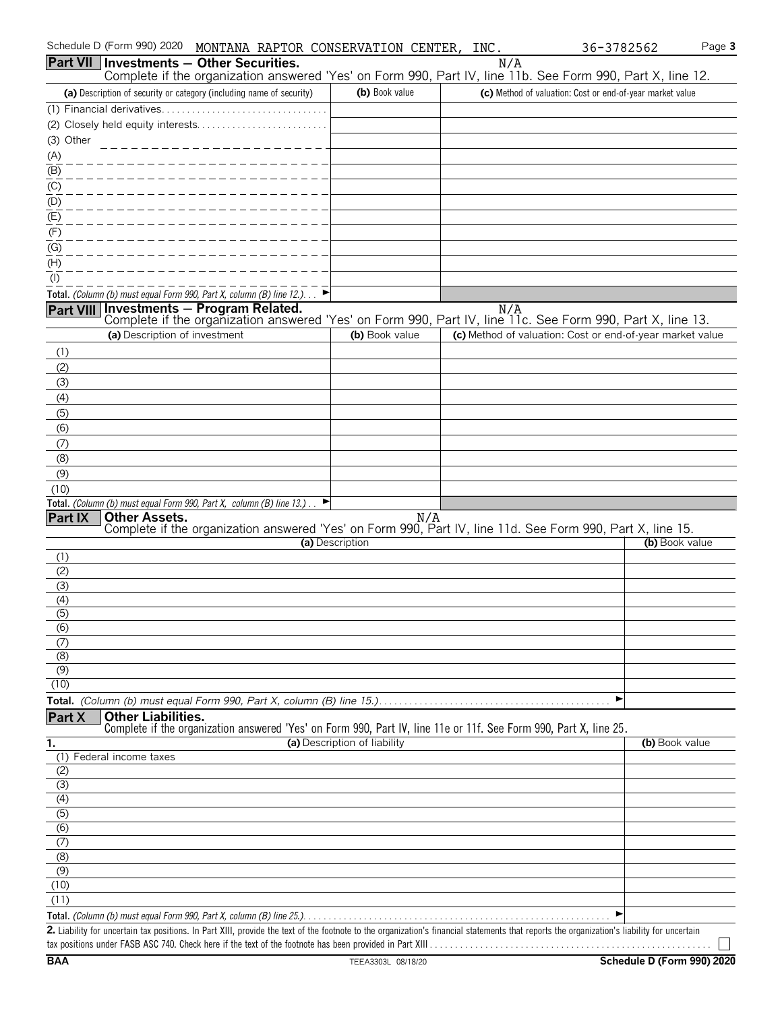|                           | Schedule D (Form 990) 2020    | MONTANA RAPTOR CONSERVATION CENTER, INC.                                                                                                                                                    |                              |                |     | 36-3782562                                                | Page 3         |
|---------------------------|-------------------------------|---------------------------------------------------------------------------------------------------------------------------------------------------------------------------------------------|------------------------------|----------------|-----|-----------------------------------------------------------|----------------|
|                           |                               | Part VII Investments - Other Securities.<br>Complete if the organization answered 'Yes' on Form 990, Part IV, line 11b. See Form 990, Part X, line 12.                                      |                              |                | N/A |                                                           |                |
|                           |                               | (a) Description of security or category (including name of security)                                                                                                                        |                              | (b) Book value |     | (c) Method of valuation: Cost or end-of-year market value |                |
|                           |                               |                                                                                                                                                                                             |                              |                |     |                                                           |                |
|                           |                               |                                                                                                                                                                                             |                              |                |     |                                                           |                |
| (3) Other                 |                               |                                                                                                                                                                                             |                              |                |     |                                                           |                |
| (A)                       |                               |                                                                                                                                                                                             |                              |                |     |                                                           |                |
| $\overline{(\mathsf{B})}$ |                               |                                                                                                                                                                                             |                              |                |     |                                                           |                |
| (C)                       |                               |                                                                                                                                                                                             |                              |                |     |                                                           |                |
| (D)                       |                               |                                                                                                                                                                                             |                              |                |     |                                                           |                |
| (E)                       |                               |                                                                                                                                                                                             |                              |                |     |                                                           |                |
| (F)                       |                               |                                                                                                                                                                                             |                              |                |     |                                                           |                |
| (G)                       |                               |                                                                                                                                                                                             |                              |                |     |                                                           |                |
| (H)                       |                               |                                                                                                                                                                                             |                              |                |     |                                                           |                |
| $($ l $)$                 |                               |                                                                                                                                                                                             |                              |                |     |                                                           |                |
|                           |                               | Total. (Column (b) must equal Form 990, Part X, column (B) line 12.)                                                                                                                        |                              |                |     |                                                           |                |
| Part VIII                 |                               | <b>Investments - Program Related.</b> N/A<br>Complete if the organization answered 'Yes' on Form 990, Part IV, line 11c. See Form 990, Part X, line 13.                                     |                              |                |     |                                                           |                |
|                           | (a) Description of investment |                                                                                                                                                                                             |                              | (b) Book value |     | (c) Method of valuation: Cost or end-of-year market value |                |
| (1)                       |                               |                                                                                                                                                                                             |                              |                |     |                                                           |                |
| (2)                       |                               |                                                                                                                                                                                             |                              |                |     |                                                           |                |
| (3)<br>(4)                |                               |                                                                                                                                                                                             |                              |                |     |                                                           |                |
| (5)                       |                               |                                                                                                                                                                                             |                              |                |     |                                                           |                |
| (6)                       |                               |                                                                                                                                                                                             |                              |                |     |                                                           |                |
| (7)                       |                               |                                                                                                                                                                                             |                              |                |     |                                                           |                |
| (8)                       |                               |                                                                                                                                                                                             |                              |                |     |                                                           |                |
| (9)                       |                               |                                                                                                                                                                                             |                              |                |     |                                                           |                |
| (10)                      |                               |                                                                                                                                                                                             |                              |                |     |                                                           |                |
|                           | <b>Other Assets.</b>          | Total. (Column (b) must equal Form 990, Part X, column (B) line 13.).                                                                                                                       |                              | N/A            |     |                                                           |                |
| <b>Part IX</b>            |                               | Complete if the organization answered 'Yes' on Form 990, Part IV, line 11d. See Form 990, Part X, line 15.                                                                                  |                              |                |     |                                                           |                |
|                           |                               |                                                                                                                                                                                             | (a) Description              |                |     |                                                           | (b) Book value |
| (1)                       |                               |                                                                                                                                                                                             |                              |                |     |                                                           |                |
| (2)                       |                               |                                                                                                                                                                                             |                              |                |     |                                                           |                |
| (3)                       |                               |                                                                                                                                                                                             |                              |                |     |                                                           |                |
| (4)                       |                               |                                                                                                                                                                                             |                              |                |     |                                                           |                |
| (5)<br>(6)                |                               |                                                                                                                                                                                             |                              |                |     |                                                           |                |
| (7)                       |                               |                                                                                                                                                                                             |                              |                |     |                                                           |                |
| (8)                       |                               |                                                                                                                                                                                             |                              |                |     |                                                           |                |
| (9)                       |                               |                                                                                                                                                                                             |                              |                |     |                                                           |                |
| (10)                      |                               |                                                                                                                                                                                             |                              |                |     |                                                           |                |
|                           |                               |                                                                                                                                                                                             |                              |                |     | ▶                                                         |                |
| Part X                    | <b>Other Liabilities.</b>     |                                                                                                                                                                                             |                              |                |     |                                                           |                |
| 1.                        |                               | Complete if the organization answered 'Yes' on Form 990, Part IV, line 11e or 11f. See Form 990, Part X, line 25.                                                                           | (a) Description of liability |                |     |                                                           | (b) Book value |
|                           | (1) Federal income taxes      |                                                                                                                                                                                             |                              |                |     |                                                           |                |
| (2)                       |                               |                                                                                                                                                                                             |                              |                |     |                                                           |                |
| (3)                       |                               |                                                                                                                                                                                             |                              |                |     |                                                           |                |
| (4)                       |                               |                                                                                                                                                                                             |                              |                |     |                                                           |                |
| $\overline{(5)}$          |                               |                                                                                                                                                                                             |                              |                |     |                                                           |                |
| (6)                       |                               |                                                                                                                                                                                             |                              |                |     |                                                           |                |
| (7)                       |                               |                                                                                                                                                                                             |                              |                |     |                                                           |                |
| (8)<br>(9)                |                               |                                                                                                                                                                                             |                              |                |     |                                                           |                |
| (10)                      |                               |                                                                                                                                                                                             |                              |                |     |                                                           |                |
| (11)                      |                               |                                                                                                                                                                                             |                              |                |     |                                                           |                |
|                           |                               |                                                                                                                                                                                             |                              |                |     |                                                           |                |
|                           |                               | 2. Liability for uncertain tax positions. In Part XIII, provide the text of the footnote to the organization's financial statements that reports the organization's liability for uncertain |                              |                |     |                                                           |                |
|                           |                               |                                                                                                                                                                                             |                              |                |     |                                                           |                |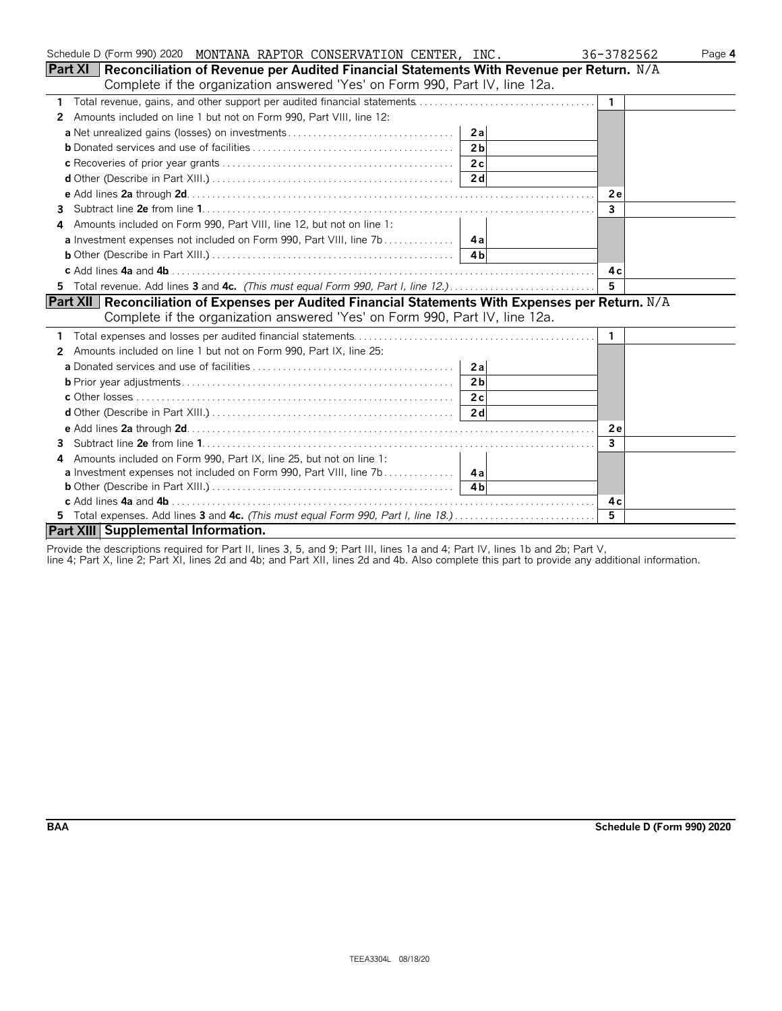| Schedule D (Form 990) 2020 MONTANA RAPTOR CONSERVATION CENTER, INC.                                        | 36-3782562   | Page 4 |
|------------------------------------------------------------------------------------------------------------|--------------|--------|
| <b>Part XI</b>   Reconciliation of Revenue per Audited Financial Statements With Revenue per Return. $N/A$ |              |        |
| Complete if the organization answered 'Yes' on Form 990, Part IV, line 12a.                                |              |        |
| 1                                                                                                          | $\mathbf{1}$ |        |
| Amounts included on line 1 but not on Form 990, Part VIII, line 12:<br>2                                   |              |        |
| 2a                                                                                                         |              |        |
| 2 <sub>b</sub>                                                                                             |              |        |
|                                                                                                            |              |        |
|                                                                                                            |              |        |
|                                                                                                            | 2e           |        |
| 3.                                                                                                         | 3            |        |
| Amounts included on Form 990, Part VIII, line 12, but not on line 1:<br>4                                  |              |        |
|                                                                                                            |              |        |
|                                                                                                            |              |        |
|                                                                                                            | 4c           |        |
|                                                                                                            | 5            |        |
| Part XII Reconciliation of Expenses per Audited Financial Statements With Expenses per Return. N/A         |              |        |
| Complete if the organization answered 'Yes' on Form 990, Part IV, line 12a.                                |              |        |
|                                                                                                            | -1           |        |
| Amounts included on line 1 but not on Form 990, Part IX, line 25:<br>2                                     |              |        |
| 2a                                                                                                         |              |        |
| 2 <sub>b</sub>                                                                                             |              |        |
|                                                                                                            |              |        |
|                                                                                                            |              |        |
|                                                                                                            | 2e           |        |
| 3                                                                                                          | $\mathbf{3}$ |        |
| Amounts included on Form 990, Part IX, line 25, but not on line 1:<br>4                                    |              |        |
|                                                                                                            |              |        |
|                                                                                                            |              |        |
|                                                                                                            | 4 c          |        |
| 5 Total expenses. Add lines 3 and 4c. (This must equal Form 990, Part I, line 18.)                         | 5            |        |
| Part XIII Supplemental Information.                                                                        |              |        |

Provide the descriptions required for Part II, lines 3, 5, and 9; Part III, lines 1a and 4; Part IV, lines 1b and 2b; Part V,

line 4; Part X, line 2; Part XI, lines 2d and 4b; and Part XII, lines 2d and 4b. Also complete this part to provide any additional information.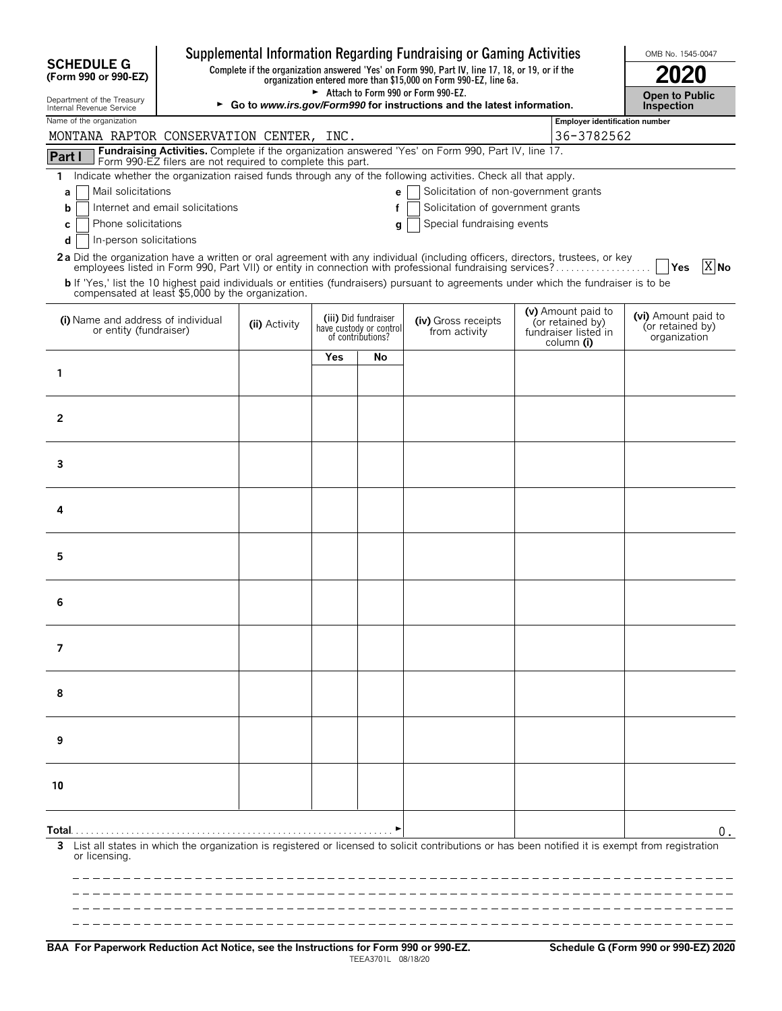|                                                                                                                                                                                                                                          |                                                                                                                                                                     |                                                                      |    | Supplemental Information Regarding Fundraising or Gaming Activities |  |                                                                              | OMB No. 1545-0047                                       |  |  |
|------------------------------------------------------------------------------------------------------------------------------------------------------------------------------------------------------------------------------------------|---------------------------------------------------------------------------------------------------------------------------------------------------------------------|----------------------------------------------------------------------|----|---------------------------------------------------------------------|--|------------------------------------------------------------------------------|---------------------------------------------------------|--|--|
| <b>SCHEDULE G</b><br>(Form 990 or 990-EZ)                                                                                                                                                                                                | Complete if the organization answered 'Yes' on Form 990, Part IV, line 17, 18, or 19, or if the<br>organization entered more than \$15,000 on Form 990-EZ, line 6a. |                                                                      |    |                                                                     |  |                                                                              |                                                         |  |  |
| Department of the Treasury<br>Internal Revenue Service                                                                                                                                                                                   | Attach to Form 990 or Form 990-EZ.<br>► Go to www.irs.gov/Form990 for instructions and the latest information.                                                      |                                                                      |    |                                                                     |  |                                                                              | <b>Open to Public</b><br><b>Inspection</b>              |  |  |
| Name of the organization                                                                                                                                                                                                                 | <b>Employer identification number</b>                                                                                                                               |                                                                      |    |                                                                     |  |                                                                              |                                                         |  |  |
|                                                                                                                                                                                                                                          | 36-3782562<br>MONTANA RAPTOR CONSERVATION CENTER, INC.<br>Fundraising Activities. Complete if the organization answered 'Yes' on Form 990, Part IV, line 17.        |                                                                      |    |                                                                     |  |                                                                              |                                                         |  |  |
| Part I<br>Form 990-EZ filers are not required to complete this part.                                                                                                                                                                     |                                                                                                                                                                     |                                                                      |    |                                                                     |  |                                                                              |                                                         |  |  |
| 1<br>Mail solicitations<br>a                                                                                                                                                                                                             | Indicate whether the organization raised funds through any of the following activities. Check all that apply.<br>Solicitation of non-government grants<br>e         |                                                                      |    |                                                                     |  |                                                                              |                                                         |  |  |
| b                                                                                                                                                                                                                                        | Internet and email solicitations<br>Solicitation of government grants<br>f                                                                                          |                                                                      |    |                                                                     |  |                                                                              |                                                         |  |  |
| Phone solicitations<br>Special fundraising events<br>С<br>g                                                                                                                                                                              |                                                                                                                                                                     |                                                                      |    |                                                                     |  |                                                                              |                                                         |  |  |
| In-person solicitations<br>d                                                                                                                                                                                                             |                                                                                                                                                                     |                                                                      |    |                                                                     |  |                                                                              |                                                         |  |  |
| 2a Did the organization have a written or oral agreement with any individual (including officers, directors, trustees, or key<br>employees listed in Form 990, Part VII) or entity in connection with professional fundraising services? |                                                                                                                                                                     |                                                                      |    |                                                                     |  |                                                                              | $\overline{X}$ No<br><b>PYes</b>                        |  |  |
| b If 'Yes,' list the 10 highest paid individuals or entities (fundraisers) pursuant to agreements under which the fundraiser is to be<br>compensated at least \$5,000 by the organization.                                               |                                                                                                                                                                     |                                                                      |    |                                                                     |  |                                                                              |                                                         |  |  |
| (i) Name and address of individual<br>or entity (fundraiser)                                                                                                                                                                             | (ii) Activity                                                                                                                                                       | (iii) Did fundraiser<br>have custody or control<br>of contributions? |    | (iv) Gross receipts<br>from activity                                |  | (v) Amount paid to<br>(or retained by)<br>fundraiser listed in<br>column (i) | (vi) Amount paid to<br>(or retained by)<br>organization |  |  |
|                                                                                                                                                                                                                                          |                                                                                                                                                                     | Yes                                                                  | No |                                                                     |  |                                                                              |                                                         |  |  |
| 1                                                                                                                                                                                                                                        |                                                                                                                                                                     |                                                                      |    |                                                                     |  |                                                                              |                                                         |  |  |
|                                                                                                                                                                                                                                          |                                                                                                                                                                     |                                                                      |    |                                                                     |  |                                                                              |                                                         |  |  |
| $\overline{2}$                                                                                                                                                                                                                           |                                                                                                                                                                     |                                                                      |    |                                                                     |  |                                                                              |                                                         |  |  |
|                                                                                                                                                                                                                                          |                                                                                                                                                                     |                                                                      |    |                                                                     |  |                                                                              |                                                         |  |  |
| 3                                                                                                                                                                                                                                        |                                                                                                                                                                     |                                                                      |    |                                                                     |  |                                                                              |                                                         |  |  |
|                                                                                                                                                                                                                                          |                                                                                                                                                                     |                                                                      |    |                                                                     |  |                                                                              |                                                         |  |  |
| 4                                                                                                                                                                                                                                        |                                                                                                                                                                     |                                                                      |    |                                                                     |  |                                                                              |                                                         |  |  |
|                                                                                                                                                                                                                                          |                                                                                                                                                                     |                                                                      |    |                                                                     |  |                                                                              |                                                         |  |  |
|                                                                                                                                                                                                                                          |                                                                                                                                                                     |                                                                      |    |                                                                     |  |                                                                              |                                                         |  |  |
| 5                                                                                                                                                                                                                                        |                                                                                                                                                                     |                                                                      |    |                                                                     |  |                                                                              |                                                         |  |  |
|                                                                                                                                                                                                                                          |                                                                                                                                                                     |                                                                      |    |                                                                     |  |                                                                              |                                                         |  |  |
| 6                                                                                                                                                                                                                                        |                                                                                                                                                                     |                                                                      |    |                                                                     |  |                                                                              |                                                         |  |  |
|                                                                                                                                                                                                                                          |                                                                                                                                                                     |                                                                      |    |                                                                     |  |                                                                              |                                                         |  |  |
| $\overline{7}$                                                                                                                                                                                                                           |                                                                                                                                                                     |                                                                      |    |                                                                     |  |                                                                              |                                                         |  |  |
|                                                                                                                                                                                                                                          |                                                                                                                                                                     |                                                                      |    |                                                                     |  |                                                                              |                                                         |  |  |
| 8                                                                                                                                                                                                                                        |                                                                                                                                                                     |                                                                      |    |                                                                     |  |                                                                              |                                                         |  |  |
|                                                                                                                                                                                                                                          |                                                                                                                                                                     |                                                                      |    |                                                                     |  |                                                                              |                                                         |  |  |
|                                                                                                                                                                                                                                          |                                                                                                                                                                     |                                                                      |    |                                                                     |  |                                                                              |                                                         |  |  |
| 9                                                                                                                                                                                                                                        |                                                                                                                                                                     |                                                                      |    |                                                                     |  |                                                                              |                                                         |  |  |
|                                                                                                                                                                                                                                          |                                                                                                                                                                     |                                                                      |    |                                                                     |  |                                                                              |                                                         |  |  |
| 10                                                                                                                                                                                                                                       |                                                                                                                                                                     |                                                                      |    |                                                                     |  |                                                                              |                                                         |  |  |
|                                                                                                                                                                                                                                          |                                                                                                                                                                     |                                                                      |    |                                                                     |  |                                                                              |                                                         |  |  |
| Total.                                                                                                                                                                                                                                   |                                                                                                                                                                     |                                                                      |    |                                                                     |  |                                                                              | 0.                                                      |  |  |
| List all states in which the organization is registered or licensed to solicit contributions or has been notified it is exempt from registration<br>or licensing.                                                                        |                                                                                                                                                                     |                                                                      |    |                                                                     |  |                                                                              |                                                         |  |  |
|                                                                                                                                                                                                                                          |                                                                                                                                                                     |                                                                      |    |                                                                     |  |                                                                              |                                                         |  |  |
|                                                                                                                                                                                                                                          |                                                                                                                                                                     |                                                                      |    |                                                                     |  |                                                                              |                                                         |  |  |
|                                                                                                                                                                                                                                          |                                                                                                                                                                     |                                                                      |    |                                                                     |  |                                                                              |                                                         |  |  |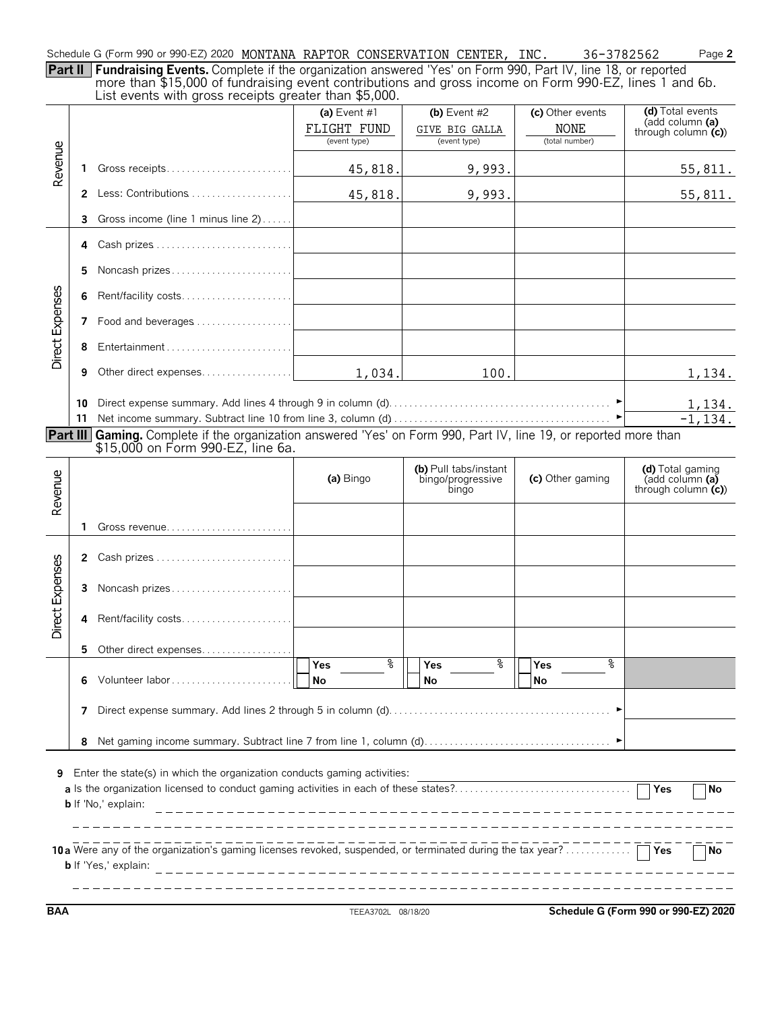Schedule G (Form 990 or 990-EZ) 2020 MONTANA RAPTOR CONSERVATION CENTER, INC. 36-3782562 Page **2** 

**Part II Fundraising Events.** Complete if the organization answered 'Yes' on Form 990, Part IV, line 18, or reported more than \$15,000 of fundraising event contributions and gross income on Form 990-EZ, lines 1 and 6b. List events with gross receipts greater than \$5,000.

| Revenue         |    | בואג כיוכותא וויונוו קוטאא וככסוףנא קוכמנטו נוומוו שט,טטט.                                                        | (a) Event $#1$<br>FLIGHT FUND<br>(event type) | (b) Event $#2$<br>GIVE BIG GALLA<br>(event type)    | (c) Other events<br><b>NONE</b><br>(total number) | (d) Total events<br>(add column (a)<br>through column $(c)$ |
|-----------------|----|-------------------------------------------------------------------------------------------------------------------|-----------------------------------------------|-----------------------------------------------------|---------------------------------------------------|-------------------------------------------------------------|
|                 | 1  |                                                                                                                   | 45,818.                                       | 9,993.                                              |                                                   | 55,811.                                                     |
|                 |    |                                                                                                                   | 45,818.                                       | 9,993.                                              |                                                   | 55,811.                                                     |
|                 | 3  | Gross income (line 1 minus line 2)                                                                                |                                               |                                                     |                                                   |                                                             |
|                 | 4  |                                                                                                                   |                                               |                                                     |                                                   |                                                             |
|                 | 5  |                                                                                                                   |                                               |                                                     |                                                   |                                                             |
|                 | 6  |                                                                                                                   |                                               |                                                     |                                                   |                                                             |
| Direct Expenses | 7  | Food and beverages                                                                                                |                                               |                                                     |                                                   |                                                             |
|                 | 8  |                                                                                                                   |                                               |                                                     |                                                   |                                                             |
|                 | 9  |                                                                                                                   | 1,034.                                        | 100.                                                |                                                   | 1,134.                                                      |
|                 | 10 |                                                                                                                   |                                               |                                                     |                                                   | 1,134.                                                      |
|                 | 11 | Part III Gaming. Complete if the organization answered 'Yes' on Form 990, Part IV, line 19, or reported more than |                                               |                                                     |                                                   | $-1.134.$                                                   |
|                 |    | \$15,000 on Form 990-EZ, line 6a.                                                                                 |                                               |                                                     |                                                   |                                                             |
| Revenue         |    |                                                                                                                   | (a) Bingo                                     | (b) Pull tabs/instant<br>bingo/progressive<br>bingo | (c) Other gaming                                  | (d) Total gaming<br>(add column (a)<br>through column $(c)$ |
|                 | 1. | Gross revenue                                                                                                     |                                               |                                                     |                                                   |                                                             |
|                 | 2  |                                                                                                                   |                                               |                                                     |                                                   |                                                             |
| Direct Expenses | 3  | Noncash prizes                                                                                                    |                                               |                                                     |                                                   |                                                             |
|                 | 4  | Rent/facility costs                                                                                               |                                               |                                                     |                                                   |                                                             |
|                 | 5. | Other direct expenses                                                                                             |                                               |                                                     |                                                   |                                                             |
|                 | 6  |                                                                                                                   | နွ<br>Yes<br>No                               | နွ<br>Yes<br>No                                     | နွ<br>Yes<br><b>No</b>                            |                                                             |
|                 | 7  |                                                                                                                   |                                               |                                                     |                                                   |                                                             |
|                 | 8  |                                                                                                                   |                                               |                                                     |                                                   |                                                             |
| 9               |    | Enter the state(s) in which the organization conducts gaming activities:<br><b>b</b> If 'No,' explain:            |                                               |                                                     |                                                   | No<br><b>No</b>                                             |
|                 |    | <b>b</b> If 'Yes,' explain:                                                                                       |                                               |                                                     |                                                   |                                                             |

**BAA** TEEA3702L 08/18/20 **Schedule G (Form 990 or 990-EZ) 2020**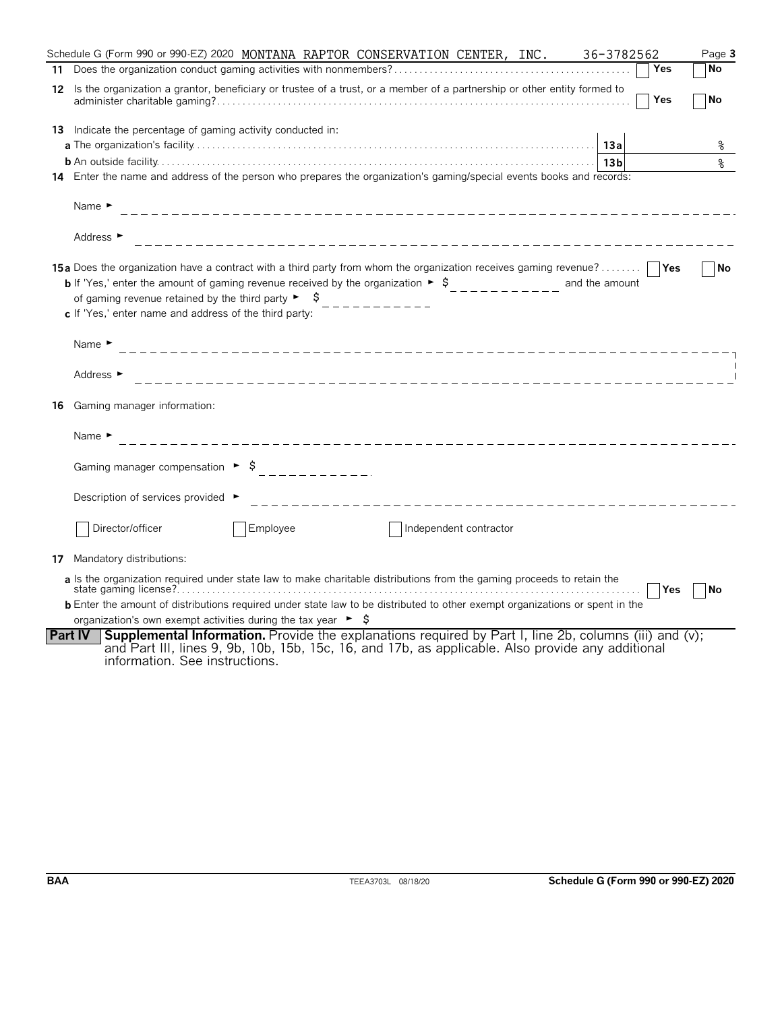|    | Schedule G (Form 990 or 990-EZ) 2020 MONTANA RAPTOR CONSERVATION CENTER, INC.<br>36-3782562                                                                                                                                                                                                                                                                                                                                        | Page 3    |
|----|------------------------------------------------------------------------------------------------------------------------------------------------------------------------------------------------------------------------------------------------------------------------------------------------------------------------------------------------------------------------------------------------------------------------------------|-----------|
|    | Yes                                                                                                                                                                                                                                                                                                                                                                                                                                | <b>No</b> |
|    | 12 Is the organization a grantor, beneficiary or trustee of a trust, or a member of a partnership or other entity formed to<br>Yes                                                                                                                                                                                                                                                                                                 | <b>No</b> |
|    | 13 Indicate the percentage of gaming activity conducted in:                                                                                                                                                                                                                                                                                                                                                                        |           |
|    |                                                                                                                                                                                                                                                                                                                                                                                                                                    | နွ        |
|    |                                                                                                                                                                                                                                                                                                                                                                                                                                    | နွ        |
|    | 14 Enter the name and address of the person who prepares the organization's gaming/special events books and records:                                                                                                                                                                                                                                                                                                               |           |
|    | Name $\blacktriangleright$                                                                                                                                                                                                                                                                                                                                                                                                         |           |
|    | Address ►                                                                                                                                                                                                                                                                                                                                                                                                                          |           |
|    | <b>15a</b> Does the organization have a contract with a third party from whom the organization receives gaming revenue?<br><b>b</b> If 'Yes,' enter the amount of gaming revenue received by the organization $\triangleright$ $\uparrow$<br>and the amount<br>of gaming revenue retained by the third party $\blacktriangleright$ $\blacktriangleright$ $\blacklozenge$<br>c If 'Yes,' enter name and address of the third party: | No        |
|    | Name $\blacktriangleright$                                                                                                                                                                                                                                                                                                                                                                                                         |           |
|    | Address ►                                                                                                                                                                                                                                                                                                                                                                                                                          |           |
| 16 | Gaming manager information:                                                                                                                                                                                                                                                                                                                                                                                                        |           |
|    | Name $\blacktriangleright$<br>_____________________________                                                                                                                                                                                                                                                                                                                                                                        |           |
|    | Gaming manager compensation $\triangleright$ \$<br>. <u>.</u> .                                                                                                                                                                                                                                                                                                                                                                    |           |
|    | Description of services provided ▶<br>____________________________________                                                                                                                                                                                                                                                                                                                                                         |           |
|    | Director/officer<br>Employee<br>Independent contractor                                                                                                                                                                                                                                                                                                                                                                             |           |
|    | <b>17</b> Mandatory distributions:                                                                                                                                                                                                                                                                                                                                                                                                 |           |
|    | a Is the organization required under state law to make charitable distributions from the gaming proceeds to retain the<br><b>Yes</b><br><b>b</b> Enter the amount of distributions required under state law to be distributed to other exempt organizations or spent in the<br>organization's own exempt activities during the tax year $\triangleright$ \$                                                                        | <b>No</b> |
|    | <b>Supplemental Information.</b> Provide the explanations required by Part I, line 2b, columns (iii) and (v);<br><b>Part IV</b><br>and Part III, lines 9, 9b, 10b, 15b, 15c, 16, and 17b, as applicable. Also provide any additional<br>information. See instructions.                                                                                                                                                             |           |